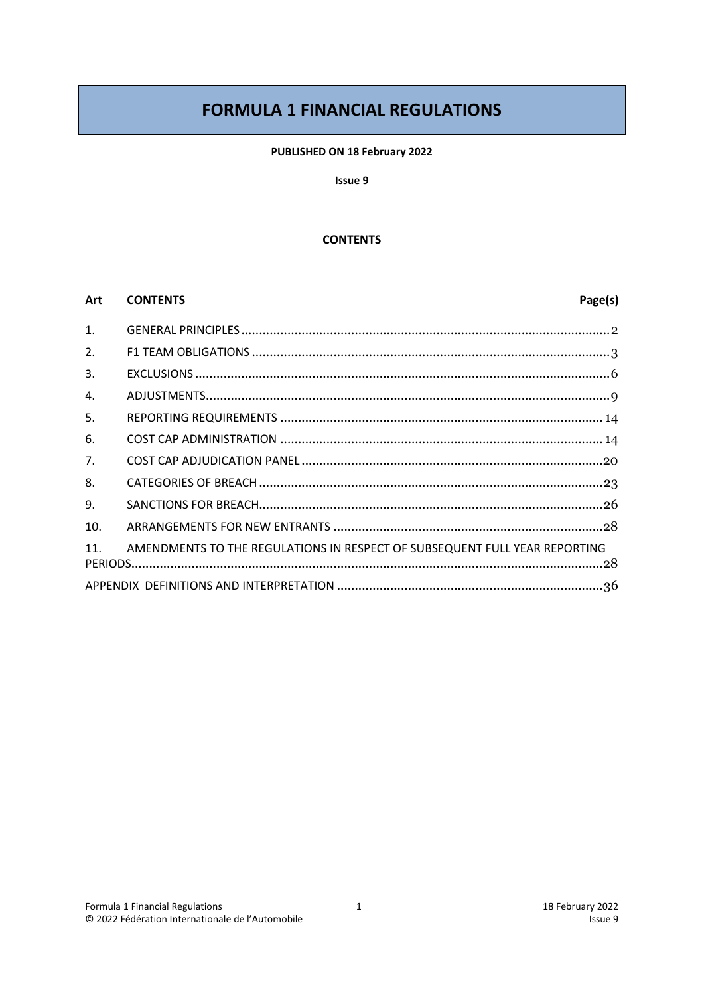# **FORMULA 1 FINANCIAL REGULATIONS**

#### PUBLISHED ON 18 February 2022

#### Issue 9

#### **CONTENTS**

#### Art **CONTENTS**

# Page(s)

| 1.  |                                                                            |
|-----|----------------------------------------------------------------------------|
| 2.  |                                                                            |
| 3.  |                                                                            |
| 4.  |                                                                            |
| 5.  |                                                                            |
| 6.  |                                                                            |
| 7.  |                                                                            |
| 8.  |                                                                            |
| 9.  |                                                                            |
| 10. |                                                                            |
| 11. | AMENDMENTS TO THE REGULATIONS IN RESPECT OF SUBSEQUENT FULL YEAR REPORTING |
|     |                                                                            |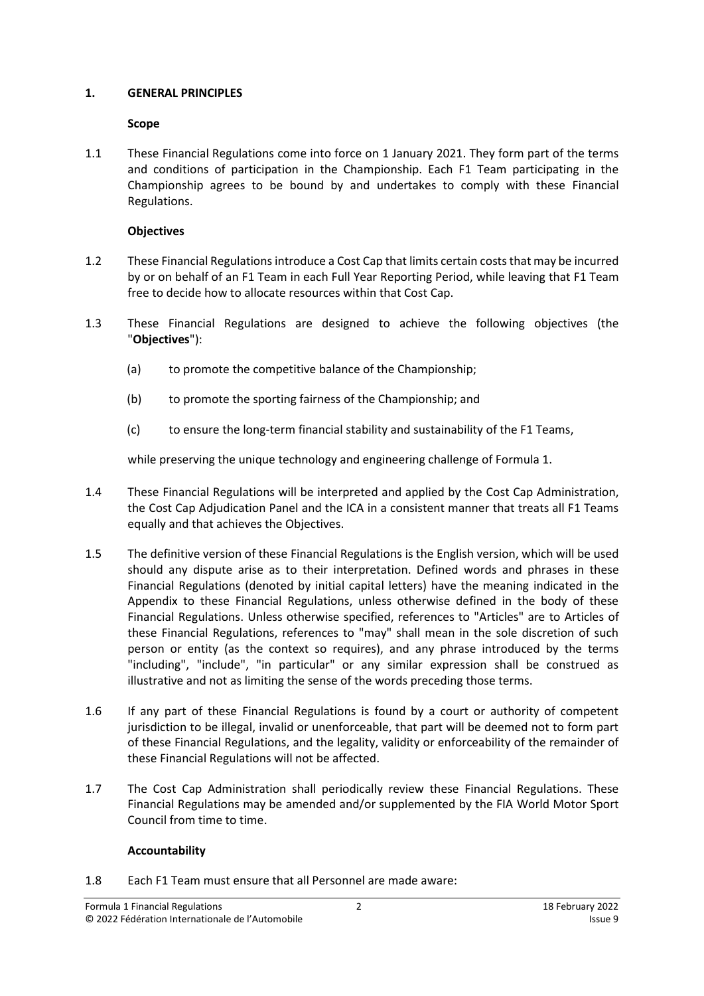#### <span id="page-1-0"></span>**1. GENERAL PRINCIPLES**

### **Scope**

1.1 These Financial Regulations come into force on 1 January 2021. They form part of the terms and conditions of participation in the Championship. Each F1 Team participating in the Championship agrees to be bound by and undertakes to comply with these Financial Regulations.

# **Objectives**

- 1.2 These Financial Regulationsintroduce a Cost Cap that limits certain coststhat may be incurred by or on behalf of an F1 Team in each Full Year Reporting Period, while leaving that F1 Team free to decide how to allocate resources within that Cost Cap.
- <span id="page-1-2"></span>1.3 These Financial Regulations are designed to achieve the following objectives (the "**Objectives**"):
	- (a) to promote the competitive balance of the Championship;
	- (b) to promote the sporting fairness of the Championship; and
	- (c) to ensure the long-term financial stability and sustainability of the F1 Teams,

while preserving the unique technology and engineering challenge of Formula 1.

- 1.4 These Financial Regulations will be interpreted and applied by the Cost Cap Administration, the Cost Cap Adjudication Panel and the ICA in a consistent manner that treats all F1 Teams equally and that achieves the Objectives.
- 1.5 The definitive version of these Financial Regulations is the English version, which will be used should any dispute arise as to their interpretation. Defined words and phrases in these Financial Regulations (denoted by initial capital letters) have the meaning indicated in the Appendix to these Financial Regulations, unless otherwise defined in the body of these Financial Regulations. Unless otherwise specified, references to "Articles" are to Articles of these Financial Regulations, references to "may" shall mean in the sole discretion of such person or entity (as the context so requires), and any phrase introduced by the terms "including", "include", "in particular" or any similar expression shall be construed as illustrative and not as limiting the sense of the words preceding those terms.
- 1.6 If any part of these Financial Regulations is found by a court or authority of competent jurisdiction to be illegal, invalid or unenforceable, that part will be deemed not to form part of these Financial Regulations, and the legality, validity or enforceability of the remainder of these Financial Regulations will not be affected.
- 1.7 The Cost Cap Administration shall periodically review these Financial Regulations. These Financial Regulations may be amended and/or supplemented by the FIA World Motor Sport Council from time to time.

# **Accountability**

<span id="page-1-1"></span>1.8 Each F1 Team must ensure that all Personnel are made aware: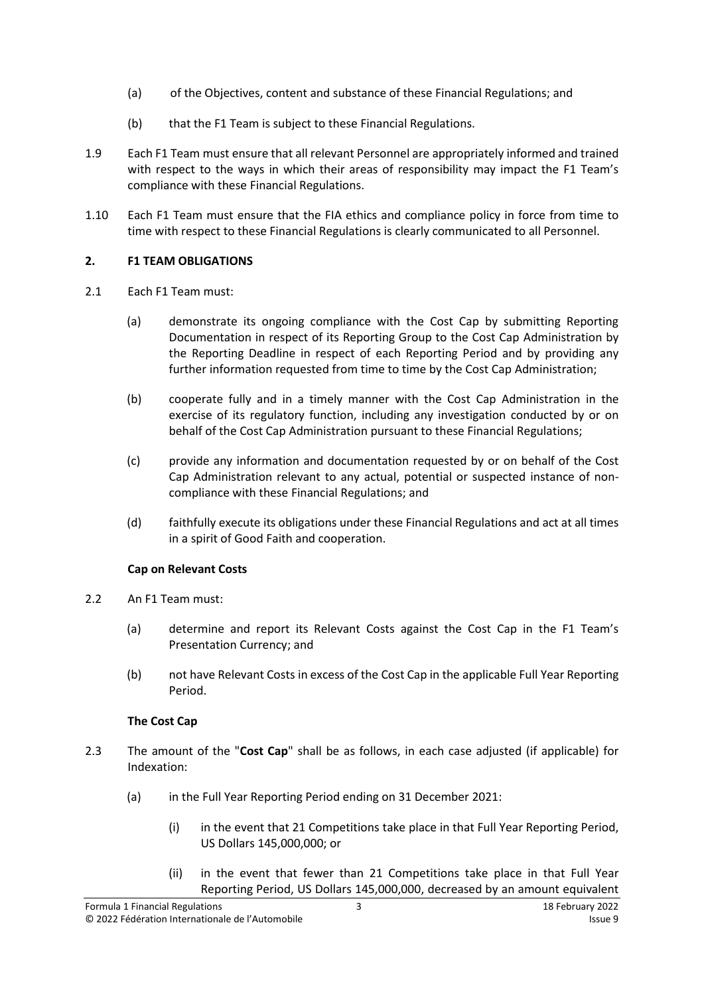- (a) of the Objectives, content and substance of these Financial Regulations; and
- (b) that the F1 Team is subject to these Financial Regulations.
- <span id="page-2-1"></span>1.9 Each F1 Team must ensure that all relevant Personnel are appropriately informed and trained with respect to the ways in which their areas of responsibility may impact the F1 Team's compliance with these Financial Regulations.
- <span id="page-2-2"></span>1.10 Each F1 Team must ensure that the FIA ethics and compliance policy in force from time to time with respect to these Financial Regulations is clearly communicated to all Personnel.

# <span id="page-2-0"></span>**2. F1 TEAM OBLIGATIONS**

- 2.1 Each F1 Team must:
	- (a) demonstrate its ongoing compliance with the Cost Cap by submitting Reporting Documentation in respect of its Reporting Group to the Cost Cap Administration by the Reporting Deadline in respect of each Reporting Period and by providing any further information requested from time to time by the Cost Cap Administration;
	- (b) cooperate fully and in a timely manner with the Cost Cap Administration in the exercise of its regulatory function, including any investigation conducted by or on behalf of the Cost Cap Administration pursuant to these Financial Regulations;
	- (c) provide any information and documentation requested by or on behalf of the Cost Cap Administration relevant to any actual, potential or suspected instance of noncompliance with these Financial Regulations; and
	- (d) faithfully execute its obligations under these Financial Regulations and act at all times in a spirit of Good Faith and cooperation.

# **Cap on Relevant Costs**

- 2.2 An F1 Team must:
	- (a) determine and report its Relevant Costs against the Cost Cap in the F1 Team's Presentation Currency; and
	- (b) not have Relevant Costs in excess of the Cost Cap in the applicable Full Year Reporting Period.

# **The Cost Cap**

- <span id="page-2-3"></span>2.3 The amount of the "**Cost Cap**" shall be as follows, in each case adjusted (if applicable) for Indexation:
	- (a) in the Full Year Reporting Period ending on 31 December 2021:
		- (i) in the event that 21 Competitions take place in that Full Year Reporting Period, US Dollars 145,000,000; or
		- (ii) in the event that fewer than 21 Competitions take place in that Full Year Reporting Period, US Dollars 145,000,000, decreased by an amount equivalent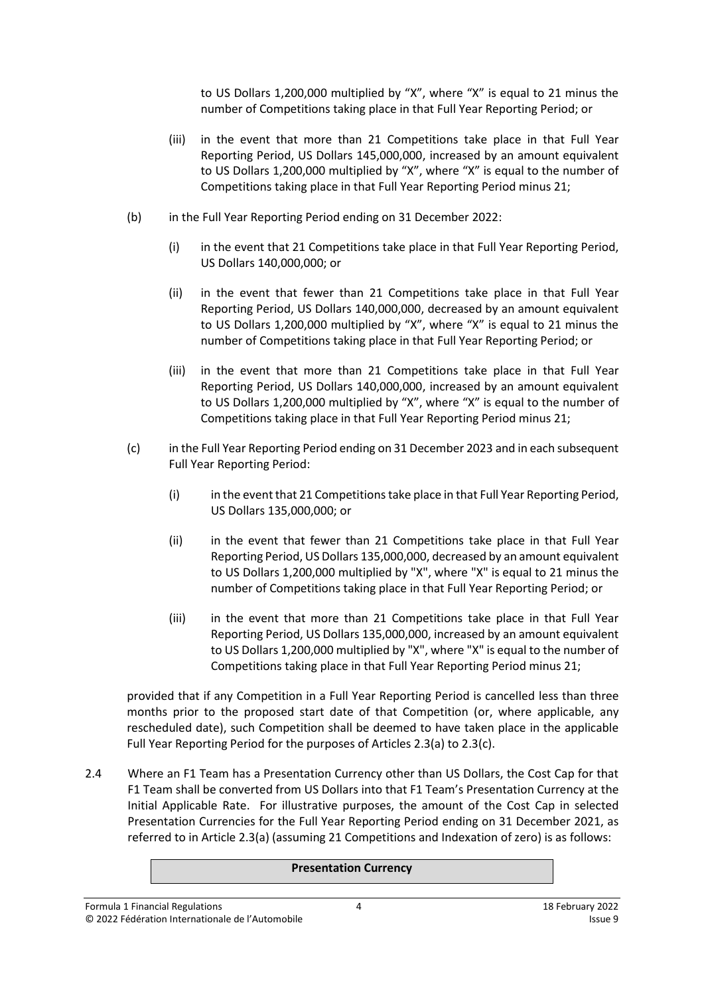to US Dollars 1,200,000 multiplied by "X", where "X" is equal to 21 minus the number of Competitions taking place in that Full Year Reporting Period; or

- (iii) in the event that more than 21 Competitions take place in that Full Year Reporting Period, US Dollars 145,000,000, increased by an amount equivalent to US Dollars 1,200,000 multiplied by "X", where "X" is equal to the number of Competitions taking place in that Full Year Reporting Period minus 21;
- (b) in the Full Year Reporting Period ending on 31 December 2022:
	- (i) in the event that 21 Competitions take place in that Full Year Reporting Period, US Dollars 140,000,000; or
	- (ii) in the event that fewer than 21 Competitions take place in that Full Year Reporting Period, US Dollars 140,000,000, decreased by an amount equivalent to US Dollars 1,200,000 multiplied by "X", where "X" is equal to 21 minus the number of Competitions taking place in that Full Year Reporting Period; or
	- (iii) in the event that more than 21 Competitions take place in that Full Year Reporting Period, US Dollars 140,000,000, increased by an amount equivalent to US Dollars 1,200,000 multiplied by "X", where "X" is equal to the number of Competitions taking place in that Full Year Reporting Period minus 21;
- (c) in the Full Year Reporting Period ending on 31 December 2023 and in each subsequent Full Year Reporting Period:
	- (i) in the event that 21 Competitions take place in that Full Year Reporting Period, US Dollars 135,000,000; or
	- (ii) in the event that fewer than 21 Competitions take place in that Full Year Reporting Period, US Dollars 135,000,000, decreased by an amount equivalent to US Dollars 1,200,000 multiplied by "X", where "X" is equal to 21 minus the number of Competitions taking place in that Full Year Reporting Period; or
	- (iii) in the event that more than 21 Competitions take place in that Full Year Reporting Period, US Dollars 135,000,000, increased by an amount equivalent to US Dollars 1,200,000 multiplied by "X", where "X" is equal to the number of Competitions taking place in that Full Year Reporting Period minus 21;

provided that if any Competition in a Full Year Reporting Period is cancelled less than three months prior to the proposed start date of that Competition (or, where applicable, any rescheduled date), such Competition shall be deemed to have taken place in the applicable Full Year Reporting Period for the purposes of Articles 2.3(a) to 2.3(c).

2.4 Where an F1 Team has a Presentation Currency other than US Dollars, the Cost Cap for that F1 Team shall be converted from US Dollars into that F1 Team's Presentation Currency at the Initial Applicable Rate. For illustrative purposes, the amount of the Cost Cap in selected Presentation Currencies for the Full Year Reporting Period ending on 31 December 2021, as referred to in Article 2.3(a) (assuming 21 Competitions and Indexation of zero) is as follows:

#### **Presentation Currency**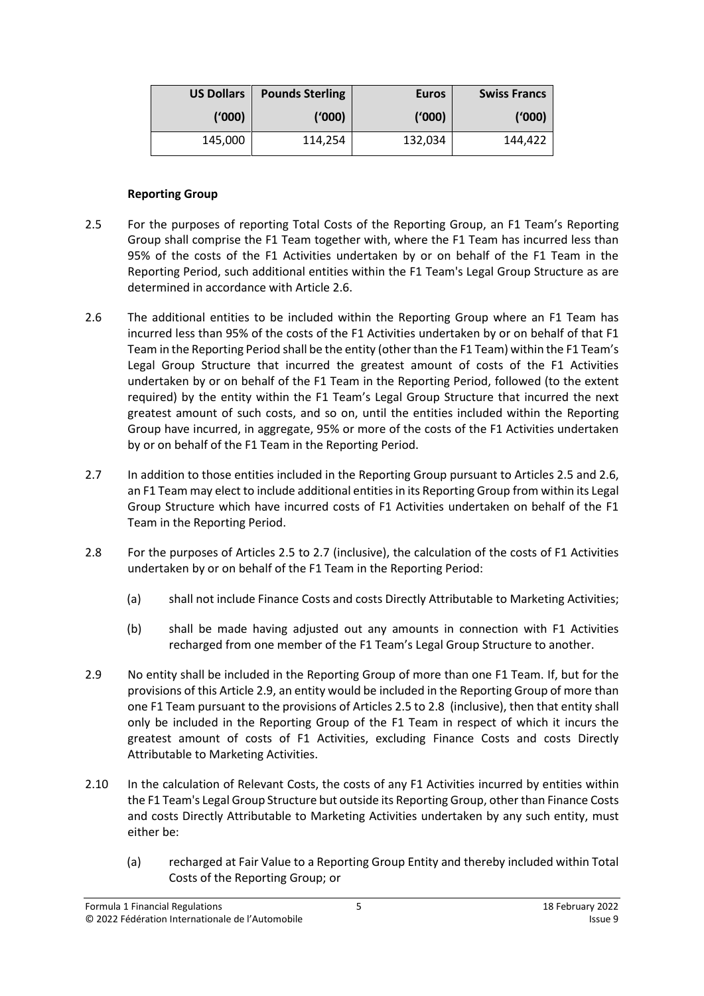| <b>US Dollars</b> | <b>Pounds Sterling</b> | <b>Euros</b> | <b>Swiss Francs</b> |
|-------------------|------------------------|--------------|---------------------|
| ('000)            | ('000)                 | ('000)       | ('000)              |
| 145,000           | 114,254                | 132,034      | 144,422             |

#### **Reporting Group**

- <span id="page-4-1"></span>2.5 For the purposes of reporting Total Costs of the Reporting Group, an F1 Team's Reporting Group shall comprise the F1 Team together with, where the F1 Team has incurred less than 95% of the costs of the F1 Activities undertaken by or on behalf of the F1 Team in the Reporting Period, such additional entities within the F1 Team's Legal Group Structure as are determined in accordance with Articl[e 2.6.](#page-4-0)
- <span id="page-4-0"></span>2.6 The additional entities to be included within the Reporting Group where an F1 Team has incurred less than 95% of the costs of the F1 Activities undertaken by or on behalf of that F1 Team in the Reporting Period shall be the entity (other than the F1 Team) within the F1 Team's Legal Group Structure that incurred the greatest amount of costs of the F1 Activities undertaken by or on behalf of the F1 Team in the Reporting Period, followed (to the extent required) by the entity within the F1 Team's Legal Group Structure that incurred the next greatest amount of such costs, and so on, until the entities included within the Reporting Group have incurred, in aggregate, 95% or more of the costs of the F1 Activities undertaken by or on behalf of the F1 Team in the Reporting Period.
- <span id="page-4-2"></span>2.7 In addition to those entities included in the Reporting Group pursuant to Articles [2.5](#page-4-1) an[d 2.6,](#page-4-0) an F1 Team may elect to include additional entities in its Reporting Group from within its Legal Group Structure which have incurred costs of F1 Activities undertaken on behalf of the F1 Team in the Reporting Period.
- <span id="page-4-4"></span>2.8 For the purposes of Articles [2.5](#page-4-1) to [2.7](#page-4-2) (inclusive), the calculation of the costs of F1 Activities undertaken by or on behalf of the F1 Team in the Reporting Period:
	- (a) shall not include Finance Costs and costs Directly Attributable to Marketing Activities;
	- (b) shall be made having adjusted out any amounts in connection with F1 Activities recharged from one member of the F1 Team's Legal Group Structure to another.
- <span id="page-4-3"></span>2.9 No entity shall be included in the Reporting Group of more than one F1 Team. If, but for the provisions of this Article [2.9,](#page-4-3) an entity would be included in the Reporting Group of more than one F1 Team pursuant to the provisions of Articles [2.5](#page-4-1) to [2.8](#page-4-4) (inclusive), then that entity shall only be included in the Reporting Group of the F1 Team in respect of which it incurs the greatest amount of costs of F1 Activities, excluding Finance Costs and costs Directly Attributable to Marketing Activities.
- 2.10 In the calculation of Relevant Costs, the costs of any F1 Activities incurred by entities within the F1 Team's Legal Group Structure but outside its Reporting Group, other than Finance Costs and costs Directly Attributable to Marketing Activities undertaken by any such entity, must either be:
	- (a) recharged at Fair Value to a Reporting Group Entity and thereby included within Total Costs of the Reporting Group; or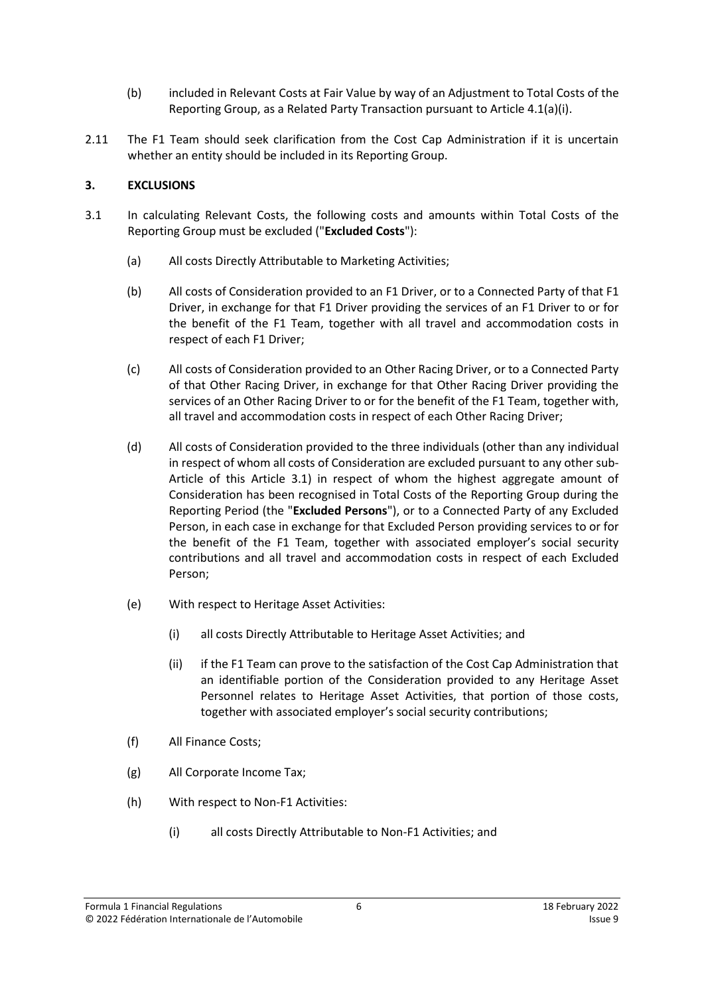- (b) included in Relevant Costs at Fair Value by way of an Adjustment to Total Costs of the Reporting Group, as a Related Party Transaction pursuant to Article 4.1(a)(i).
- <span id="page-5-5"></span>2.11 The F1 Team should seek clarification from the Cost Cap Administration if it is uncertain whether an entity should be included in its Reporting Group.

# <span id="page-5-0"></span>**3. EXCLUSIONS**

- <span id="page-5-8"></span><span id="page-5-7"></span><span id="page-5-6"></span><span id="page-5-4"></span><span id="page-5-3"></span><span id="page-5-2"></span><span id="page-5-1"></span>3.1 In calculating Relevant Costs, the following costs and amounts within Total Costs of the Reporting Group must be excluded ("**Excluded Costs**"):
	- (a) All costs Directly Attributable to Marketing Activities;
	- (b) All costs of Consideration provided to an F1 Driver, or to a Connected Party of that F1 Driver, in exchange for that F1 Driver providing the services of an F1 Driver to or for the benefit of the F1 Team, together with all travel and accommodation costs in respect of each F1 Driver;
	- (c) All costs of Consideration provided to an Other Racing Driver, or to a Connected Party of that Other Racing Driver, in exchange for that Other Racing Driver providing the services of an Other Racing Driver to or for the benefit of the F1 Team, together with, all travel and accommodation costs in respect of each Other Racing Driver;
	- (d) All costs of Consideration provided to the three individuals (other than any individual in respect of whom all costs of Consideration are excluded pursuant to any other sub-Article of this Article [3.1\)](#page-5-1) in respect of whom the highest aggregate amount of Consideration has been recognised in Total Costs of the Reporting Group during the Reporting Period (the "**Excluded Persons**"), or to a Connected Party of any Excluded Person, in each case in exchange for that Excluded Person providing services to or for the benefit of the F1 Team, together with associated employer's social security contributions and all travel and accommodation costs in respect of each Excluded Person;
	- (e) With respect to Heritage Asset Activities:
		- (i) all costs Directly Attributable to Heritage Asset Activities; and
		- (ii) if the F1 Team can prove to the satisfaction of the Cost Cap Administration that an identifiable portion of the Consideration provided to any Heritage Asset Personnel relates to Heritage Asset Activities, that portion of those costs, together with associated employer's social security contributions;
	- (f) All Finance Costs;
	- (g) All Corporate Income Tax;
	- (h) With respect to Non-F1 Activities:
		- (i) all costs Directly Attributable to Non-F1 Activities; and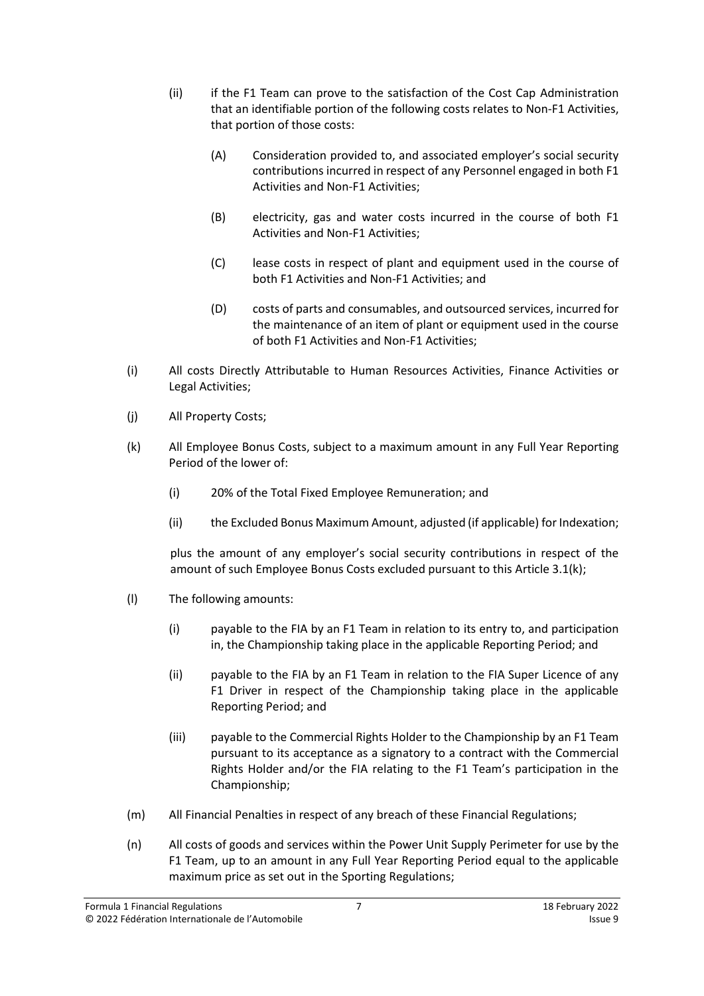- (ii) if the F1 Team can prove to the satisfaction of the Cost Cap Administration that an identifiable portion of the following costs relates to Non-F1 Activities, that portion of those costs:
	- (A) Consideration provided to, and associated employer's social security contributions incurred in respect of any Personnel engaged in both F1 Activities and Non-F1 Activities;
	- (B) electricity, gas and water costs incurred in the course of both F1 Activities and Non-F1 Activities;
	- (C) lease costs in respect of plant and equipment used in the course of both F1 Activities and Non-F1 Activities; and
	- (D) costs of parts and consumables, and outsourced services, incurred for the maintenance of an item of plant or equipment used in the course of both F1 Activities and Non-F1 Activities;
- <span id="page-6-0"></span>(i) All costs Directly Attributable to Human Resources Activities, Finance Activities or Legal Activities;
- (j) All Property Costs;
- <span id="page-6-1"></span>(k) All Employee Bonus Costs, subject to a maximum amount in any Full Year Reporting Period of the lower of:
	- (i) 20% of the Total Fixed Employee Remuneration; and
	- (ii) the Excluded Bonus Maximum Amount, adjusted (if applicable) for Indexation;

plus the amount of any employer's social security contributions in respect of the amount of such Employee Bonus Costs excluded pursuant to this Article 3.1(k);

- (l) The following amounts:
	- (i) payable to the FIA by an F1 Team in relation to its entry to, and participation in, the Championship taking place in the applicable Reporting Period; and
	- (ii) payable to the FIA by an F1 Team in relation to the FIA Super Licence of any F1 Driver in respect of the Championship taking place in the applicable Reporting Period; and
	- (iii) payable to the Commercial Rights Holder to the Championship by an F1 Team pursuant to its acceptance as a signatory to a contract with the Commercial Rights Holder and/or the FIA relating to the F1 Team's participation in the Championship;
- (m) All Financial Penalties in respect of any breach of these Financial Regulations;
- (n) All costs of goods and services within the Power Unit Supply Perimeter for use by the F1 Team, up to an amount in any Full Year Reporting Period equal to the applicable maximum price as set out in the Sporting Regulations;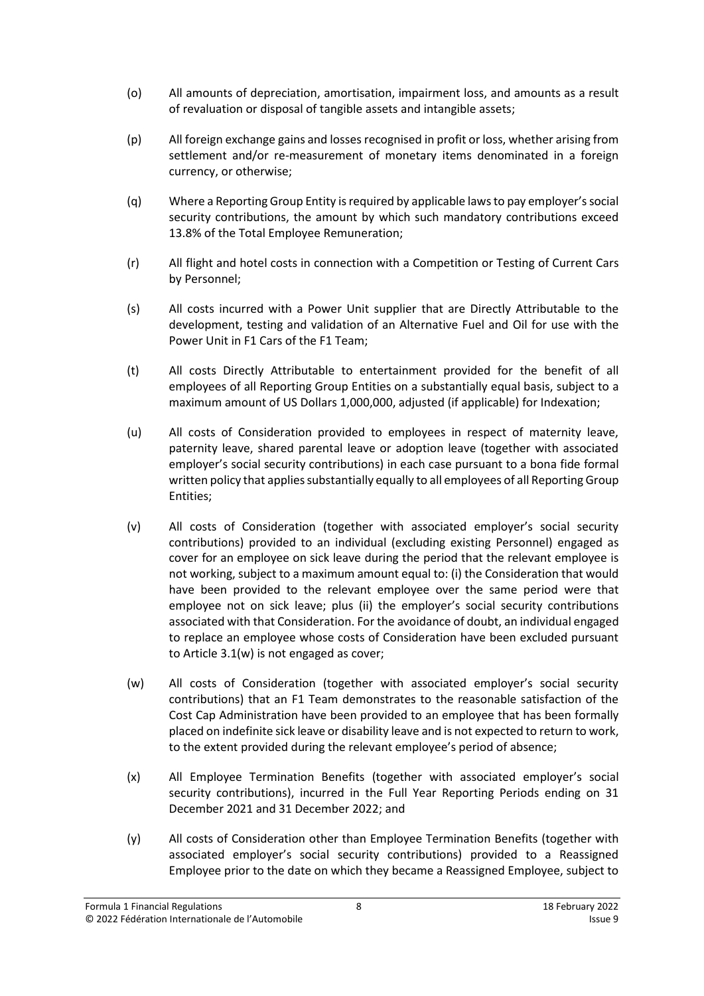- (o) All amounts of depreciation, amortisation, impairment loss, and amounts as a result of revaluation or disposal of tangible assets and intangible assets;
- (p) All foreign exchange gains and lossesrecognised in profit or loss, whether arising from settlement and/or re-measurement of monetary items denominated in a foreign currency, or otherwise;
- (q) Where a Reporting Group Entity is required by applicable lawsto pay employer'ssocial security contributions, the amount by which such mandatory contributions exceed 13.8% of the Total Employee Remuneration;
- (r) All flight and hotel costs in connection with a Competition or Testing of Current Cars by Personnel;
- (s) All costs incurred with a Power Unit supplier that are Directly Attributable to the development, testing and validation of an Alternative Fuel and Oil for use with the Power Unit in F1 Cars of the F1 Team;
- <span id="page-7-1"></span>(t) All costs Directly Attributable to entertainment provided for the benefit of all employees of all Reporting Group Entities on a substantially equal basis, subject to a maximum amount of US Dollars 1,000,000, adjusted (if applicable) for Indexation;
- (u) All costs of Consideration provided to employees in respect of maternity leave, paternity leave, shared parental leave or adoption leave (together with associated employer's social security contributions) in each case pursuant to a bona fide formal written policy that applies substantially equally to all employees of all Reporting Group Entities;
- (v) All costs of Consideration (together with associated employer's social security contributions) provided to an individual (excluding existing Personnel) engaged as cover for an employee on sick leave during the period that the relevant employee is not working, subject to a maximum amount equal to: (i) the Consideration that would have been provided to the relevant employee over the same period were that employee not on sick leave; plus (ii) the employer's social security contributions associated with that Consideration. For the avoidance of doubt, an individual engaged to replace an employee whose costs of Consideration have been excluded pursuant to Article 3.1(w) is not engaged as cover;
- <span id="page-7-2"></span>(w) All costs of Consideration (together with associated employer's social security contributions) that an F1 Team demonstrates to the reasonable satisfaction of the Cost Cap Administration have been provided to an employee that has been formally placed on indefinite sick leave or disability leave and is not expected to return to work, to the extent provided during the relevant employee's period of absence;
- <span id="page-7-0"></span>(x) All Employee Termination Benefits (together with associated employer's social security contributions), incurred in the Full Year Reporting Periods ending on 31 December 2021 and 31 December 2022; and
- <span id="page-7-3"></span>(y) All costs of Consideration other than Employee Termination Benefits (together with associated employer's social security contributions) provided to a Reassigned Employee prior to the date on which they became a Reassigned Employee, subject to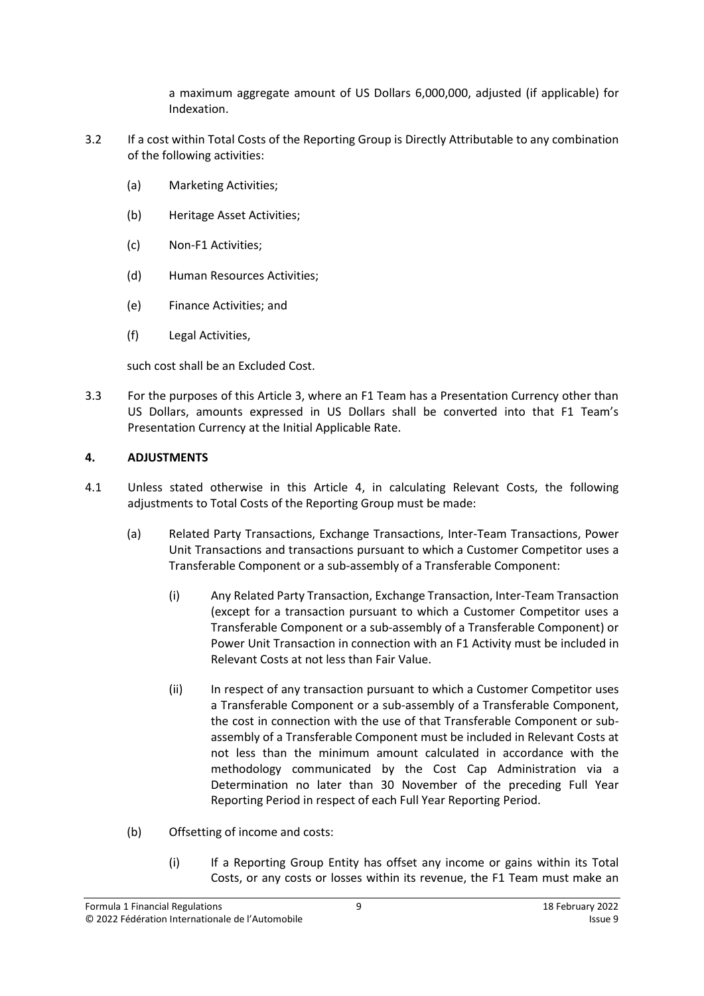a maximum aggregate amount of US Dollars 6,000,000, adjusted (if applicable) for Indexation.

- <span id="page-8-1"></span>3.2 If a cost within Total Costs of the Reporting Group is Directly Attributable to any combination of the following activities:
	- (a) Marketing Activities;
	- (b) Heritage Asset Activities;
	- (c) Non-F1 Activities;
	- (d) Human Resources Activities;
	- (e) Finance Activities; and
	- (f) Legal Activities,

such cost shall be an Excluded Cost.

3.3 For the purposes of this Article 3, where an F1 Team has a Presentation Currency other than US Dollars, amounts expressed in US Dollars shall be converted into that F1 Team's Presentation Currency at the Initial Applicable Rate.

# <span id="page-8-0"></span>**4. ADJUSTMENTS**

- 4.1 Unless stated otherwise in this Article [4,](#page-8-0) in calculating Relevant Costs, the following adjustments to Total Costs of the Reporting Group must be made:
	- (a) Related Party Transactions, Exchange Transactions, Inter-Team Transactions, Power Unit Transactions and transactions pursuant to which a Customer Competitor uses a Transferable Component or a sub-assembly of a Transferable Component:
		- (i) Any Related Party Transaction, Exchange Transaction, Inter-Team Transaction (except for a transaction pursuant to which a Customer Competitor uses a Transferable Component or a sub-assembly of a Transferable Component) or Power Unit Transaction in connection with an F1 Activity must be included in Relevant Costs at not less than Fair Value.
		- (ii) In respect of any transaction pursuant to which a Customer Competitor uses a Transferable Component or a sub-assembly of a Transferable Component, the cost in connection with the use of that Transferable Component or subassembly of a Transferable Component must be included in Relevant Costs at not less than the minimum amount calculated in accordance with the methodology communicated by the Cost Cap Administration via a Determination no later than 30 November of the preceding Full Year Reporting Period in respect of each Full Year Reporting Period.
	- (b) Offsetting of income and costs:
		- (i) If a Reporting Group Entity has offset any income or gains within its Total Costs, or any costs or losses within its revenue, the F1 Team must make an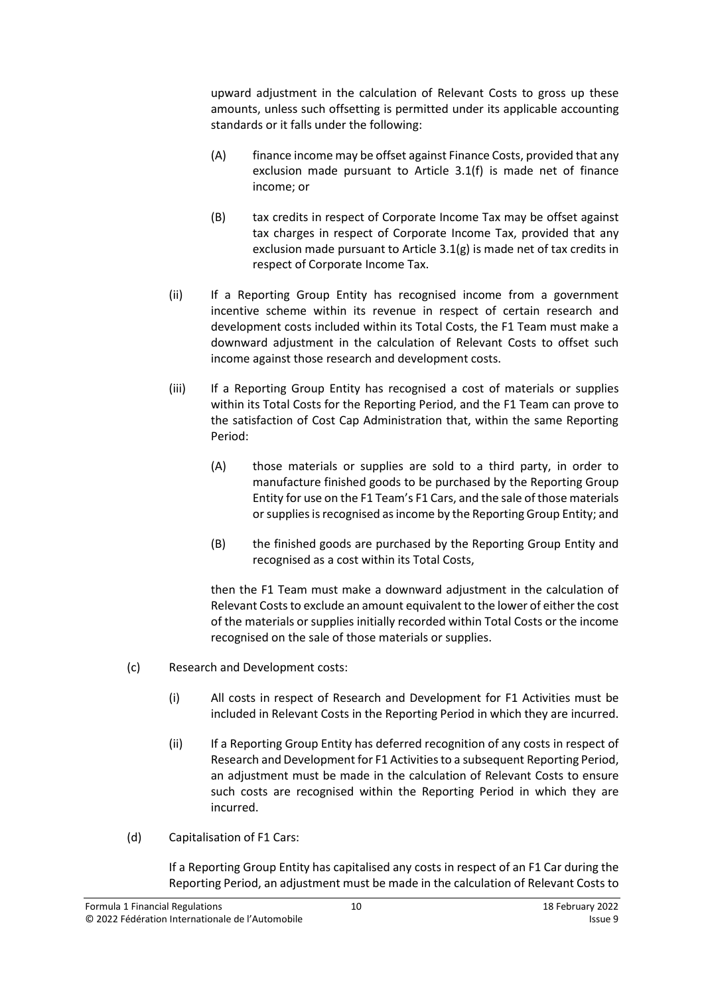upward adjustment in the calculation of Relevant Costs to gross up these amounts, unless such offsetting is permitted under its applicable accounting standards or it falls under the following:

- (A) finance income may be offset against Finance Costs, provided that any exclusion made pursuant to Article [3.1\(f\)](#page-5-2) is made net of finance income; or
- (B) tax credits in respect of Corporate Income Tax may be offset against tax charges in respect of Corporate Income Tax, provided that any exclusion made pursuant to Article [3.1\(g\)](#page-5-3) is made net of tax credits in respect of Corporate Income Tax.
- (ii) If a Reporting Group Entity has recognised income from a government incentive scheme within its revenue in respect of certain research and development costs included within its Total Costs, the F1 Team must make a downward adjustment in the calculation of Relevant Costs to offset such income against those research and development costs.
- (iii) If a Reporting Group Entity has recognised a cost of materials or supplies within its Total Costs for the Reporting Period, and the F1 Team can prove to the satisfaction of Cost Cap Administration that, within the same Reporting Period:
	- (A) those materials or supplies are sold to a third party, in order to manufacture finished goods to be purchased by the Reporting Group Entity for use on the F1 Team's F1 Cars, and the sale of those materials or supplies is recognised as income by the Reporting Group Entity; and
	- (B) the finished goods are purchased by the Reporting Group Entity and recognised as a cost within its Total Costs,

then the F1 Team must make a downward adjustment in the calculation of Relevant Costs to exclude an amount equivalent to the lower of either the cost of the materials or supplies initially recorded within Total Costs or the income recognised on the sale of those materials or supplies.

- (c) Research and Development costs:
	- (i) All costs in respect of Research and Development for F1 Activities must be included in Relevant Costs in the Reporting Period in which they are incurred.
	- (ii) If a Reporting Group Entity has deferred recognition of any costs in respect of Research and Development for F1 Activities to a subsequent Reporting Period, an adjustment must be made in the calculation of Relevant Costs to ensure such costs are recognised within the Reporting Period in which they are incurred.
- (d) Capitalisation of F1 Cars:

If a Reporting Group Entity has capitalised any costs in respect of an F1 Car during the Reporting Period, an adjustment must be made in the calculation of Relevant Costs to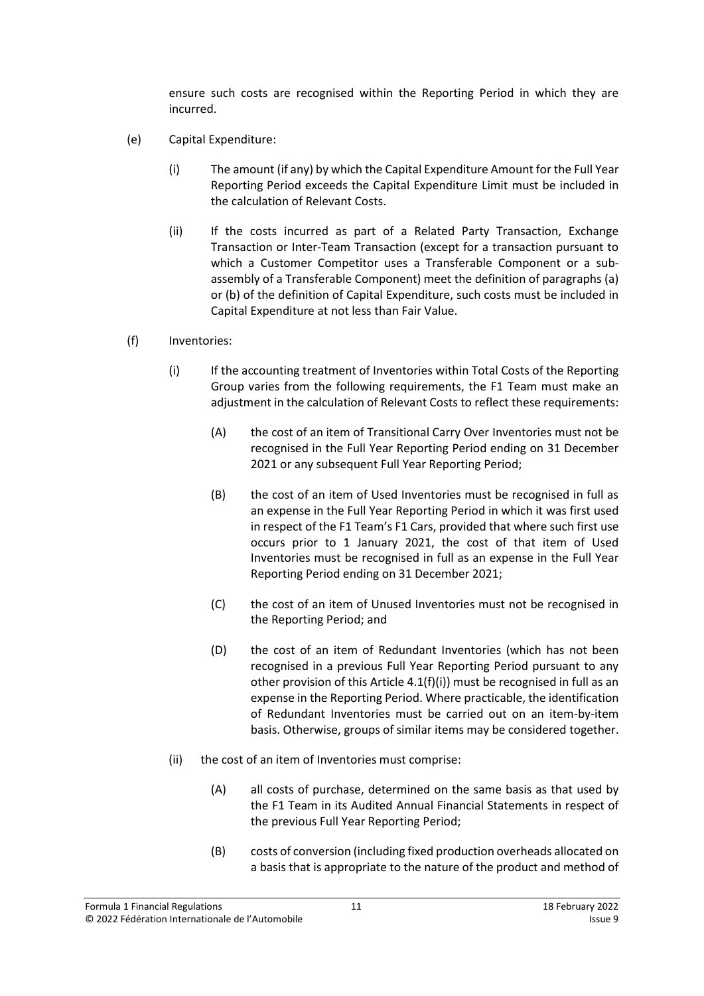ensure such costs are recognised within the Reporting Period in which they are incurred.

- (e) Capital Expenditure:
	- (i) The amount (if any) by which the Capital Expenditure Amount for the Full Year Reporting Period exceeds the Capital Expenditure Limit must be included in the calculation of Relevant Costs.
	- (ii) If the costs incurred as part of a Related Party Transaction, Exchange Transaction or Inter-Team Transaction (except for a transaction pursuant to which a Customer Competitor uses a Transferable Component or a subassembly of a Transferable Component) meet the definition of paragraphs (a) or (b) of the definition of Capital Expenditure, such costs must be included in Capital Expenditure at not less than Fair Value.
- (f) Inventories:
	- (i) If the accounting treatment of Inventories within Total Costs of the Reporting Group varies from the following requirements, the F1 Team must make an adjustment in the calculation of Relevant Costs to reflect these requirements:
		- (A) the cost of an item of Transitional Carry Over Inventories must not be recognised in the Full Year Reporting Period ending on 31 December 2021 or any subsequent Full Year Reporting Period;
		- (B) the cost of an item of Used Inventories must be recognised in full as an expense in the Full Year Reporting Period in which it was first used in respect of the F1 Team's F1 Cars, provided that where such first use occurs prior to 1 January 2021, the cost of that item of Used Inventories must be recognised in full as an expense in the Full Year Reporting Period ending on 31 December 2021;
		- (C) the cost of an item of Unused Inventories must not be recognised in the Reporting Period; and
		- (D) the cost of an item of Redundant Inventories (which has not been recognised in a previous Full Year Reporting Period pursuant to any other provision of this Article 4.1(f)(i)) must be recognised in full as an expense in the Reporting Period. Where practicable, the identification of Redundant Inventories must be carried out on an item-by-item basis. Otherwise, groups of similar items may be considered together.
	- (ii) the cost of an item of Inventories must comprise:
		- (A) all costs of purchase, determined on the same basis as that used by the F1 Team in its Audited Annual Financial Statements in respect of the previous Full Year Reporting Period;
		- (B) costs of conversion (including fixed production overheads allocated on a basis that is appropriate to the nature of the product and method of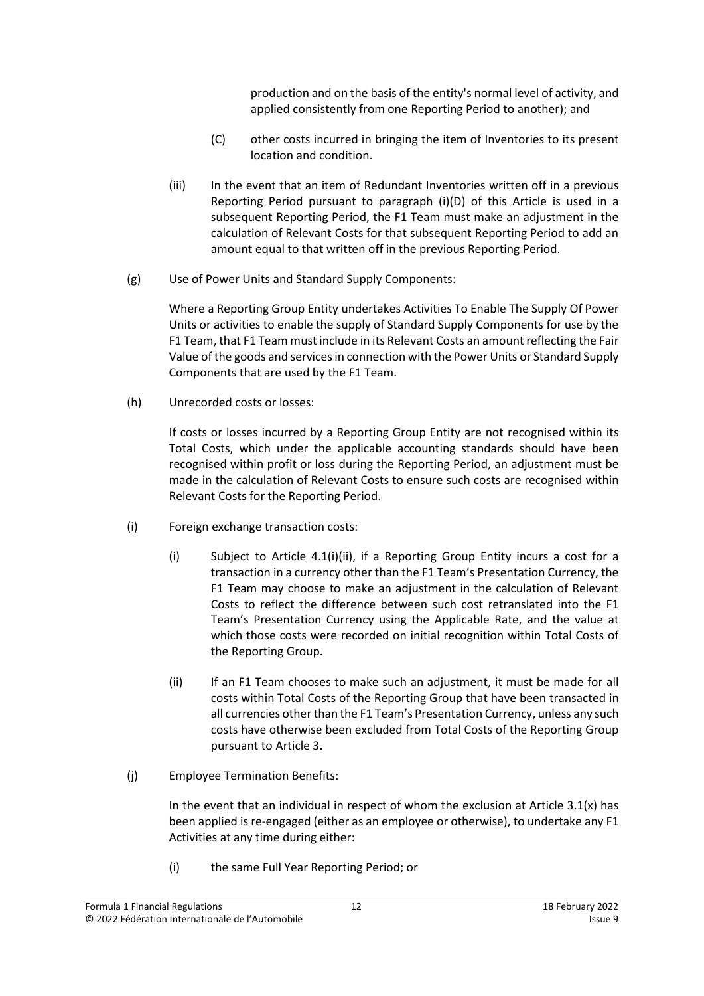production and on the basis of the entity's normal level of activity, and applied consistently from one Reporting Period to another); and

- (C) other costs incurred in bringing the item of Inventories to its present location and condition.
- (iii) In the event that an item of Redundant Inventories written off in a previous Reporting Period pursuant to paragraph (i)(D) of this Article is used in a subsequent Reporting Period, the F1 Team must make an adjustment in the calculation of Relevant Costs for that subsequent Reporting Period to add an amount equal to that written off in the previous Reporting Period.
- (g) Use of Power Units and Standard Supply Components:

Where a Reporting Group Entity undertakes Activities To Enable The Supply Of Power Units or activities to enable the supply of Standard Supply Components for use by the F1 Team, that F1 Team must include in its Relevant Costs an amount reflecting the Fair Value of the goods and servicesin connection with the Power Units or Standard Supply Components that are used by the F1 Team.

(h) Unrecorded costs or losses:

If costs or losses incurred by a Reporting Group Entity are not recognised within its Total Costs, which under the applicable accounting standards should have been recognised within profit or loss during the Reporting Period, an adjustment must be made in the calculation of Relevant Costs to ensure such costs are recognised within Relevant Costs for the Reporting Period.

- (i) Foreign exchange transaction costs:
	- (i) Subject to Article [4.1\(i\)\(ii\),](#page-11-0) if a Reporting Group Entity incurs a cost for a transaction in a currency other than the F1 Team's Presentation Currency, the F1 Team may choose to make an adjustment in the calculation of Relevant Costs to reflect the difference between such cost retranslated into the F1 Team's Presentation Currency using the Applicable Rate, and the value at which those costs were recorded on initial recognition within Total Costs of the Reporting Group.
	- (ii) If an F1 Team chooses to make such an adjustment, it must be made for all costs within Total Costs of the Reporting Group that have been transacted in all currencies other than the F1 Team's Presentation Currency, unless any such costs have otherwise been excluded from Total Costs of the Reporting Group pursuant to Article 3.
- <span id="page-11-0"></span>(j) Employee Termination Benefits:

In the event that an individual in respect of whom the exclusion at Article  $3.1(x)$  has been applied is re-engaged (either as an employee or otherwise), to undertake any F1 Activities at any time during either:

(i) the same Full Year Reporting Period; or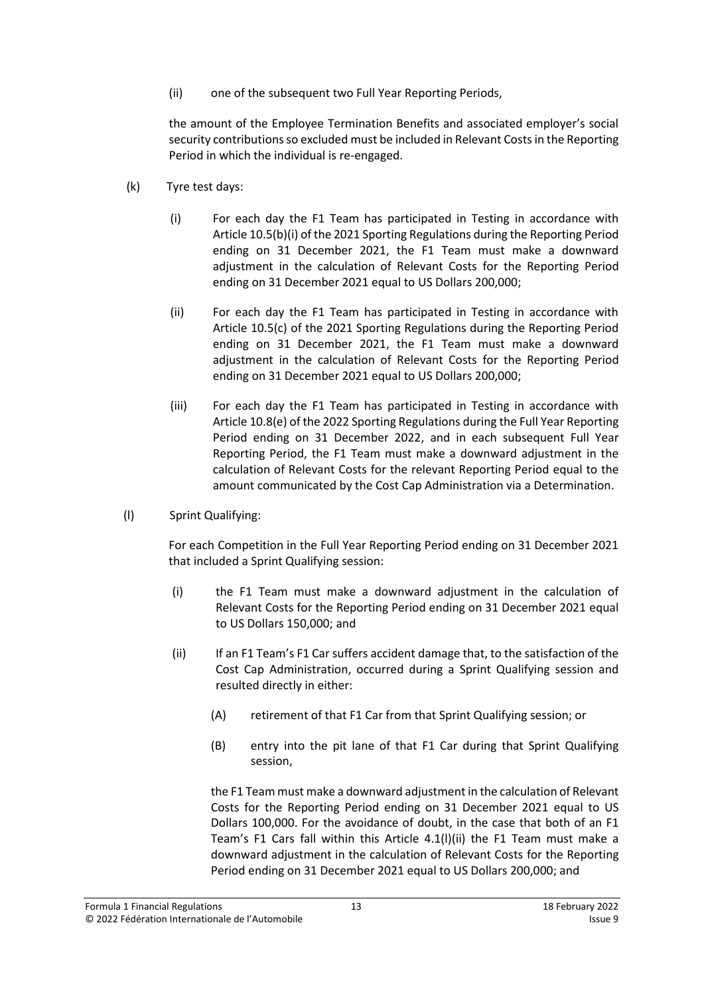(ii) one of the subsequent two Full Year Reporting Periods,

the amount of the Employee Termination Benefits and associated employer's social security contributions so excluded must be included in Relevant Costs in the Reporting Period in which the individual is re-engaged.

- (k) Tyre test days:
	- (i) For each day the F1 Team has participated in Testing in accordance with Article 10.5(b)(i) of the 2021 Sporting Regulations during the Reporting Period ending on 31 December 2021, the F1 Team must make a downward adjustment in the calculation of Relevant Costs for the Reporting Period ending on 31 December 2021 equal to US Dollars 200,000;
	- (ii) For each day the F1 Team has participated in Testing in accordance with Article 10.5(c) of the 2021 Sporting Regulations during the Reporting Period ending on 31 December 2021, the F1 Team must make a downward adjustment in the calculation of Relevant Costs for the Reporting Period ending on 31 December 2021 equal to US Dollars 200,000;
	- (iii) For each day the F1 Team has participated in Testing in accordance with Article 10.8(e) of the 2022 Sporting Regulations during the Full Year Reporting Period ending on 31 December 2022, and in each subsequent Full Year Reporting Period, the F1 Team must make a downward adjustment in the calculation of Relevant Costs for the relevant Reporting Period equal to the amount communicated by the Cost Cap Administration via a Determination.
- (l) Sprint Qualifying:

For each Competition in the Full Year Reporting Period ending on 31 December 2021 that included a Sprint Qualifying session:

- (i) the F1 Team must make a downward adjustment in the calculation of Relevant Costs for the Reporting Period ending on 31 December 2021 equal to US Dollars 150,000; and
- (ii) If an F1 Team's F1 Car suffers accident damage that, to the satisfaction of the Cost Cap Administration, occurred during a Sprint Qualifying session and resulted directly in either:
	- (A) retirement of that F1 Car from that Sprint Qualifying session; or
	- (B) entry into the pit lane of that F1 Car during that Sprint Qualifying session,

the F1 Team must make a downward adjustment in the calculation of Relevant Costs for the Reporting Period ending on 31 December 2021 equal to US Dollars 100,000. For the avoidance of doubt, in the case that both of an F1 Team's F1 Cars fall within this Article 4.1(l)(ii) the F1 Team must make a downward adjustment in the calculation of Relevant Costs for the Reporting Period ending on 31 December 2021 equal to US Dollars 200,000; and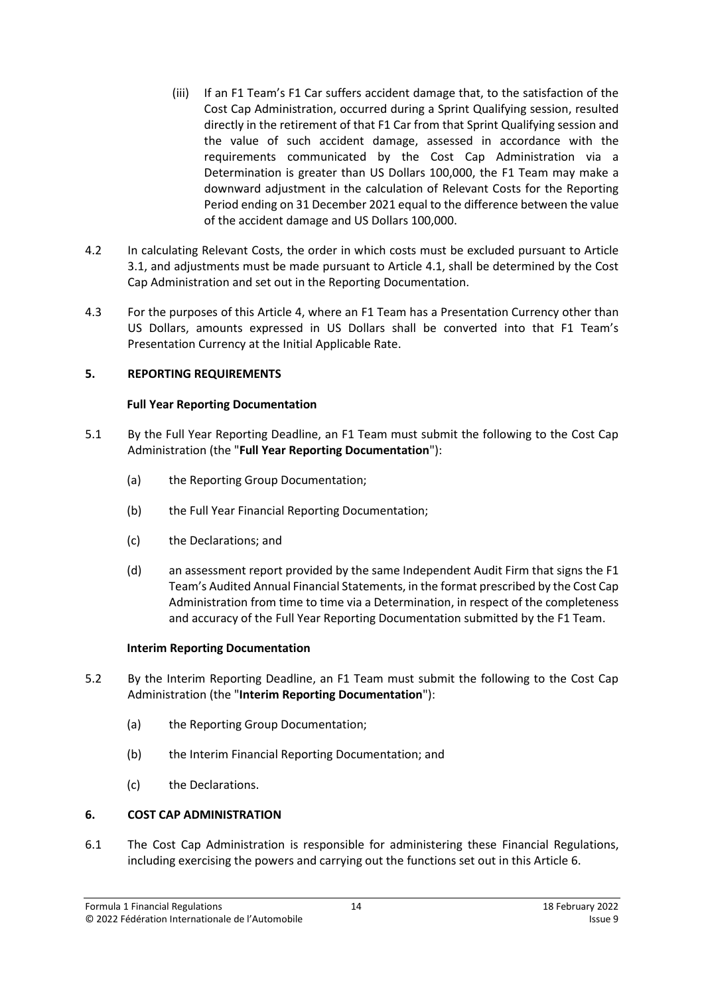- (iii) If an F1 Team's F1 Car suffers accident damage that, to the satisfaction of the Cost Cap Administration, occurred during a Sprint Qualifying session, resulted directly in the retirement of that F1 Car from that Sprint Qualifying session and the value of such accident damage, assessed in accordance with the requirements communicated by the Cost Cap Administration via a Determination is greater than US Dollars 100,000, the F1 Team may make a downward adjustment in the calculation of Relevant Costs for the Reporting Period ending on 31 December 2021 equal to the difference between the value of the accident damage and US Dollars 100,000.
- 4.2 In calculating Relevant Costs, the order in which costs must be excluded pursuant to Article 3.1, and adjustments must be made pursuant to Article 4.1, shall be determined by the Cost Cap Administration and set out in the Reporting Documentation.
- 4.3 For the purposes of this Article 4, where an F1 Team has a Presentation Currency other than US Dollars, amounts expressed in US Dollars shall be converted into that F1 Team's Presentation Currency at the Initial Applicable Rate.

# <span id="page-13-0"></span>**5. REPORTING REQUIREMENTS**

### **Full Year Reporting Documentation**

- <span id="page-13-3"></span>5.1 By the Full Year Reporting Deadline, an F1 Team must submit the following to the Cost Cap Administration (the "**Full Year Reporting Documentation**"):
	- (a) the Reporting Group Documentation;
	- (b) the Full Year Financial Reporting Documentation;
	- (c) the Declarations; and
	- (d) an assessment report provided by the same Independent Audit Firm that signs the F1 Team's Audited Annual Financial Statements, in the format prescribed by the Cost Cap Administration from time to time via a Determination, in respect of the completeness and accuracy of the Full Year Reporting Documentation submitted by the F1 Team.

#### **Interim Reporting Documentation**

- <span id="page-13-2"></span>5.2 By the Interim Reporting Deadline, an F1 Team must submit the following to the Cost Cap Administration (the "**Interim Reporting Documentation**"):
	- (a) the Reporting Group Documentation;
	- (b) the Interim Financial Reporting Documentation; and
	- (c) the Declarations.

#### <span id="page-13-1"></span>**6. COST CAP ADMINISTRATION**

6.1 The Cost Cap Administration is responsible for administering these Financial Regulations, including exercising the powers and carrying out the functions set out in this Article [6.](#page-13-1)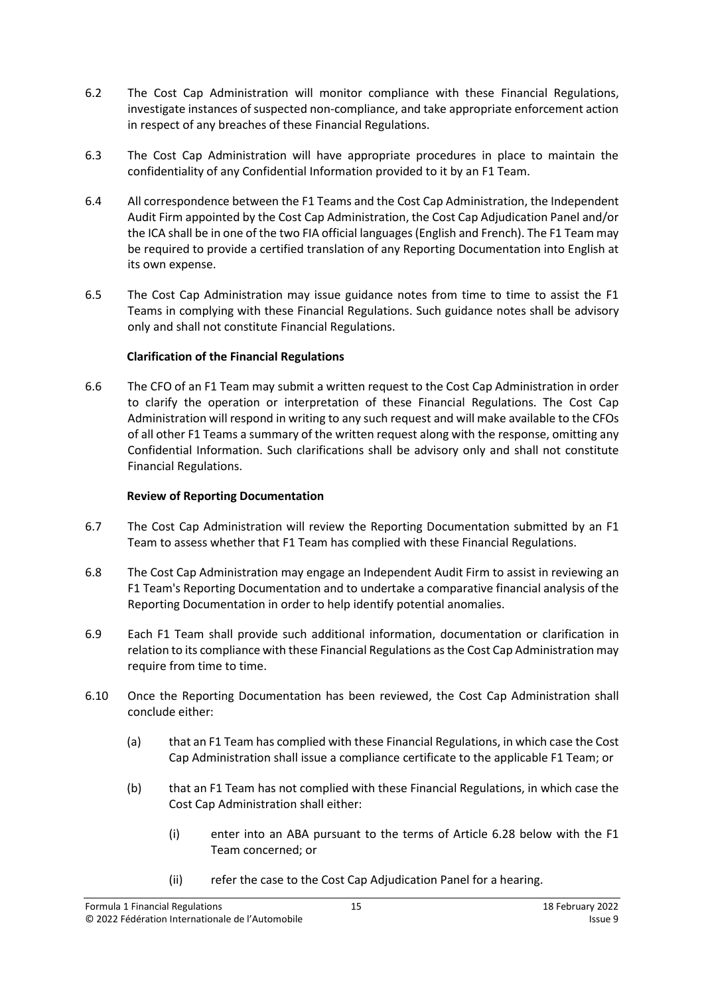- 6.2 The Cost Cap Administration will monitor compliance with these Financial Regulations, investigate instances of suspected non-compliance, and take appropriate enforcement action in respect of any breaches of these Financial Regulations.
- 6.3 The Cost Cap Administration will have appropriate procedures in place to maintain the confidentiality of any Confidential Information provided to it by an F1 Team.
- 6.4 All correspondence between the F1 Teams and the Cost Cap Administration, the Independent Audit Firm appointed by the Cost Cap Administration, the Cost Cap Adjudication Panel and/or the ICA shall be in one of the two FIA official languages (English and French). The F1 Team may be required to provide a certified translation of any Reporting Documentation into English at its own expense.
- 6.5 The Cost Cap Administration may issue guidance notes from time to time to assist the F1 Teams in complying with these Financial Regulations. Such guidance notes shall be advisory only and shall not constitute Financial Regulations.

# **Clarification of the Financial Regulations**

6.6 The CFO of an F1 Team may submit a written request to the Cost Cap Administration in order to clarify the operation or interpretation of these Financial Regulations. The Cost Cap Administration will respond in writing to any such request and will make available to the CFOs of all other F1 Teams a summary of the written request along with the response, omitting any Confidential Information. Such clarifications shall be advisory only and shall not constitute Financial Regulations.

# **Review of Reporting Documentation**

- 6.7 The Cost Cap Administration will review the Reporting Documentation submitted by an F1 Team to assess whether that F1 Team has complied with these Financial Regulations.
- 6.8 The Cost Cap Administration may engage an Independent Audit Firm to assist in reviewing an F1 Team's Reporting Documentation and to undertake a comparative financial analysis of the Reporting Documentation in order to help identify potential anomalies.
- 6.9 Each F1 Team shall provide such additional information, documentation or clarification in relation to its compliance with these Financial Regulations as the Cost Cap Administration may require from time to time.
- 6.10 Once the Reporting Documentation has been reviewed, the Cost Cap Administration shall conclude either:
	- (a) that an F1 Team has complied with these Financial Regulations, in which case the Cost Cap Administration shall issue a compliance certificate to the applicable F1 Team; or
	- (b) that an F1 Team has not complied with these Financial Regulations, in which case the Cost Cap Administration shall either:
		- (i) enter into an ABA pursuant to the terms of Article [6.28](#page-18-0) below with the F1 Team concerned; or
		- (ii) refer the case to the Cost Cap Adjudication Panel for a hearing.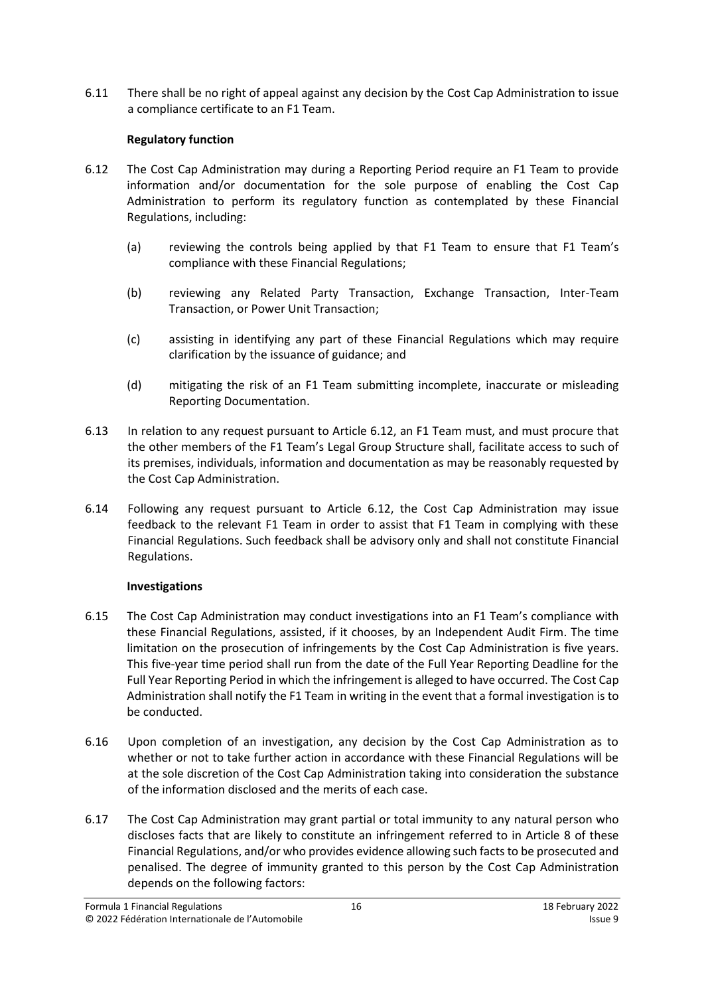6.11 There shall be no right of appeal against any decision by the Cost Cap Administration to issue a compliance certificate to an F1 Team.

# **Regulatory function**

- <span id="page-15-0"></span>6.12 The Cost Cap Administration may during a Reporting Period require an F1 Team to provide information and/or documentation for the sole purpose of enabling the Cost Cap Administration to perform its regulatory function as contemplated by these Financial Regulations, including:
	- (a) reviewing the controls being applied by that F1 Team to ensure that F1 Team's compliance with these Financial Regulations;
	- (b) reviewing any Related Party Transaction, Exchange Transaction, Inter-Team Transaction, or Power Unit Transaction;
	- (c) assisting in identifying any part of these Financial Regulations which may require clarification by the issuance of guidance; and
	- (d) mitigating the risk of an F1 Team submitting incomplete, inaccurate or misleading Reporting Documentation.
- 6.13 In relation to any request pursuant to Article [6.12,](#page-15-0) an F1 Team must, and must procure that the other members of the F1 Team's Legal Group Structure shall, facilitate access to such of its premises, individuals, information and documentation as may be reasonably requested by the Cost Cap Administration.
- 6.14 Following any request pursuant to Article [6.12,](#page-15-0) the Cost Cap Administration may issue feedback to the relevant F1 Team in order to assist that F1 Team in complying with these Financial Regulations. Such feedback shall be advisory only and shall not constitute Financial Regulations.

# **Investigations**

- 6.15 The Cost Cap Administration may conduct investigations into an F1 Team's compliance with these Financial Regulations, assisted, if it chooses, by an Independent Audit Firm. The time limitation on the prosecution of infringements by the Cost Cap Administration is five years. This five-year time period shall run from the date of the Full Year Reporting Deadline for the Full Year Reporting Period in which the infringement is alleged to have occurred. The Cost Cap Administration shall notify the F1 Team in writing in the event that a formal investigation is to be conducted.
- 6.16 Upon completion of an investigation, any decision by the Cost Cap Administration as to whether or not to take further action in accordance with these Financial Regulations will be at the sole discretion of the Cost Cap Administration taking into consideration the substance of the information disclosed and the merits of each case.
- 6.17 The Cost Cap Administration may grant partial or total immunity to any natural person who discloses facts that are likely to constitute an infringement referred to in Article 8 of these Financial Regulations, and/or who provides evidence allowing such facts to be prosecuted and penalised. The degree of immunity granted to this person by the Cost Cap Administration depends on the following factors: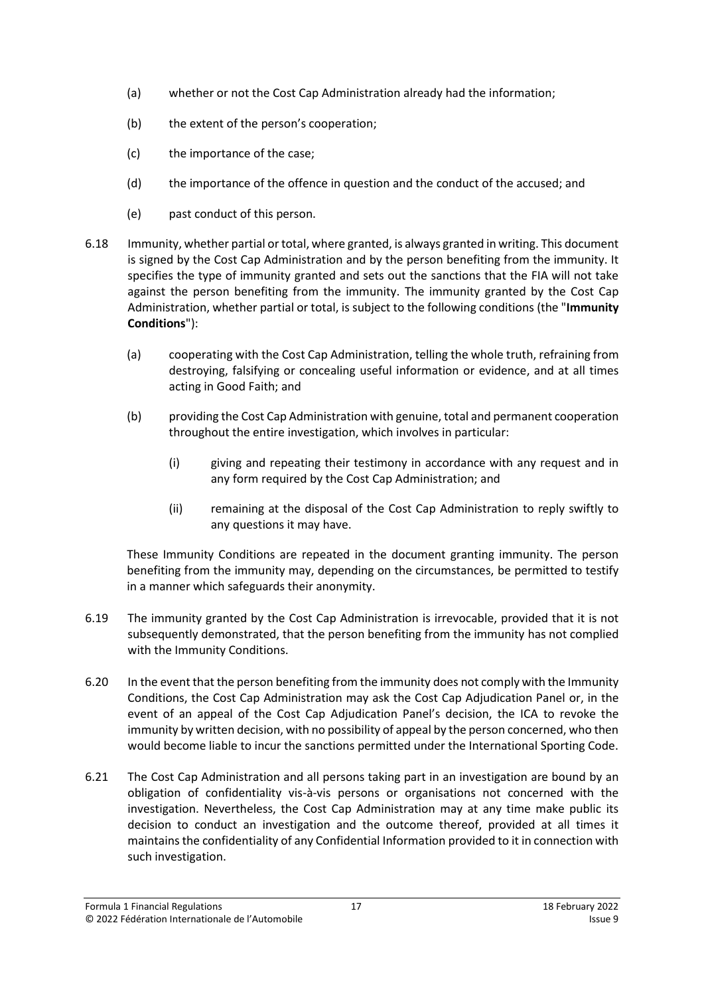- (a) whether or not the Cost Cap Administration already had the information;
- (b) the extent of the person's cooperation;
- (c) the importance of the case;
- (d) the importance of the offence in question and the conduct of the accused; and
- <span id="page-16-0"></span>(e) past conduct of this person.
- 6.18 Immunity, whether partial or total, where granted, is always granted in writing. This document is signed by the Cost Cap Administration and by the person benefiting from the immunity. It specifies the type of immunity granted and sets out the sanctions that the FIA will not take against the person benefiting from the immunity. The immunity granted by the Cost Cap Administration, whether partial or total, is subject to the following conditions (the "**Immunity Conditions**"):
	- (a) cooperating with the Cost Cap Administration, telling the whole truth, refraining from destroying, falsifying or concealing useful information or evidence, and at all times acting in Good Faith; and
	- (b) providing the Cost Cap Administration with genuine, total and permanent cooperation throughout the entire investigation, which involves in particular:
		- (i) giving and repeating their testimony in accordance with any request and in any form required by the Cost Cap Administration; and
		- (ii) remaining at the disposal of the Cost Cap Administration to reply swiftly to any questions it may have.

These Immunity Conditions are repeated in the document granting immunity. The person benefiting from the immunity may, depending on the circumstances, be permitted to testify in a manner which safeguards their anonymity.

- 6.19 The immunity granted by the Cost Cap Administration is irrevocable, provided that it is not subsequently demonstrated, that the person benefiting from the immunity has not complied with the Immunity Conditions.
- 6.20 In the event that the person benefiting from the immunity does not comply with the Immunity Conditions, the Cost Cap Administration may ask the Cost Cap Adjudication Panel or, in the event of an appeal of the Cost Cap Adjudication Panel's decision, the ICA to revoke the immunity by written decision, with no possibility of appeal by the person concerned, who then would become liable to incur the sanctions permitted under the International Sporting Code.
- 6.21 The Cost Cap Administration and all persons taking part in an investigation are bound by an obligation of confidentiality vis-à-vis persons or organisations not concerned with the investigation. Nevertheless, the Cost Cap Administration may at any time make public its decision to conduct an investigation and the outcome thereof, provided at all times it maintains the confidentiality of any Confidential Information provided to it in connection with such investigation.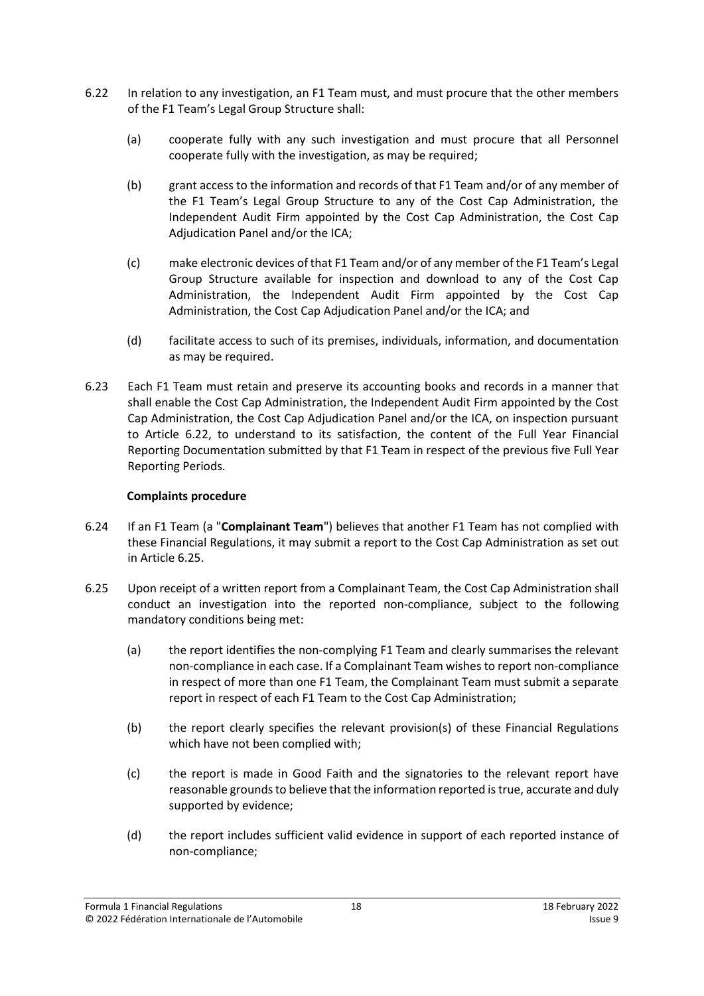- <span id="page-17-0"></span>6.22 In relation to any investigation, an F1 Team must, and must procure that the other members of the F1 Team's Legal Group Structure shall:
	- (a) cooperate fully with any such investigation and must procure that all Personnel cooperate fully with the investigation, as may be required;
	- (b) grant access to the information and records of that F1 Team and/or of any member of the F1 Team's Legal Group Structure to any of the Cost Cap Administration, the Independent Audit Firm appointed by the Cost Cap Administration, the Cost Cap Adjudication Panel and/or the ICA;
	- (c) make electronic devices of that F1 Team and/or of any member of the F1 Team's Legal Group Structure available for inspection and download to any of the Cost Cap Administration, the Independent Audit Firm appointed by the Cost Cap Administration, the Cost Cap Adjudication Panel and/or the ICA; and
	- (d) facilitate access to such of its premises, individuals, information, and documentation as may be required.
- 6.23 Each F1 Team must retain and preserve its accounting books and records in a manner that shall enable the Cost Cap Administration, the Independent Audit Firm appointed by the Cost Cap Administration, the Cost Cap Adjudication Panel and/or the ICA, on inspection pursuant to Article [6.22,](#page-17-0) to understand to its satisfaction, the content of the Full Year Financial Reporting Documentation submitted by that F1 Team in respect of the previous five Full Year Reporting Periods.

# **Complaints procedure**

- <span id="page-17-2"></span>6.24 If an F1 Team (a "**Complainant Team**") believes that another F1 Team has not complied with these Financial Regulations, it may submit a report to the Cost Cap Administration as set out in Article [6.25.](#page-17-1)
- <span id="page-17-1"></span>6.25 Upon receipt of a written report from a Complainant Team, the Cost Cap Administration shall conduct an investigation into the reported non-compliance, subject to the following mandatory conditions being met:
	- (a) the report identifies the non-complying F1 Team and clearly summarises the relevant non-compliance in each case. If a Complainant Team wishes to report non-compliance in respect of more than one F1 Team, the Complainant Team must submit a separate report in respect of each F1 Team to the Cost Cap Administration;
	- (b) the report clearly specifies the relevant provision(s) of these Financial Regulations which have not been complied with;
	- (c) the report is made in Good Faith and the signatories to the relevant report have reasonable grounds to believe that the information reported is true, accurate and duly supported by evidence;
	- (d) the report includes sufficient valid evidence in support of each reported instance of non-compliance;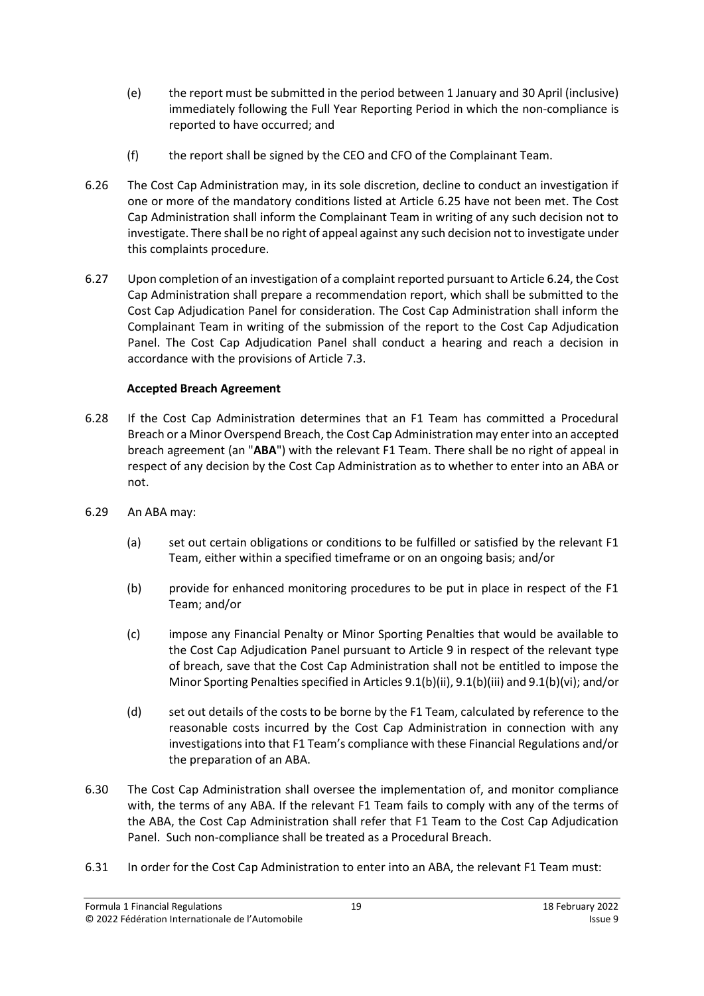- (e) the report must be submitted in the period between 1 January and 30 April (inclusive) immediately following the Full Year Reporting Period in which the non-compliance is reported to have occurred; and
- (f) the report shall be signed by the CEO and CFO of the Complainant Team.
- 6.26 The Cost Cap Administration may, in its sole discretion, decline to conduct an investigation if one or more of the mandatory conditions listed at Article [6.25](#page-17-1) have not been met. The Cost Cap Administration shall inform the Complainant Team in writing of any such decision not to investigate. There shall be no right of appeal against any such decision not to investigate under this complaints procedure.
- 6.27 Upon completion of an investigation of a complaint reported pursuant to Articl[e 6.24,](#page-17-2) the Cost Cap Administration shall prepare a recommendation report, which shall be submitted to the Cost Cap Adjudication Panel for consideration. The Cost Cap Administration shall inform the Complainant Team in writing of the submission of the report to the Cost Cap Adjudication Panel. The Cost Cap Adjudication Panel shall conduct a hearing and reach a decision in accordance with the provisions of Articl[e 7.3.](#page-19-1)

# **Accepted Breach Agreement**

- <span id="page-18-0"></span>6.28 If the Cost Cap Administration determines that an F1 Team has committed a Procedural Breach or a Minor Overspend Breach, the Cost Cap Administration may enter into an accepted breach agreement (an "**ABA**") with the relevant F1 Team. There shall be no right of appeal in respect of any decision by the Cost Cap Administration as to whether to enter into an ABA or not.
- 6.29 An ABA may:
	- (a) set out certain obligations or conditions to be fulfilled or satisfied by the relevant F1 Team, either within a specified timeframe or on an ongoing basis; and/or
	- (b) provide for enhanced monitoring procedures to be put in place in respect of the F1 Team; and/or
	- (c) impose any Financial Penalty or Minor Sporting Penalties that would be available to the Cost Cap Adjudication Panel pursuant to Article [9](#page-25-0) in respect of the relevant type of breach, save that the Cost Cap Administration shall not be entitled to impose the Minor Sporting Penalties specified in Article[s 9.1\(b\)\(ii\),](#page-26-0) [9.1\(b\)\(iii\)](#page-26-1) an[d 9.1\(b\)\(vi\);](#page-26-2) and/or
	- (d) set out details of the costs to be borne by the F1 Team, calculated by reference to the reasonable costs incurred by the Cost Cap Administration in connection with any investigations into that F1 Team's compliance with these Financial Regulations and/or the preparation of an ABA.
- <span id="page-18-1"></span>6.30 The Cost Cap Administration shall oversee the implementation of, and monitor compliance with, the terms of any ABA. If the relevant F1 Team fails to comply with any of the terms of the ABA, the Cost Cap Administration shall refer that F1 Team to the Cost Cap Adjudication Panel. Such non-compliance shall be treated as a Procedural Breach.
- 6.31 In order for the Cost Cap Administration to enter into an ABA, the relevant F1 Team must: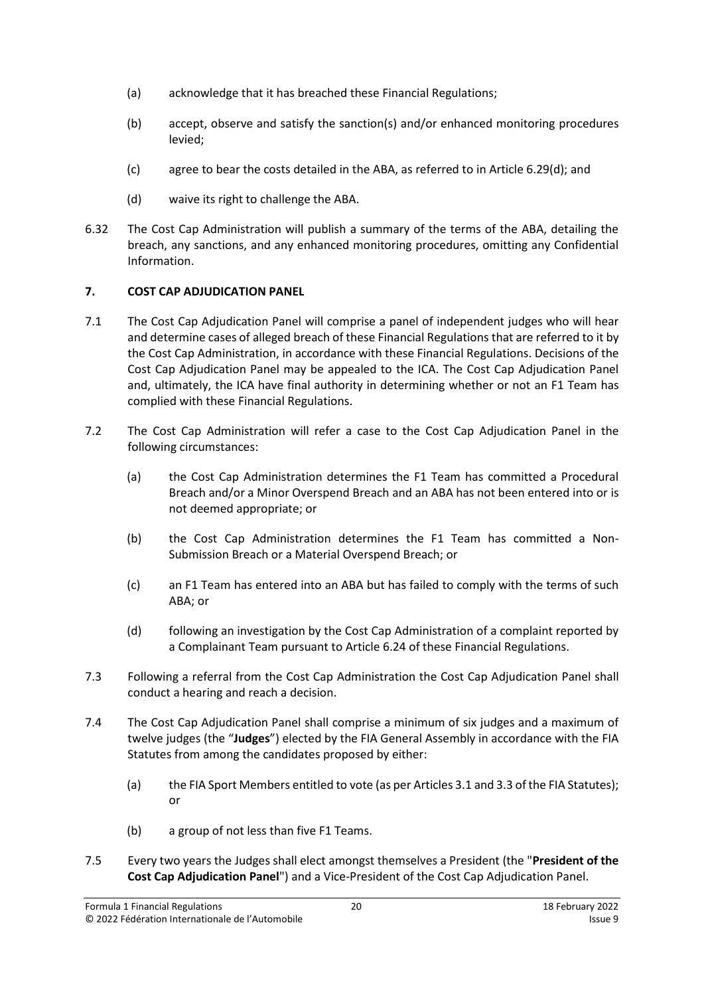- (a) acknowledge that it has breached these Financial Regulations;
- (b) accept, observe and satisfy the sanction(s) and/or enhanced monitoring procedures levied;
- (c) agree to bear the costs detailed in the ABA, as referred to in Article [6.29\(d\);](#page-18-1) and
- (d) waive its right to challenge the ABA.
- 6.32 The Cost Cap Administration will publish a summary of the terms of the ABA, detailing the breach, any sanctions, and any enhanced monitoring procedures, omitting any Confidential Information.

# <span id="page-19-0"></span>**7. COST CAP ADJUDICATION PANEL**

- 7.1 The Cost Cap Adjudication Panel will comprise a panel of independent judges who will hear and determine cases of alleged breach of these Financial Regulations that are referred to it by the Cost Cap Administration, in accordance with these Financial Regulations. Decisions of the Cost Cap Adjudication Panel may be appealed to the ICA. The Cost Cap Adjudication Panel and, ultimately, the ICA have final authority in determining whether or not an F1 Team has complied with these Financial Regulations.
- 7.2 The Cost Cap Administration will refer a case to the Cost Cap Adjudication Panel in the following circumstances:
	- (a) the Cost Cap Administration determines the F1 Team has committed a Procedural Breach and/or a Minor Overspend Breach and an ABA has not been entered into or is not deemed appropriate; or
	- (b) the Cost Cap Administration determines the F1 Team has committed a Non-Submission Breach or a Material Overspend Breach; or
	- (c) an F1 Team has entered into an ABA but has failed to comply with the terms of such ABA; or
	- (d) following an investigation by the Cost Cap Administration of a complaint reported by a Complainant Team pursuant to Article 6.24 of these Financial Regulations.
- <span id="page-19-1"></span>7.3 Following a referral from the Cost Cap Administration the Cost Cap Adjudication Panel shall conduct a hearing and reach a decision.
- <span id="page-19-2"></span>7.4 The Cost Cap Adjudication Panel shall comprise a minimum of six judges and a maximum of twelve judges (the "**Judges**") elected by the FIA General Assembly in accordance with the FIA Statutes from among the candidates proposed by either:
	- (a) the FIA Sport Members entitled to vote (as per Articles 3.1 and 3.3 of the FIA Statutes); or
	- (b) a group of not less than five F1 Teams.
- 7.5 Every two years the Judges shall elect amongst themselves a President (the "**President of the Cost Cap Adjudication Panel**") and a Vice-President of the Cost Cap Adjudication Panel.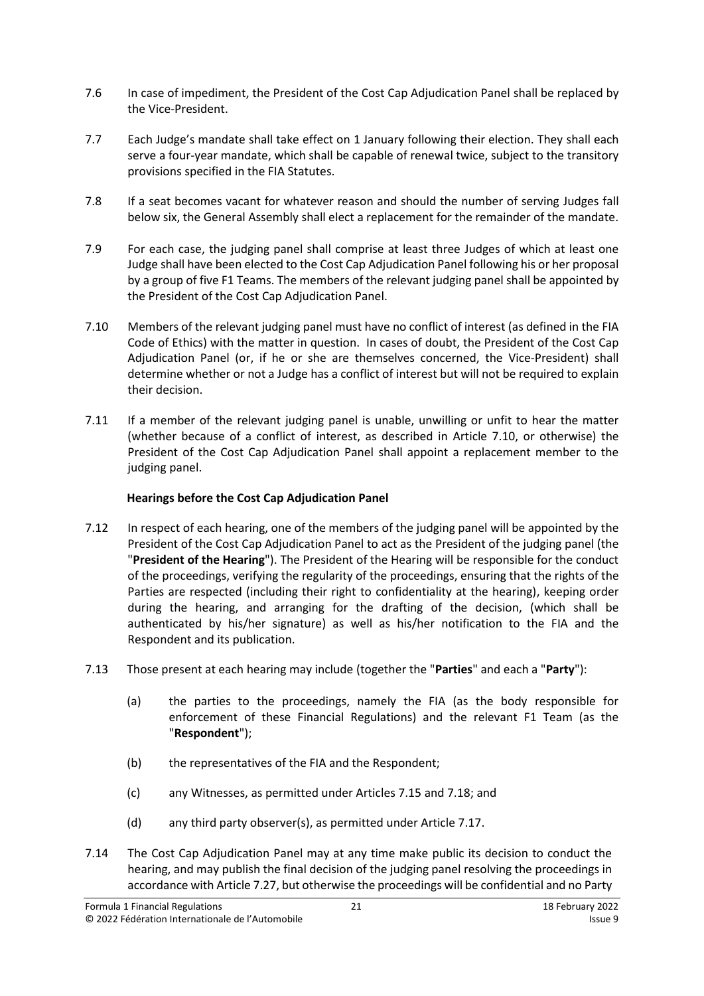- 7.6 In case of impediment, the President of the Cost Cap Adjudication Panel shall be replaced by the Vice-President.
- 7.7 Each Judge's mandate shall take effect on 1 January following their election. They shall each serve a four-year mandate, which shall be capable of renewal twice, subject to the transitory provisions specified in the FIA Statutes.
- 7.8 If a seat becomes vacant for whatever reason and should the number of serving Judges fall below six, the General Assembly shall elect a replacement for the remainder of the mandate.
- 7.9 For each case, the judging panel shall comprise at least three Judges of which at least one Judge shall have been elected to the Cost Cap Adjudication Panel following his or her proposal by a group of five F1 Teams. The members of the relevant judging panel shall be appointed by the President of the Cost Cap Adjudication Panel.
- <span id="page-20-0"></span>7.10 Members of the relevant judging panel must have no conflict of interest (as defined in the FIA Code of Ethics) with the matter in question. In cases of doubt, the President of the Cost Cap Adjudication Panel (or, if he or she are themselves concerned, the Vice‐President) shall determine whether or not a Judge has a conflict of interest but will not be required to explain their decision.
- 7.11 If a member of the relevant judging panel is unable, unwilling or unfit to hear the matter (whether because of a conflict of interest, as described in Article [7.10,](#page-20-0) or otherwise) the President of the Cost Cap Adjudication Panel shall appoint a replacement member to the judging panel.

# **Hearings before the Cost Cap Adjudication Panel**

- <span id="page-20-2"></span>7.12 In respect of each hearing, one of the members of the judging panel will be appointed by the President of the Cost Cap Adjudication Panel to act as the President of the judging panel (the "**President of the Hearing**"). The President of the Hearing will be responsible for the conduct of the proceedings, verifying the regularity of the proceedings, ensuring that the rights of the Parties are respected (including their right to confidentiality at the hearing), keeping order during the hearing, and arranging for the drafting of the decision, (which shall be authenticated by his/her signature) as well as his/her notification to the FIA and the Respondent and its publication.
- <span id="page-20-3"></span><span id="page-20-1"></span>7.13 Those present at each hearing may include (together the "**Parties**" and each a "**Party**"):
	- (a) the parties to the proceedings, namely the FIA (as the body responsible for enforcement of these Financial Regulations) and the relevant F1 Team (as the "**Respondent**");
	- (b) the representatives of the FIA and the Respondent;
	- (c) any Witnesses, as permitted under Articles [7.15](#page-21-0) and [7.18;](#page-21-1) and
	- (d) any third party observer(s), as permitted under Articl[e 7.17.](#page-21-2)
- 7.14 The Cost Cap Adjudication Panel may at any time make public its decision to conduct the hearing, and may publish the final decision of the judging panel resolving the proceedings in accordance with Article [7.27,](#page-22-1) but otherwise the proceedings will be confidential and no Party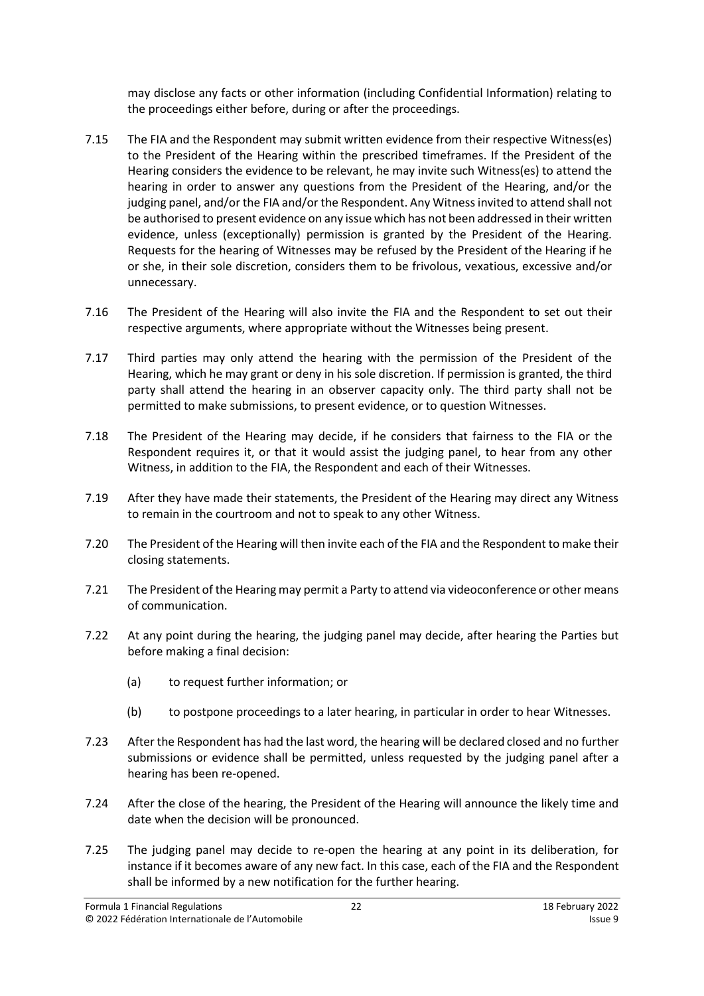may disclose any facts or other information (including Confidential Information) relating to the proceedings either before, during or after the proceedings.

- <span id="page-21-0"></span>7.15 The FIA and the Respondent may submit written evidence from their respective Witness(es) to the President of the Hearing within the prescribed timeframes. If the President of the Hearing considers the evidence to be relevant, he may invite such Witness(es) to attend the hearing in order to answer any questions from the President of the Hearing, and/or the judging panel, and/or the FIA and/or the Respondent. Any Witness invited to attend shall not be authorised to present evidence on any issue which has not been addressed in their written evidence, unless (exceptionally) permission is granted by the President of the Hearing. Requests for the hearing of Witnesses may be refused by the President of the Hearing if he or she, in their sole discretion, considers them to be frivolous, vexatious, excessive and/or unnecessary.
- 7.16 The President of the Hearing will also invite the FIA and the Respondent to set out their respective arguments, where appropriate without the Witnesses being present.
- <span id="page-21-2"></span>7.17 Third parties may only attend the hearing with the permission of the President of the Hearing, which he may grant or deny in his sole discretion. If permission is granted, the third party shall attend the hearing in an observer capacity only. The third party shall not be permitted to make submissions, to present evidence, or to question Witnesses.
- <span id="page-21-1"></span>7.18 The President of the Hearing may decide, if he considers that fairness to the FIA or the Respondent requires it, or that it would assist the judging panel, to hear from any other Witness, in addition to the FIA, the Respondent and each of their Witnesses.
- 7.19 After they have made their statements, the President of the Hearing may direct any Witness to remain in the courtroom and not to speak to any other Witness.
- 7.20 The President of the Hearing will then invite each of the FIA and the Respondent to make their closing statements.
- 7.21 The President of the Hearing may permit a Party to attend via videoconference or other means of communication.
- 7.22 At any point during the hearing, the judging panel may decide, after hearing the Parties but before making a final decision:
	- (a) to request further information; or
	- (b) to postpone proceedings to a later hearing, in particular in order to hear Witnesses.
- 7.23 After the Respondent has had the last word, the hearing will be declared closed and no further submissions or evidence shall be permitted, unless requested by the judging panel after a hearing has been re-opened.
- 7.24 After the close of the hearing, the President of the Hearing will announce the likely time and date when the decision will be pronounced.
- 7.25 The judging panel may decide to re-open the hearing at any point in its deliberation, for instance if it becomes aware of any new fact. In this case, each of the FIA and the Respondent shall be informed by a new notification for the further hearing.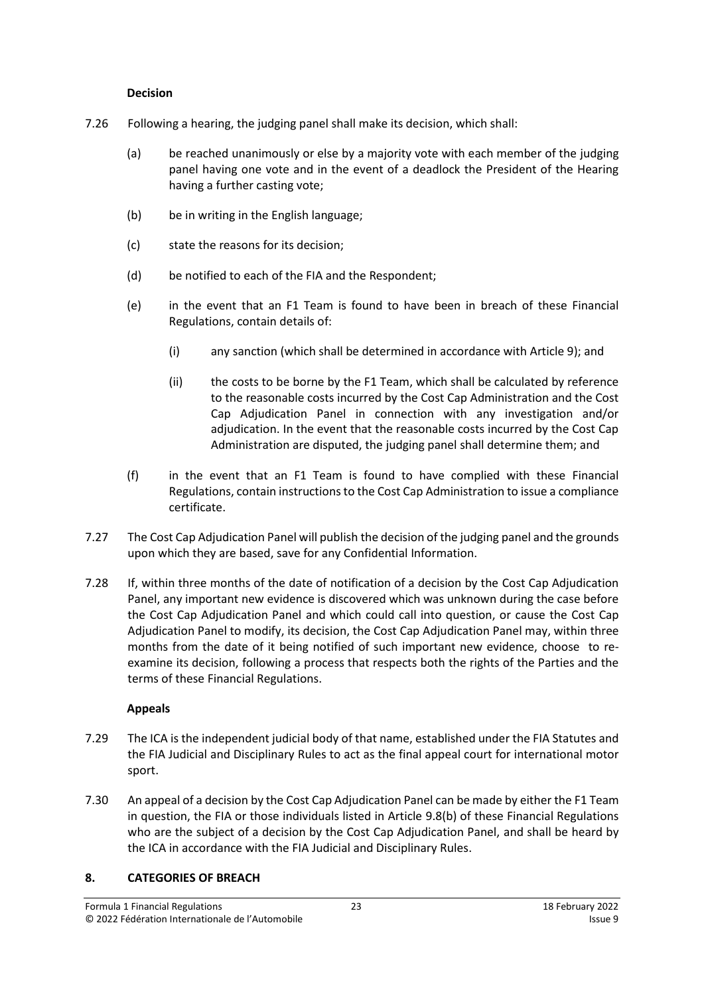#### **Decision**

- 7.26 Following a hearing, the judging panel shall make its decision, which shall:
	- (a) be reached unanimously or else by a majority vote with each member of the judging panel having one vote and in the event of a deadlock the President of the Hearing having a further casting vote;
	- (b) be in writing in the English language;
	- (c) state the reasons for its decision;
	- (d) be notified to each of the FIA and the Respondent;
	- (e) in the event that an F1 Team is found to have been in breach of these Financial Regulations, contain details of:
		- (i) any sanction (which shall be determined in accordance with Article [9\)](#page-25-0); and
		- (ii) the costs to be borne by the F1 Team, which shall be calculated by reference to the reasonable costs incurred by the Cost Cap Administration and the Cost Cap Adjudication Panel in connection with any investigation and/or adjudication. In the event that the reasonable costs incurred by the Cost Cap Administration are disputed, the judging panel shall determine them; and
	- (f) in the event that an F1 Team is found to have complied with these Financial Regulations, contain instructions to the Cost Cap Administration to issue a compliance certificate.
- <span id="page-22-1"></span>7.27 The Cost Cap Adjudication Panel will publish the decision of the judging panel and the grounds upon which they are based, save for any Confidential Information.
- 7.28 If, within three months of the date of notification of a decision by the Cost Cap Adjudication Panel, any important new evidence is discovered which was unknown during the case before the Cost Cap Adjudication Panel and which could call into question, or cause the Cost Cap Adjudication Panel to modify, its decision, the Cost Cap Adjudication Panel may, within three months from the date of it being notified of such important new evidence, choose to reexamine its decision, following a process that respects both the rights of the Parties and the terms of these Financial Regulations.

# **Appeals**

- 7.29 The ICA is the independent judicial body of that name, established under the FIA Statutes and the FIA Judicial and Disciplinary Rules to act as the final appeal court for international motor sport.
- 7.30 An appeal of a decision by the Cost Cap Adjudication Panel can be made by either the F1 Team in question, the FIA or those individuals listed in Article 9.8(b) of these Financial Regulations who are the subject of a decision by the Cost Cap Adjudication Panel, and shall be heard by the ICA in accordance with the FIA Judicial and Disciplinary Rules.

# <span id="page-22-0"></span>**8. CATEGORIES OF BREACH**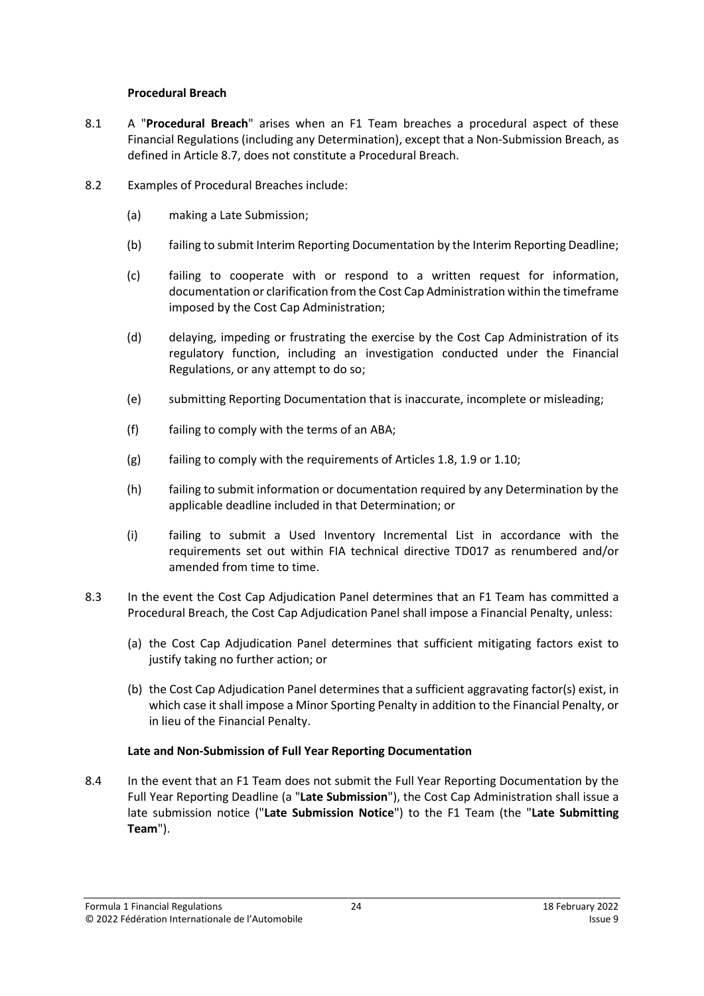#### **Procedural Breach**

- <span id="page-23-1"></span>8.1 A "**Procedural Breach**" arises when an F1 Team breaches a procedural aspect of these Financial Regulations (including any Determination), except that a Non-Submission Breach, as defined in Article [8.7,](#page-24-0) does not constitute a Procedural Breach.
- 8.2 Examples of Procedural Breaches include:
	- (a) making a Late Submission;
	- (b) failing to submit Interim Reporting Documentation by the Interim Reporting Deadline;
	- (c) failing to cooperate with or respond to a written request for information, documentation or clarification from the Cost Cap Administration within the timeframe imposed by the Cost Cap Administration;
	- (d) delaying, impeding or frustrating the exercise by the Cost Cap Administration of its regulatory function, including an investigation conducted under the Financial Regulations, or any attempt to do so;
	- (e) submitting Reporting Documentation that is inaccurate, incomplete or misleading;
	- (f) failing to comply with the terms of an ABA;
	- (g) failing to comply with the requirements of Articles [1.8,](#page-1-1) [1.9](#page-2-1) o[r 1.10;](#page-2-2)
	- (h) failing to submit information or documentation required by any Determination by the applicable deadline included in that Determination; or
	- (i) failing to submit a Used Inventory Incremental List in accordance with the requirements set out within FIA technical directive TD017 as renumbered and/or amended from time to time.
- 8.3 In the event the Cost Cap Adjudication Panel determines that an F1 Team has committed a Procedural Breach, the Cost Cap Adjudication Panel shall impose a Financial Penalty, unless:
	- (a) the Cost Cap Adjudication Panel determines that sufficient mitigating factors exist to justify taking no further action; or
	- (b) the Cost Cap Adjudication Panel determines that a sufficient aggravating factor(s) exist, in which case it shall impose a Minor Sporting Penalty in addition to the Financial Penalty, or in lieu of the Financial Penalty.

#### **Late and Non-Submission of Full Year Reporting Documentation**

<span id="page-23-0"></span>8.4 In the event that an F1 Team does not submit the Full Year Reporting Documentation by the Full Year Reporting Deadline (a "**Late Submission**"), the Cost Cap Administration shall issue a late submission notice ("**Late Submission Notice**") to the F1 Team (the "**Late Submitting Team**").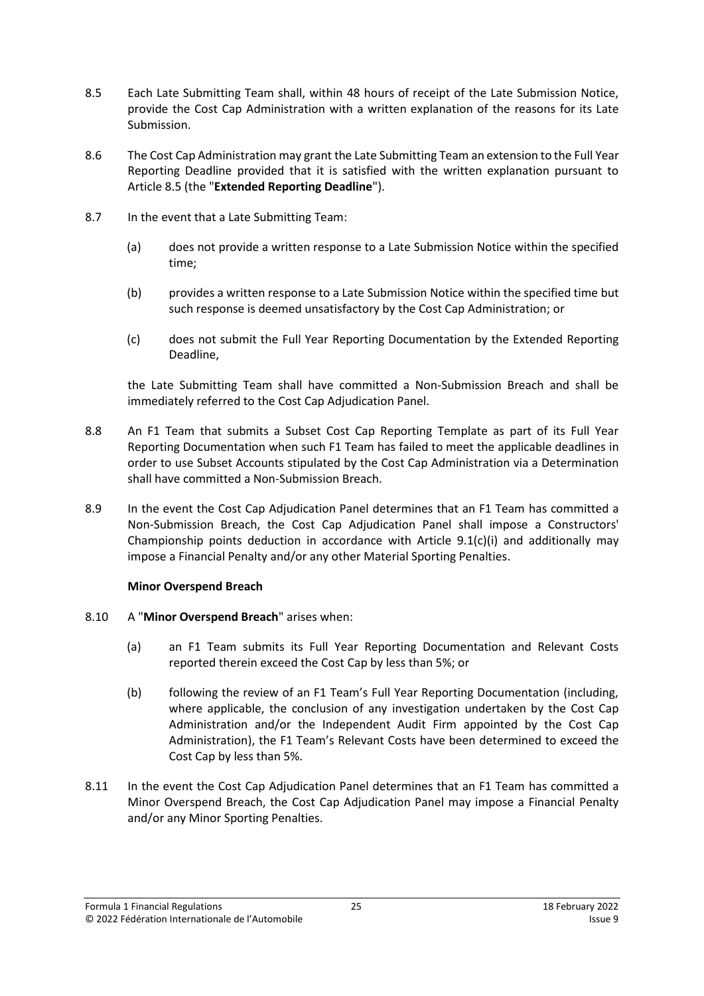- <span id="page-24-1"></span>8.5 Each Late Submitting Team shall, within 48 hours of receipt of the Late Submission Notice, provide the Cost Cap Administration with a written explanation of the reasons for its Late Submission.
- <span id="page-24-2"></span>8.6 The Cost Cap Administration may grant the Late Submitting Team an extension to the Full Year Reporting Deadline provided that it is satisfied with the written explanation pursuant to Articl[e 8.5](#page-24-1) (the "**Extended Reporting Deadline**").
- <span id="page-24-0"></span>8.7 In the event that a Late Submitting Team:
	- (a) does not provide a written response to a Late Submission Notice within the specified time;
	- (b) provides a written response to a Late Submission Notice within the specified time but such response is deemed unsatisfactory by the Cost Cap Administration; or
	- (c) does not submit the Full Year Reporting Documentation by the Extended Reporting Deadline,

the Late Submitting Team shall have committed a Non-Submission Breach and shall be immediately referred to the Cost Cap Adjudication Panel.

- <span id="page-24-4"></span>8.8 An F1 Team that submits a Subset Cost Cap Reporting Template as part of its Full Year Reporting Documentation when such F1 Team has failed to meet the applicable deadlines in order to use Subset Accounts stipulated by the Cost Cap Administration via a Determination shall have committed a Non-Submission Breach.
- 8.9 In the event the Cost Cap Adjudication Panel determines that an F1 Team has committed a Non-Submission Breach, the Cost Cap Adjudication Panel shall impose a Constructors' Championship points deduction in accordance with Article [9.1\(c\)\(i\)](#page-26-3) and additionally may impose a Financial Penalty and/or any other Material Sporting Penalties.

#### **Minor Overspend Breach**

- <span id="page-24-3"></span>8.10 A "**Minor Overspend Breach**" arises when:
	- (a) an F1 Team submits its Full Year Reporting Documentation and Relevant Costs reported therein exceed the Cost Cap by less than 5%; or
	- (b) following the review of an F1 Team's Full Year Reporting Documentation (including, where applicable, the conclusion of any investigation undertaken by the Cost Cap Administration and/or the Independent Audit Firm appointed by the Cost Cap Administration), the F1 Team's Relevant Costs have been determined to exceed the Cost Cap by less than 5%.
- 8.11 In the event the Cost Cap Adjudication Panel determines that an F1 Team has committed a Minor Overspend Breach, the Cost Cap Adjudication Panel may impose a Financial Penalty and/or any Minor Sporting Penalties.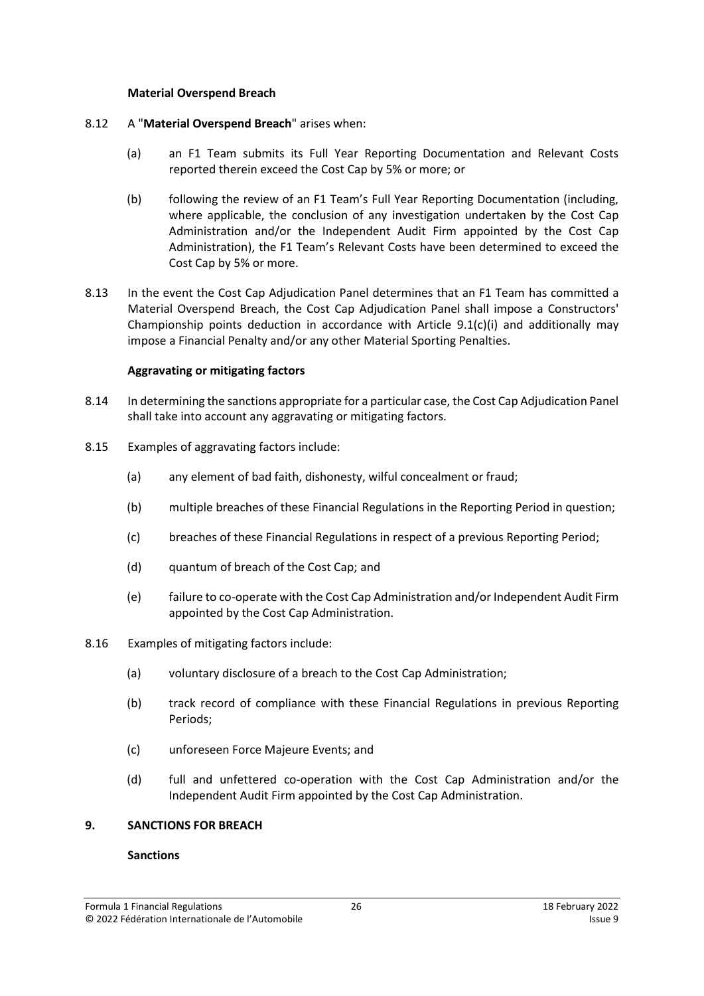#### **Material Overspend Breach**

- <span id="page-25-1"></span>8.12 A "**Material Overspend Breach**" arises when:
	- (a) an F1 Team submits its Full Year Reporting Documentation and Relevant Costs reported therein exceed the Cost Cap by 5% or more; or
	- (b) following the review of an F1 Team's Full Year Reporting Documentation (including, where applicable, the conclusion of any investigation undertaken by the Cost Cap Administration and/or the Independent Audit Firm appointed by the Cost Cap Administration), the F1 Team's Relevant Costs have been determined to exceed the Cost Cap by 5% or more.
- 8.13 In the event the Cost Cap Adjudication Panel determines that an F1 Team has committed a Material Overspend Breach, the Cost Cap Adjudication Panel shall impose a Constructors' Championship points deduction in accordance with Article  $9.1(c)(i)$  and additionally may impose a Financial Penalty and/or any other Material Sporting Penalties.

# **Aggravating or mitigating factors**

- 8.14 In determining the sanctions appropriate for a particular case, the Cost Cap Adjudication Panel shall take into account any aggravating or mitigating factors.
- 8.15 Examples of aggravating factors include:
	- (a) any element of bad faith, dishonesty, wilful concealment or fraud;
	- (b) multiple breaches of these Financial Regulations in the Reporting Period in question;
	- (c) breaches of these Financial Regulations in respect of a previous Reporting Period;
	- (d) quantum of breach of the Cost Cap; and
	- (e) failure to co-operate with the Cost Cap Administration and/or Independent Audit Firm appointed by the Cost Cap Administration.
- 8.16 Examples of mitigating factors include:
	- (a) voluntary disclosure of a breach to the Cost Cap Administration;
	- (b) track record of compliance with these Financial Regulations in previous Reporting Periods;
	- (c) unforeseen Force Majeure Events; and
	- (d) full and unfettered co-operation with the Cost Cap Administration and/or the Independent Audit Firm appointed by the Cost Cap Administration.

#### <span id="page-25-0"></span>**9. SANCTIONS FOR BREACH**

#### **Sanctions**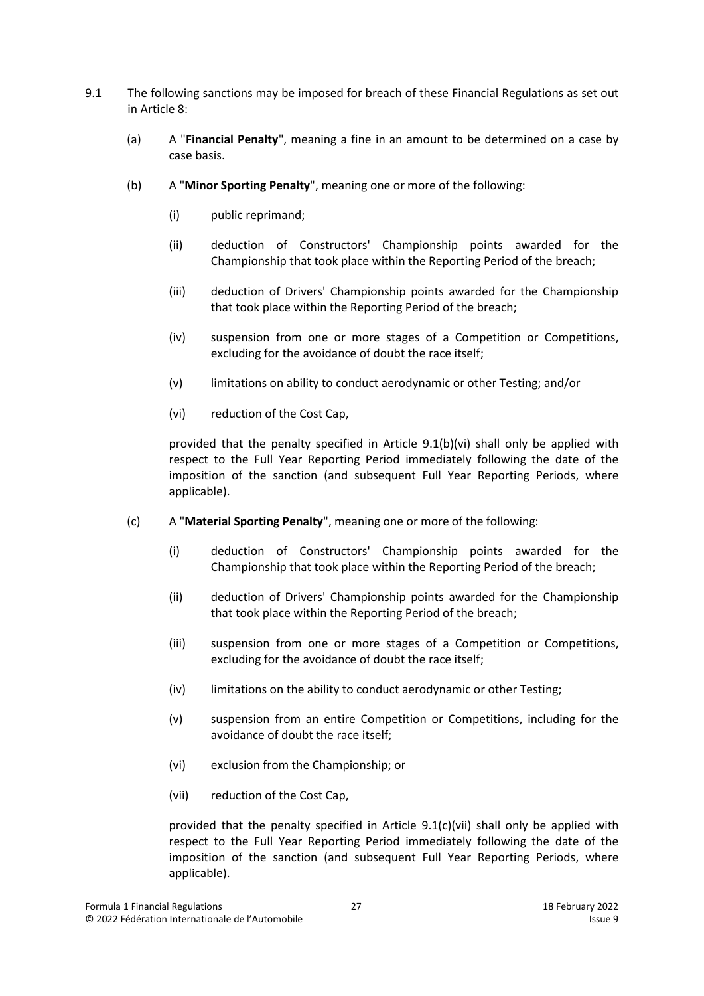- <span id="page-26-7"></span><span id="page-26-6"></span><span id="page-26-5"></span><span id="page-26-0"></span>9.1 The following sanctions may be imposed for breach of these Financial Regulations as set out in Article [8:](#page-22-0)
	- (a) A "**Financial Penalty**", meaning a fine in an amount to be determined on a case by case basis.
	- (b) A "**Minor Sporting Penalty**", meaning one or more of the following:
		- (i) public reprimand;
		- (ii) deduction of Constructors' Championship points awarded for the Championship that took place within the Reporting Period of the breach;
		- (iii) deduction of Drivers' Championship points awarded for the Championship that took place within the Reporting Period of the breach;
		- (iv) suspension from one or more stages of a Competition or Competitions, excluding for the avoidance of doubt the race itself;
		- (v) limitations on ability to conduct aerodynamic or other Testing; and/or
		- (vi) reduction of the Cost Cap,

<span id="page-26-2"></span><span id="page-26-1"></span>provided that the penalty specified in Article [9.1\(b\)\(vi\)](#page-26-2) shall only be applied with respect to the Full Year Reporting Period immediately following the date of the imposition of the sanction (and subsequent Full Year Reporting Periods, where applicable).

- <span id="page-26-4"></span><span id="page-26-3"></span>(c) A "**Material Sporting Penalty**", meaning one or more of the following:
	- (i) deduction of Constructors' Championship points awarded for the Championship that took place within the Reporting Period of the breach;
	- (ii) deduction of Drivers' Championship points awarded for the Championship that took place within the Reporting Period of the breach;
	- (iii) suspension from one or more stages of a Competition or Competitions, excluding for the avoidance of doubt the race itself;
	- (iv) limitations on the ability to conduct aerodynamic or other Testing;
	- (v) suspension from an entire Competition or Competitions, including for the avoidance of doubt the race itself;
	- (vi) exclusion from the Championship; or
	- (vii) reduction of the Cost Cap,

provided that the penalty specified in Article 9.[1\(c\)\(vii\)](#page-26-4) shall only be applied with respect to the Full Year Reporting Period immediately following the date of the imposition of the sanction (and subsequent Full Year Reporting Periods, where applicable).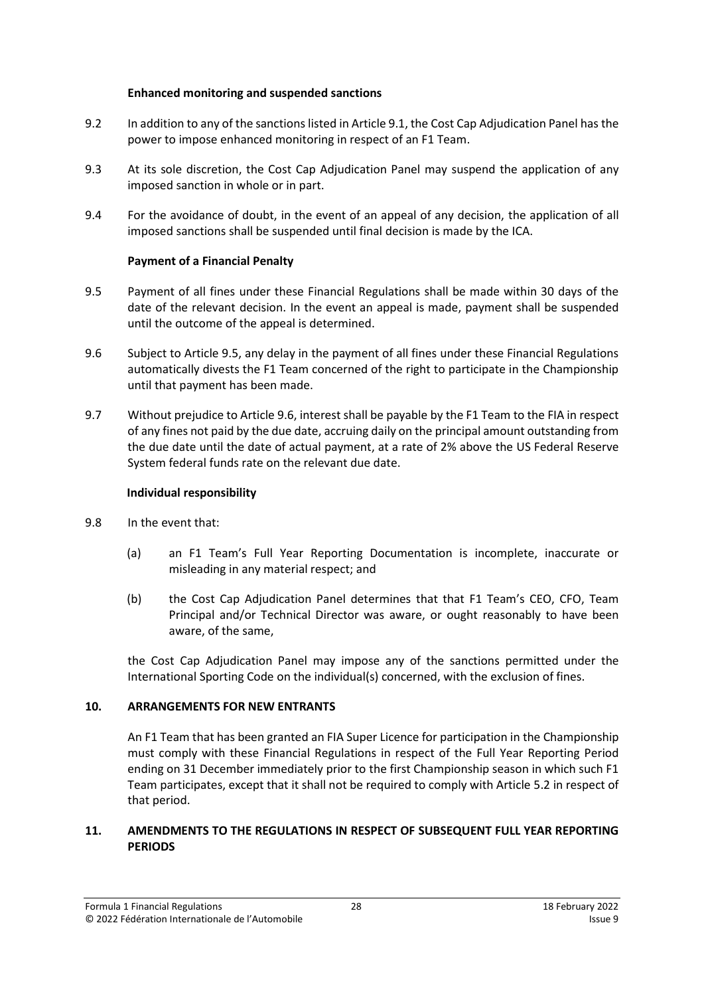#### **Enhanced monitoring and suspended sanctions**

- 9.2 In addition to any of the sanctions listed in Article [9.1,](#page-26-5) the Cost Cap Adjudication Panel has the power to impose enhanced monitoring in respect of an F1 Team.
- 9.3 At its sole discretion, the Cost Cap Adjudication Panel may suspend the application of any imposed sanction in whole or in part.
- 9.4 For the avoidance of doubt, in the event of an appeal of any decision, the application of all imposed sanctions shall be suspended until final decision is made by the ICA.

# **Payment of a Financial Penalty**

- 9.5 Payment of all fines under these Financial Regulations shall be made within 30 days of the date of the relevant decision. In the event an appeal is made, payment shall be suspended until the outcome of the appeal is determined.
- 9.6 Subject to Article 9.5, any delay in the payment of all fines under these Financial Regulations automatically divests the F1 Team concerned of the right to participate in the Championship until that payment has been made.
- 9.7 Without prejudice to Article 9.6, interest shall be payable by the F1 Team to the FIA in respect of any fines not paid by the due date, accruing daily on the principal amount outstanding from the due date until the date of actual payment, at a rate of 2% above the US Federal Reserve System federal funds rate on the relevant due date.

# **Individual responsibility**

- 9.8 In the event that:
	- (a) an F1 Team's Full Year Reporting Documentation is incomplete, inaccurate or misleading in any material respect; and
	- (b) the Cost Cap Adjudication Panel determines that that F1 Team's CEO, CFO, Team Principal and/or Technical Director was aware, or ought reasonably to have been aware, of the same,

the Cost Cap Adjudication Panel may impose any of the sanctions permitted under the International Sporting Code on the individual(s) concerned, with the exclusion of fines.

# <span id="page-27-0"></span>**10. ARRANGEMENTS FOR NEW ENTRANTS**

An F1 Team that has been granted an FIA Super Licence for participation in the Championship must comply with these Financial Regulations in respect of the Full Year Reporting Period ending on 31 December immediately prior to the first Championship season in which such F1 Team participates, except that it shall not be required to comply with Article [5.2](#page-13-2) in respect of that period.

### <span id="page-27-1"></span>**11. AMENDMENTS TO THE REGULATIONS IN RESPECT OF SUBSEQUENT FULL YEAR REPORTING PERIODS**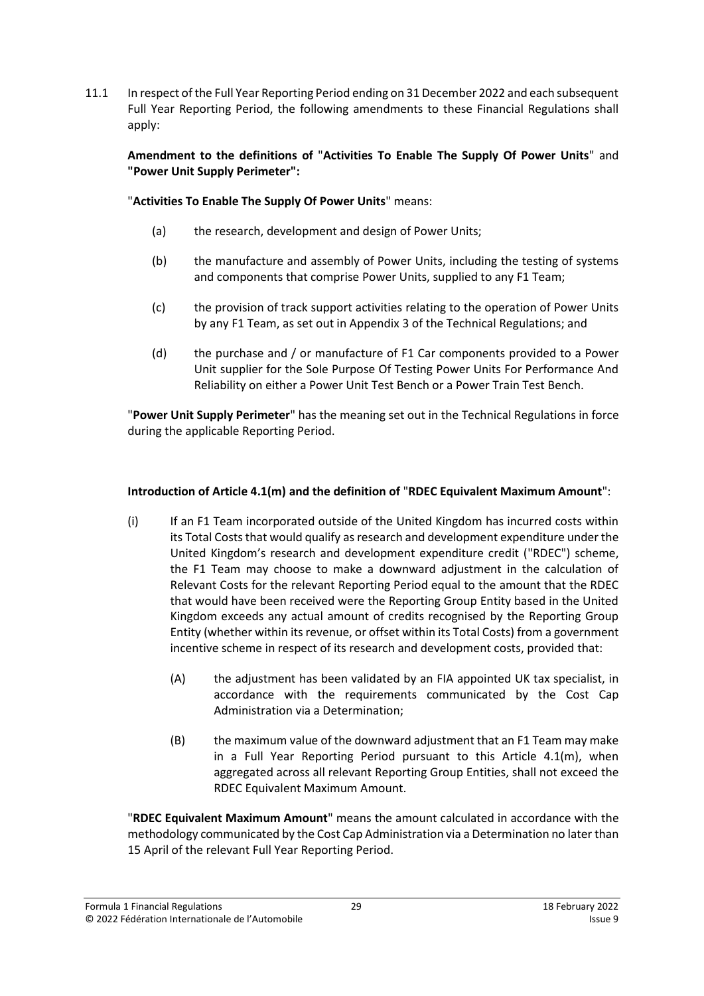11.1 In respect of the Full Year Reporting Period ending on 31 December 2022 and each subsequent Full Year Reporting Period, the following amendments to these Financial Regulations shall apply:

**Amendment to the definitions of** "**Activities To Enable The Supply Of Power Units**" and **"Power Unit Supply Perimeter":**

"**Activities To Enable The Supply Of Power Units**" means:

- (a) the research, development and design of Power Units;
- (b) the manufacture and assembly of Power Units, including the testing of systems and components that comprise Power Units, supplied to any F1 Team;
- (c) the provision of track support activities relating to the operation of Power Units by any F1 Team, as set out in Appendix 3 of the Technical Regulations; and
- (d) the purchase and / or manufacture of F1 Car components provided to a Power Unit supplier for the Sole Purpose Of Testing Power Units For Performance And Reliability on either a Power Unit Test Bench or a Power Train Test Bench.

"**Power Unit Supply Perimeter**" has the meaning set out in the Technical Regulations in force during the applicable Reporting Period.

# **Introduction of Article 4.1(m) and the definition of** "**RDEC Equivalent Maximum Amount**":

- (i) If an F1 Team incorporated outside of the United Kingdom has incurred costs within its Total Costs that would qualify as research and development expenditure under the United Kingdom's research and development expenditure credit ("RDEC") scheme, the F1 Team may choose to make a downward adjustment in the calculation of Relevant Costs for the relevant Reporting Period equal to the amount that the RDEC that would have been received were the Reporting Group Entity based in the United Kingdom exceeds any actual amount of credits recognised by the Reporting Group Entity (whether within its revenue, or offset within its Total Costs) from a government incentive scheme in respect of its research and development costs, provided that:
	- (A) the adjustment has been validated by an FIA appointed UK tax specialist, in accordance with the requirements communicated by the Cost Cap Administration via a Determination;
	- (B) the maximum value of the downward adjustment that an F1 Team may make in a Full Year Reporting Period pursuant to this Article 4.1(m), when aggregated across all relevant Reporting Group Entities, shall not exceed the RDEC Equivalent Maximum Amount.

"**RDEC Equivalent Maximum Amount**" means the amount calculated in accordance with the methodology communicated by the Cost Cap Administration via a Determination no later than 15 April of the relevant Full Year Reporting Period.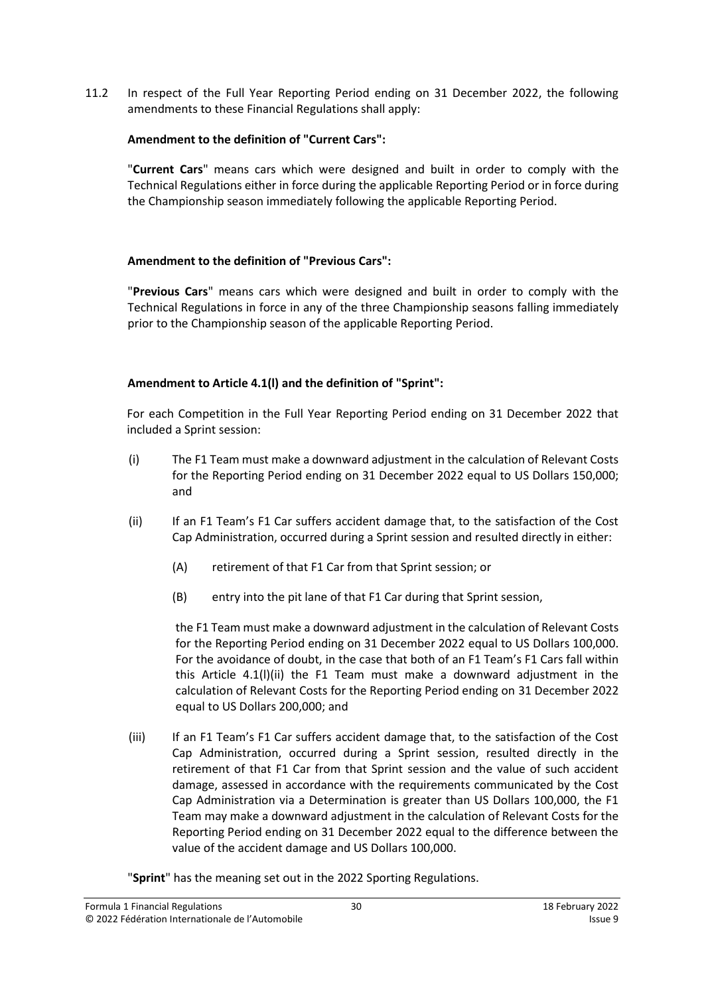11.2 In respect of the Full Year Reporting Period ending on 31 December 2022, the following amendments to these Financial Regulations shall apply:

# **Amendment to the definition of "Current Cars":**

"**Current Cars**" means cars which were designed and built in order to comply with the Technical Regulations either in force during the applicable Reporting Period or in force during the Championship season immediately following the applicable Reporting Period.

### **Amendment to the definition of "Previous Cars":**

"**Previous Cars**" means cars which were designed and built in order to comply with the Technical Regulations in force in any of the three Championship seasons falling immediately prior to the Championship season of the applicable Reporting Period.

### **Amendment to Article 4.1(l) and the definition of "Sprint":**

For each Competition in the Full Year Reporting Period ending on 31 December 2022 that included a Sprint session:

- (i) The F1 Team must make a downward adjustment in the calculation of Relevant Costs for the Reporting Period ending on 31 December 2022 equal to US Dollars 150,000; and
- (ii) If an F1 Team's F1 Car suffers accident damage that, to the satisfaction of the Cost Cap Administration, occurred during a Sprint session and resulted directly in either:
	- (A) retirement of that F1 Car from that Sprint session; or
	- (B) entry into the pit lane of that F1 Car during that Sprint session,

the F1 Team must make a downward adjustment in the calculation of Relevant Costs for the Reporting Period ending on 31 December 2022 equal to US Dollars 100,000. For the avoidance of doubt, in the case that both of an F1 Team's F1 Cars fall within this Article 4.1(l)(ii) the F1 Team must make a downward adjustment in the calculation of Relevant Costs for the Reporting Period ending on 31 December 2022 equal to US Dollars 200,000; and

(iii) If an F1 Team's F1 Car suffers accident damage that, to the satisfaction of the Cost Cap Administration, occurred during a Sprint session, resulted directly in the retirement of that F1 Car from that Sprint session and the value of such accident damage, assessed in accordance with the requirements communicated by the Cost Cap Administration via a Determination is greater than US Dollars 100,000, the F1 Team may make a downward adjustment in the calculation of Relevant Costs for the Reporting Period ending on 31 December 2022 equal to the difference between the value of the accident damage and US Dollars 100,000.

"**Sprint**" has the meaning set out in the 2022 Sporting Regulations.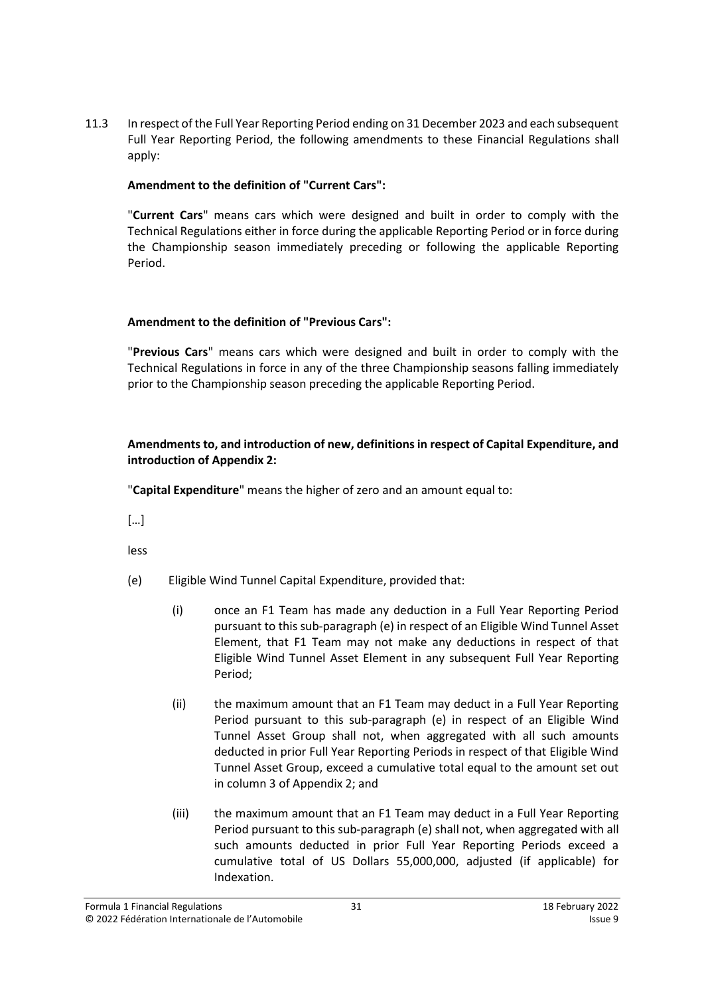11.3 In respect of the Full Year Reporting Period ending on 31 December 2023 and each subsequent Full Year Reporting Period, the following amendments to these Financial Regulations shall apply:

# **Amendment to the definition of "Current Cars":**

"**Current Cars**" means cars which were designed and built in order to comply with the Technical Regulations either in force during the applicable Reporting Period or in force during the Championship season immediately preceding or following the applicable Reporting Period.

# **Amendment to the definition of "Previous Cars":**

"**Previous Cars**" means cars which were designed and built in order to comply with the Technical Regulations in force in any of the three Championship seasons falling immediately prior to the Championship season preceding the applicable Reporting Period.

# **Amendments to, and introduction of new, definitions in respect of Capital Expenditure, and introduction of Appendix 2:**

"**Capital Expenditure**" means the higher of zero and an amount equal to:

[…]

less

- (e) Eligible Wind Tunnel Capital Expenditure, provided that:
	- (i) once an F1 Team has made any deduction in a Full Year Reporting Period pursuant to this sub-paragraph (e) in respect of an Eligible Wind Tunnel Asset Element, that F1 Team may not make any deductions in respect of that Eligible Wind Tunnel Asset Element in any subsequent Full Year Reporting Period;
	- (ii) the maximum amount that an F1 Team may deduct in a Full Year Reporting Period pursuant to this sub-paragraph (e) in respect of an Eligible Wind Tunnel Asset Group shall not, when aggregated with all such amounts deducted in prior Full Year Reporting Periods in respect of that Eligible Wind Tunnel Asset Group, exceed a cumulative total equal to the amount set out in column 3 of Appendix 2; and
	- (iii) the maximum amount that an F1 Team may deduct in a Full Year Reporting Period pursuant to this sub-paragraph (e) shall not, when aggregated with all such amounts deducted in prior Full Year Reporting Periods exceed a cumulative total of US Dollars 55,000,000, adjusted (if applicable) for Indexation.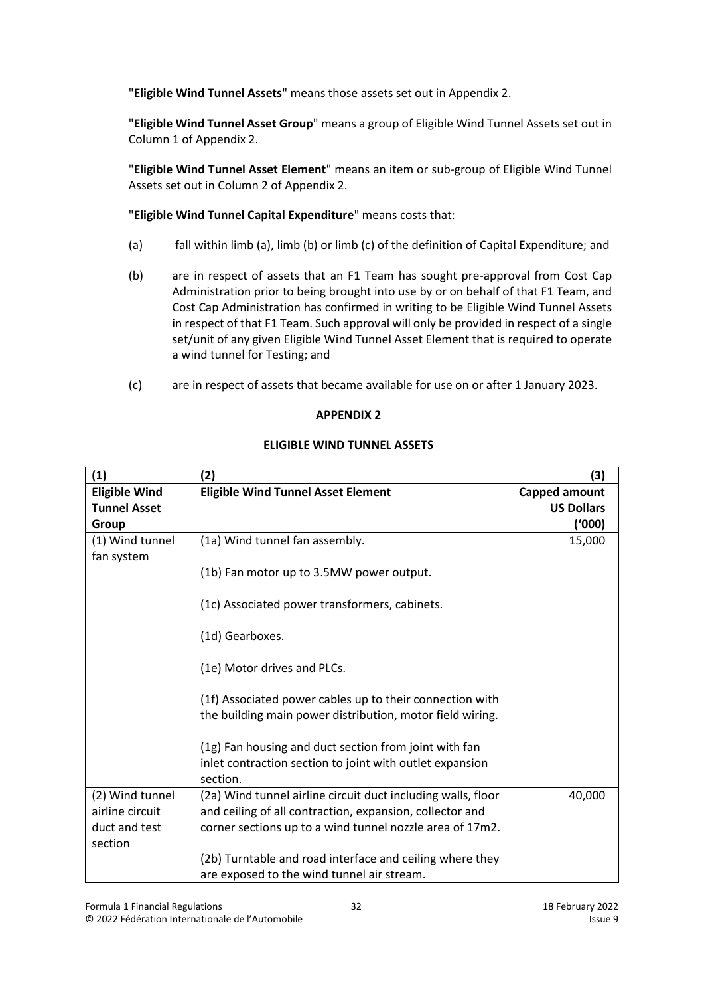"**Eligible Wind Tunnel Assets**" means those assets set out in Appendix 2.

"**Eligible Wind Tunnel Asset Group**" means a group of Eligible Wind Tunnel Assets set out in Column 1 of Appendix 2.

"**Eligible Wind Tunnel Asset Element**" means an item or sub-group of Eligible Wind Tunnel Assets set out in Column 2 of Appendix 2.

"**Eligible Wind Tunnel Capital Expenditure**" means costs that:

- (a) fall within limb (a), limb (b) or limb (c) of the definition of Capital Expenditure; and
- (b) are in respect of assets that an F1 Team has sought pre-approval from Cost Cap Administration prior to being brought into use by or on behalf of that F1 Team, and Cost Cap Administration has confirmed in writing to be Eligible Wind Tunnel Assets in respect of that F1 Team. Such approval will only be provided in respect of a single set/unit of any given Eligible Wind Tunnel Asset Element that is required to operate a wind tunnel for Testing; and
- (c) are in respect of assets that became available for use on or after 1 January 2023.

# **APPENDIX 2**

# **ELIGIBLE WIND TUNNEL ASSETS**

| (1)                  | (2)                                                                                                                           | (3)                  |
|----------------------|-------------------------------------------------------------------------------------------------------------------------------|----------------------|
| <b>Eligible Wind</b> | <b>Eligible Wind Tunnel Asset Element</b>                                                                                     | <b>Capped amount</b> |
| <b>Tunnel Asset</b>  |                                                                                                                               | <b>US Dollars</b>    |
| Group                |                                                                                                                               | ('000)               |
| (1) Wind tunnel      | (1a) Wind tunnel fan assembly.                                                                                                | 15,000               |
| fan system           | (1b) Fan motor up to 3.5MW power output.                                                                                      |                      |
|                      | (1c) Associated power transformers, cabinets.                                                                                 |                      |
|                      | (1d) Gearboxes.                                                                                                               |                      |
|                      | (1e) Motor drives and PLCs.                                                                                                   |                      |
|                      | (1f) Associated power cables up to their connection with<br>the building main power distribution, motor field wiring.         |                      |
|                      | (1g) Fan housing and duct section from joint with fan<br>inlet contraction section to joint with outlet expansion<br>section. |                      |
| (2) Wind tunnel      | (2a) Wind tunnel airline circuit duct including walls, floor                                                                  | 40,000               |
| airline circuit      | and ceiling of all contraction, expansion, collector and                                                                      |                      |
| duct and test        | corner sections up to a wind tunnel nozzle area of 17m2.                                                                      |                      |
| section              |                                                                                                                               |                      |
|                      | (2b) Turntable and road interface and ceiling where they<br>are exposed to the wind tunnel air stream.                        |                      |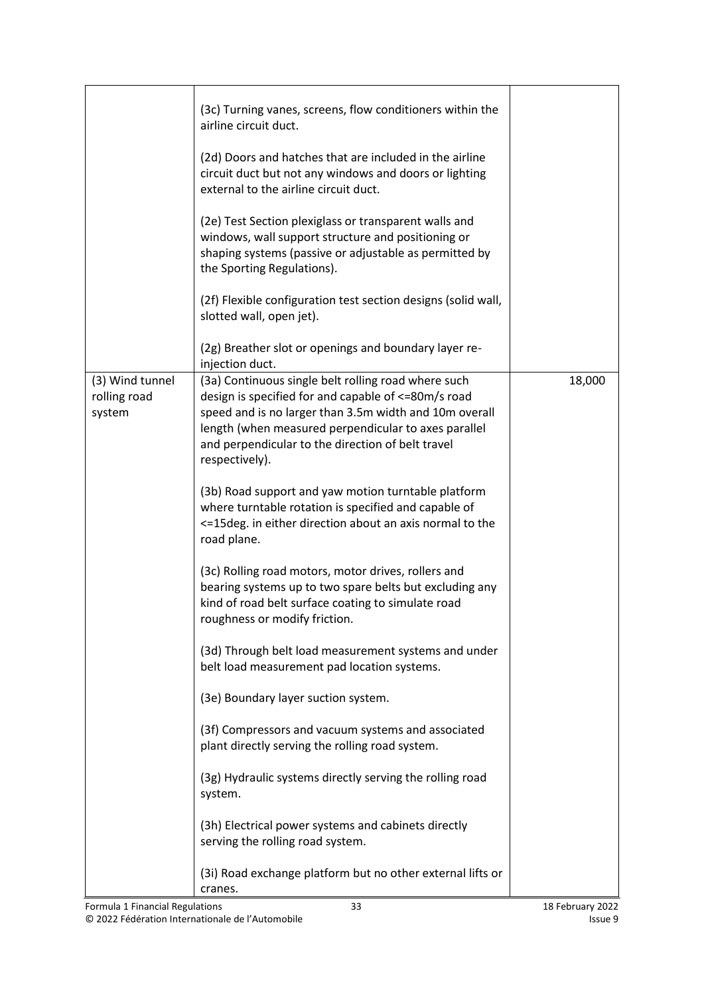|                                           | (3c) Turning vanes, screens, flow conditioners within the<br>airline circuit duct.<br>(2d) Doors and hatches that are included in the airline<br>circuit duct but not any windows and doors or lighting<br>external to the airline circuit duct.<br>(2e) Test Section plexiglass or transparent walls and<br>windows, wall support structure and positioning or<br>shaping systems (passive or adjustable as permitted by<br>the Sporting Regulations).<br>(2f) Flexible configuration test section designs (solid wall,<br>slotted wall, open jet).<br>(2g) Breather slot or openings and boundary layer re-                                                                                                                                                                                                                                                                                                                                                                                                                                                                                                                                                                                                                |        |
|-------------------------------------------|------------------------------------------------------------------------------------------------------------------------------------------------------------------------------------------------------------------------------------------------------------------------------------------------------------------------------------------------------------------------------------------------------------------------------------------------------------------------------------------------------------------------------------------------------------------------------------------------------------------------------------------------------------------------------------------------------------------------------------------------------------------------------------------------------------------------------------------------------------------------------------------------------------------------------------------------------------------------------------------------------------------------------------------------------------------------------------------------------------------------------------------------------------------------------------------------------------------------------|--------|
| (3) Wind tunnel<br>rolling road<br>system | injection duct.<br>(3a) Continuous single belt rolling road where such<br>design is specified for and capable of <=80m/s road<br>speed and is no larger than 3.5m width and 10m overall<br>length (when measured perpendicular to axes parallel<br>and perpendicular to the direction of belt travel<br>respectively).<br>(3b) Road support and yaw motion turntable platform<br>where turntable rotation is specified and capable of<br><= 15deg. in either direction about an axis normal to the<br>road plane.<br>(3c) Rolling road motors, motor drives, rollers and<br>bearing systems up to two spare belts but excluding any<br>kind of road belt surface coating to simulate road<br>roughness or modify friction.<br>(3d) Through belt load measurement systems and under<br>belt load measurement pad location systems.<br>(3e) Boundary layer suction system.<br>(3f) Compressors and vacuum systems and associated<br>plant directly serving the rolling road system.<br>(3g) Hydraulic systems directly serving the rolling road<br>system.<br>(3h) Electrical power systems and cabinets directly<br>serving the rolling road system.<br>(3i) Road exchange platform but no other external lifts or<br>cranes. | 18,000 |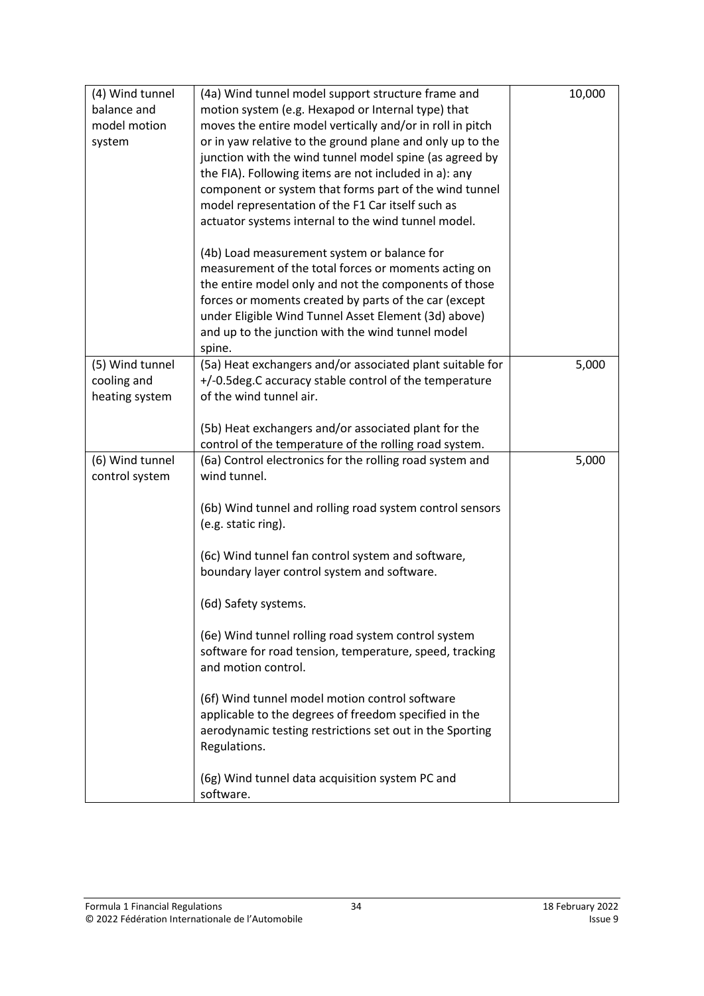| (4) Wind tunnel | (4a) Wind tunnel model support structure frame and           | 10,000 |
|-----------------|--------------------------------------------------------------|--------|
| balance and     | motion system (e.g. Hexapod or Internal type) that           |        |
| model motion    | moves the entire model vertically and/or in roll in pitch    |        |
| system          | or in yaw relative to the ground plane and only up to the    |        |
|                 | junction with the wind tunnel model spine (as agreed by      |        |
|                 | the FIA). Following items are not included in a): any        |        |
|                 | component or system that forms part of the wind tunnel       |        |
|                 | model representation of the F1 Car itself such as            |        |
|                 | actuator systems internal to the wind tunnel model.          |        |
|                 | (4b) Load measurement system or balance for                  |        |
|                 | measurement of the total forces or moments acting on         |        |
|                 | the entire model only and not the components of those        |        |
|                 | forces or moments created by parts of the car (except        |        |
|                 | under Eligible Wind Tunnel Asset Element (3d) above)         |        |
|                 | and up to the junction with the wind tunnel model            |        |
|                 | spine.                                                       |        |
| (5) Wind tunnel | (5a) Heat exchangers and/or associated plant suitable for    | 5,000  |
| cooling and     | +/-0.5 deg. C accuracy stable control of the temperature     |        |
| heating system  | of the wind tunnel air.                                      |        |
|                 | (5b) Heat exchangers and/or associated plant for the         |        |
|                 | control of the temperature of the rolling road system.       |        |
| (6) Wind tunnel | (6a) Control electronics for the rolling road system and     | 5,000  |
| control system  | wind tunnel.                                                 |        |
|                 |                                                              |        |
|                 | (6b) Wind tunnel and rolling road system control sensors     |        |
|                 | (e.g. static ring).                                          |        |
|                 | (6c) Wind tunnel fan control system and software,            |        |
|                 | boundary layer control system and software.                  |        |
|                 | (6d) Safety systems.                                         |        |
|                 |                                                              |        |
|                 | (6e) Wind tunnel rolling road system control system          |        |
|                 | software for road tension, temperature, speed, tracking      |        |
|                 | and motion control.                                          |        |
|                 | (6f) Wind tunnel model motion control software               |        |
|                 | applicable to the degrees of freedom specified in the        |        |
|                 | aerodynamic testing restrictions set out in the Sporting     |        |
|                 | Regulations.                                                 |        |
|                 |                                                              |        |
|                 | (6g) Wind tunnel data acquisition system PC and<br>software. |        |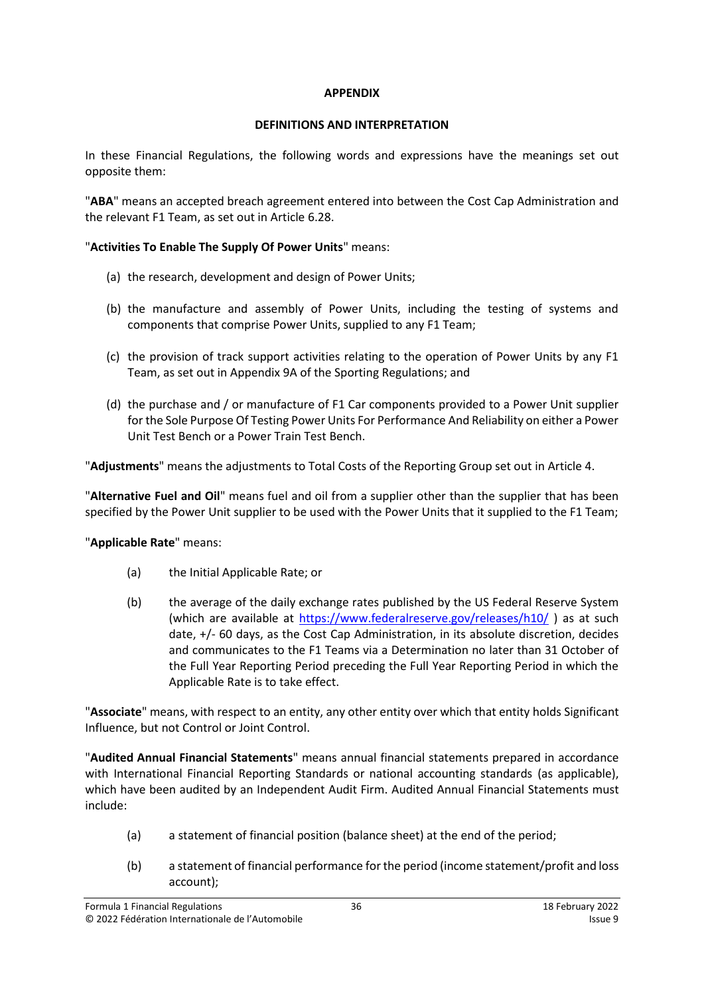#### **APPENDIX**

# **DEFINITIONS AND INTERPRETATION**

<span id="page-35-0"></span>In these Financial Regulations, the following words and expressions have the meanings set out opposite them:

"**ABA**" means an accepted breach agreement entered into between the Cost Cap Administration and the relevant F1 Team, as set out in Article [6.28.](#page-18-0)

# "**Activities To Enable The Supply Of Power Units**" means:

- (a) the research, development and design of Power Units;
- (b) the manufacture and assembly of Power Units, including the testing of systems and components that comprise Power Units, supplied to any F1 Team;
- (c) the provision of track support activities relating to the operation of Power Units by any F1 Team, as set out in Appendix 9A of the Sporting Regulations; and
- (d) the purchase and / or manufacture of F1 Car components provided to a Power Unit supplier for the Sole Purpose Of Testing Power Units For Performance And Reliability on either a Power Unit Test Bench or a Power Train Test Bench.

"**Adjustments**" means the adjustments to Total Costs of the Reporting Group set out in Articl[e 4.](#page-8-0)

"**Alternative Fuel and Oil**" means fuel and oil from a supplier other than the supplier that has been specified by the Power Unit supplier to be used with the Power Units that it supplied to the F1 Team;

"**Applicable Rate**" means:

- (a) the Initial Applicable Rate; or
- (b) the average of the daily exchange rates published by the US Federal Reserve System (which are available at<https://www.federalreserve.gov/releases/h10/> ) as at such date, +/- 60 days, as the Cost Cap Administration, in its absolute discretion, decides and communicates to the F1 Teams via a Determination no later than 31 October of the Full Year Reporting Period preceding the Full Year Reporting Period in which the Applicable Rate is to take effect.

"**Associate**" means, with respect to an entity, any other entity over which that entity holds Significant Influence, but not Control or Joint Control.

"**Audited Annual Financial Statements**" means annual financial statements prepared in accordance with International Financial Reporting Standards or national accounting standards (as applicable), which have been audited by an Independent Audit Firm. Audited Annual Financial Statements must include:

- (a) a statement of financial position (balance sheet) at the end of the period;
- (b) a statement of financial performance for the period (income statement/profit and loss account);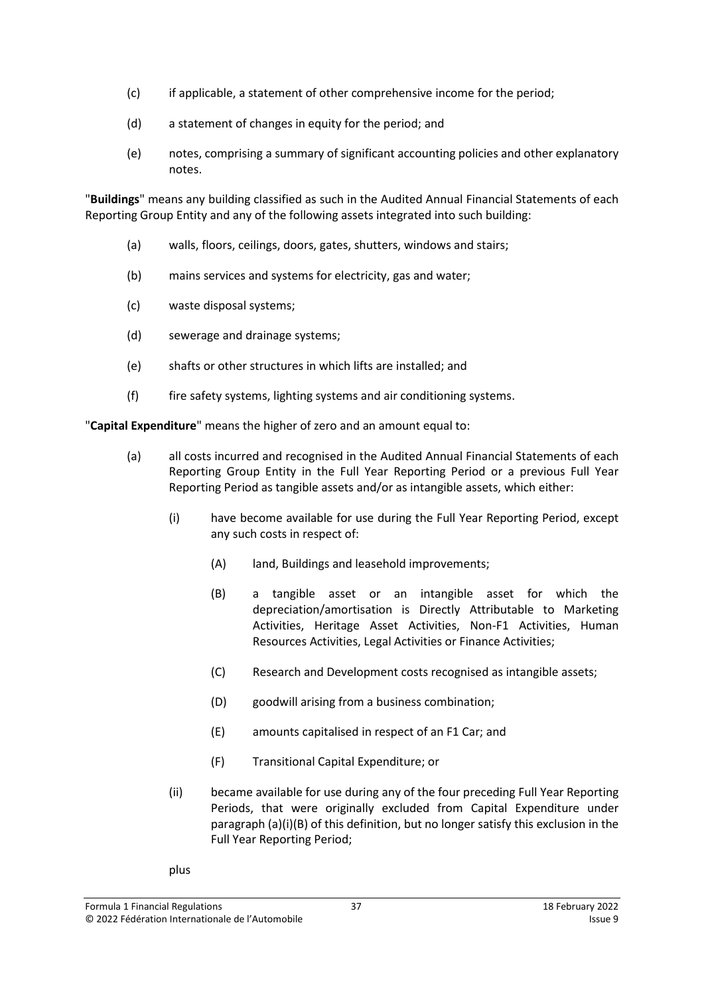- (c) if applicable, a statement of other comprehensive income for the period;
- (d) a statement of changes in equity for the period; and
- (e) notes, comprising a summary of significant accounting policies and other explanatory notes.

"**Buildings**" means any building classified as such in the Audited Annual Financial Statements of each Reporting Group Entity and any of the following assets integrated into such building:

- (a) walls, floors, ceilings, doors, gates, shutters, windows and stairs;
- (b) mains services and systems for electricity, gas and water;
- (c) waste disposal systems;
- (d) sewerage and drainage systems;
- (e) shafts or other structures in which lifts are installed; and
- (f) fire safety systems, lighting systems and air conditioning systems.

"**Capital Expenditure**" means the higher of zero and an amount equal to:

- (a) all costs incurred and recognised in the Audited Annual Financial Statements of each Reporting Group Entity in the Full Year Reporting Period or a previous Full Year Reporting Period as tangible assets and/or as intangible assets, which either:
	- (i) have become available for use during the Full Year Reporting Period, except any such costs in respect of:
		- (A) land, Buildings and leasehold improvements;
		- (B) a tangible asset or an intangible asset for which the depreciation/amortisation is Directly Attributable to Marketing Activities, Heritage Asset Activities, Non-F1 Activities, Human Resources Activities, Legal Activities or Finance Activities;
		- (C) Research and Development costs recognised as intangible assets;
		- (D) goodwill arising from a business combination;
		- (E) amounts capitalised in respect of an F1 Car; and
		- (F) Transitional Capital Expenditure; or
	- (ii) became available for use during any of the four preceding Full Year Reporting Periods, that were originally excluded from Capital Expenditure under paragraph (a)(i)(B) of this definition, but no longer satisfy this exclusion in the Full Year Reporting Period;
	- plus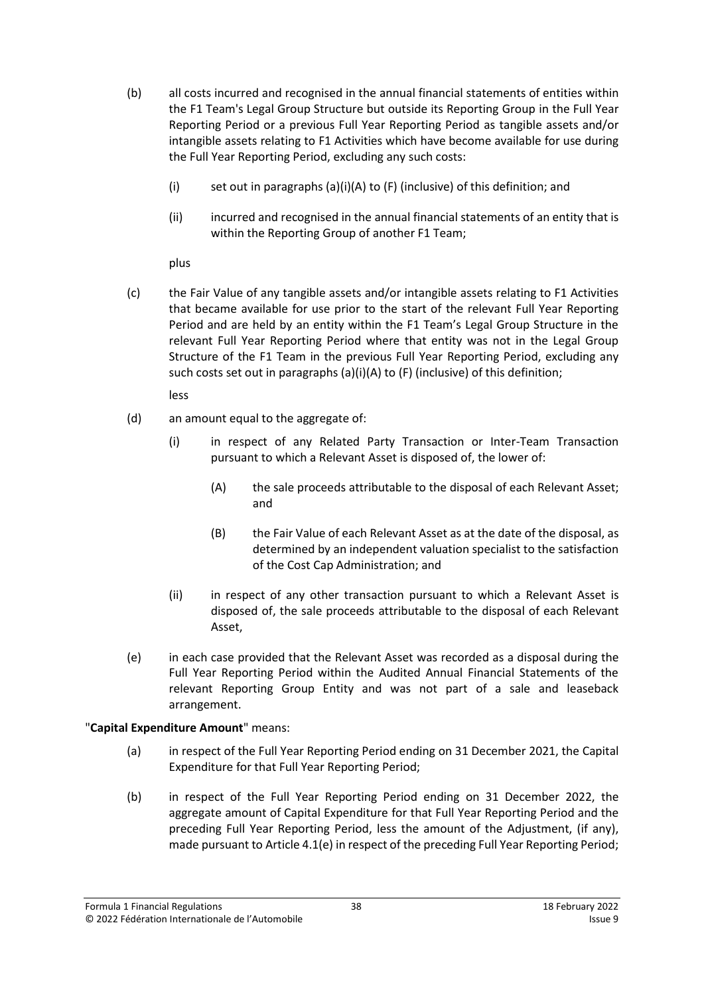- (b) all costs incurred and recognised in the annual financial statements of entities within the F1 Team's Legal Group Structure but outside its Reporting Group in the Full Year Reporting Period or a previous Full Year Reporting Period as tangible assets and/or intangible assets relating to F1 Activities which have become available for use during the Full Year Reporting Period, excluding any such costs:
	- (i) set out in paragraphs (a)(i)(A) to (F) (inclusive) of this definition; and
	- (ii) incurred and recognised in the annual financial statements of an entity that is within the Reporting Group of another F1 Team;

plus

(c) the Fair Value of any tangible assets and/or intangible assets relating to F1 Activities that became available for use prior to the start of the relevant Full Year Reporting Period and are held by an entity within the F1 Team's Legal Group Structure in the relevant Full Year Reporting Period where that entity was not in the Legal Group Structure of the F1 Team in the previous Full Year Reporting Period, excluding any such costs set out in paragraphs (a)(i)(A) to (F) (inclusive) of this definition;

less

- (d) an amount equal to the aggregate of:
	- (i) in respect of any Related Party Transaction or Inter-Team Transaction pursuant to which a Relevant Asset is disposed of, the lower of:
		- (A) the sale proceeds attributable to the disposal of each Relevant Asset; and
		- (B) the Fair Value of each Relevant Asset as at the date of the disposal, as determined by an independent valuation specialist to the satisfaction of the Cost Cap Administration; and
	- (ii) in respect of any other transaction pursuant to which a Relevant Asset is disposed of, the sale proceeds attributable to the disposal of each Relevant Asset,
- (e) in each case provided that the Relevant Asset was recorded as a disposal during the Full Year Reporting Period within the Audited Annual Financial Statements of the relevant Reporting Group Entity and was not part of a sale and leaseback arrangement.

# "**Capital Expenditure Amount**" means:

- (a) in respect of the Full Year Reporting Period ending on 31 December 2021, the Capital Expenditure for that Full Year Reporting Period;
- (b) in respect of the Full Year Reporting Period ending on 31 December 2022, the aggregate amount of Capital Expenditure for that Full Year Reporting Period and the preceding Full Year Reporting Period, less the amount of the Adjustment, (if any), made pursuant to Article 4.1(e) in respect of the preceding Full Year Reporting Period;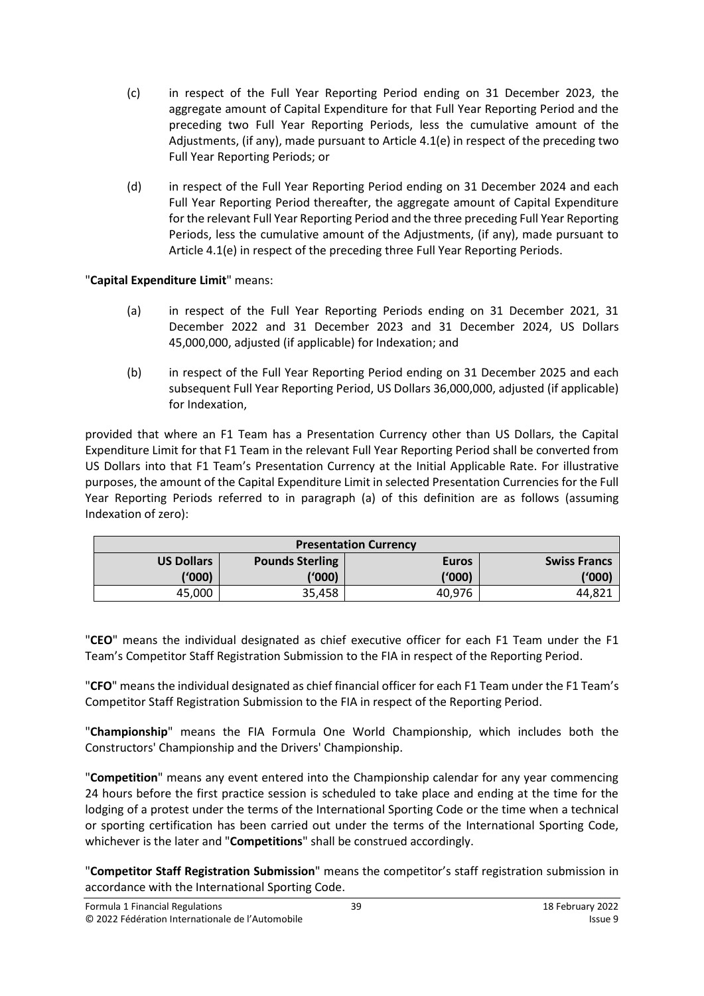- (c) in respect of the Full Year Reporting Period ending on 31 December 2023, the aggregate amount of Capital Expenditure for that Full Year Reporting Period and the preceding two Full Year Reporting Periods, less the cumulative amount of the Adjustments, (if any), made pursuant to Article 4.1(e) in respect of the preceding two Full Year Reporting Periods; or
- (d) in respect of the Full Year Reporting Period ending on 31 December 2024 and each Full Year Reporting Period thereafter, the aggregate amount of Capital Expenditure for the relevant Full Year Reporting Period and the three preceding Full Year Reporting Periods, less the cumulative amount of the Adjustments, (if any), made pursuant to Article 4.1(e) in respect of the preceding three Full Year Reporting Periods.

"**Capital Expenditure Limit**" means:

- (a) in respect of the Full Year Reporting Periods ending on 31 December 2021, 31 December 2022 and 31 December 2023 and 31 December 2024, US Dollars 45,000,000, adjusted (if applicable) for Indexation; and
- (b) in respect of the Full Year Reporting Period ending on 31 December 2025 and each subsequent Full Year Reporting Period, US Dollars 36,000,000, adjusted (if applicable) for Indexation,

provided that where an F1 Team has a Presentation Currency other than US Dollars, the Capital Expenditure Limit for that F1 Team in the relevant Full Year Reporting Period shall be converted from US Dollars into that F1 Team's Presentation Currency at the Initial Applicable Rate. For illustrative purposes, the amount of the Capital Expenditure Limit in selected Presentation Currencies for the Full Year Reporting Periods referred to in paragraph (a) of this definition are as follows (assuming Indexation of zero):

| <b>Presentation Currency</b> |                        |              |                     |
|------------------------------|------------------------|--------------|---------------------|
| <b>US Dollars</b>            | <b>Pounds Sterling</b> | <b>Euros</b> | <b>Swiss Francs</b> |
| (1000)                       | ('000)                 | ('000)       | ('000)              |
| 45,000                       | 35,458                 | 40,976       | 44.82′              |

"**CEO**" means the individual designated as chief executive officer for each F1 Team under the F1 Team's Competitor Staff Registration Submission to the FIA in respect of the Reporting Period.

"**CFO**" meansthe individual designated as chief financial officer for each F1 Team under the F1 Team's Competitor Staff Registration Submission to the FIA in respect of the Reporting Period.

"**Championship**" means the FIA Formula One World Championship, which includes both the Constructors' Championship and the Drivers' Championship.

"**Competition**" means any event entered into the Championship calendar for any year commencing 24 hours before the first practice session is scheduled to take place and ending at the time for the lodging of a protest under the terms of the International Sporting Code or the time when a technical or sporting certification has been carried out under the terms of the International Sporting Code, whichever is the later and "**Competitions**" shall be construed accordingly.

"**Competitor Staff Registration Submission**" means the competitor's staff registration submission in accordance with the International Sporting Code.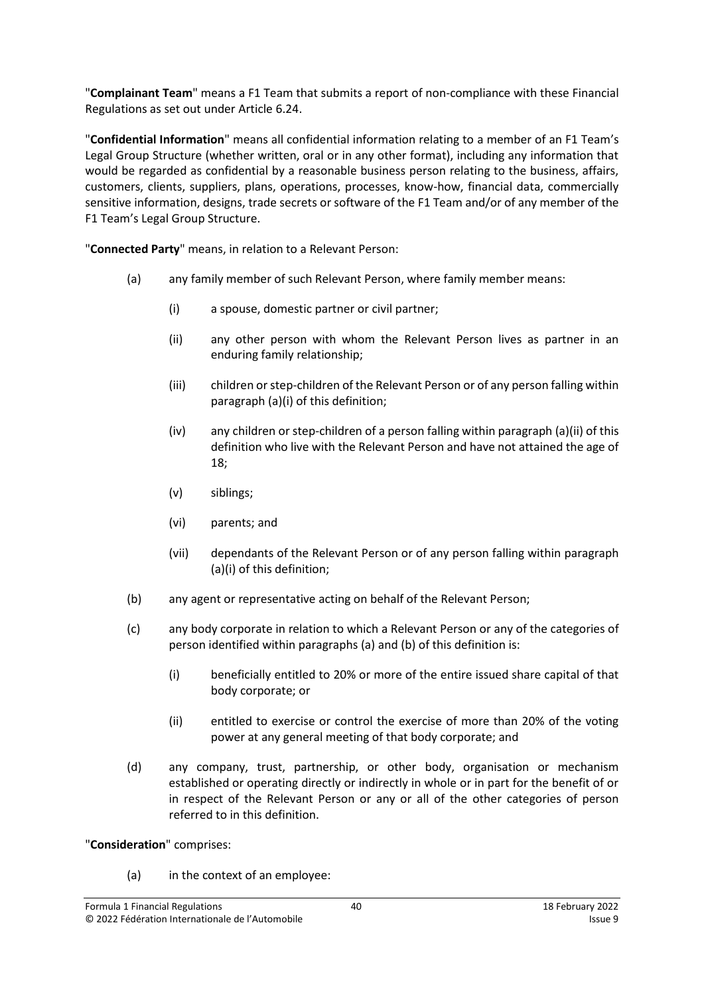"**Complainant Team**" means a F1 Team that submits a report of non-compliance with these Financial Regulations as set out under Article [6.24.](#page-17-2)

"**Confidential Information**" means all confidential information relating to a member of an F1 Team's Legal Group Structure (whether written, oral or in any other format), including any information that would be regarded as confidential by a reasonable business person relating to the business, affairs, customers, clients, suppliers, plans, operations, processes, know-how, financial data, commercially sensitive information, designs, trade secrets or software of the F1 Team and/or of any member of the F1 Team's Legal Group Structure.

<span id="page-39-0"></span>"**Connected Party**" means, in relation to a Relevant Person:

- (a) any family member of such Relevant Person, where family member means:
	- (i) a spouse, domestic partner or civil partner;
	- (ii) any other person with whom the Relevant Person lives as partner in an enduring family relationship;
	- (iii) children or step-children of the Relevant Person or of any person falling within paragraph [\(a\)\(i\)](#page-39-0) of this definition;
	- (iv) any children or step-children of a person falling within paragraph [\(a\)\(ii\)](#page-39-0) of this definition who live with the Relevant Person and have not attained the age of 18;
	- (v) siblings;
	- (vi) parents; and
	- (vii) dependants of the Relevant Person or of any person falling within paragraph [\(a\)\(i\)](#page-39-0) of this definition;
- (b) any agent or representative acting on behalf of the Relevant Person;
- (c) any body corporate in relation to which a Relevant Person or any of the categories of person identified within paragraphs (a) and (b) of this definition is:
	- (i) beneficially entitled to 20% or more of the entire issued share capital of that body corporate; or
	- (ii) entitled to exercise or control the exercise of more than 20% of the voting power at any general meeting of that body corporate; and
- (d) any company, trust, partnership, or other body, organisation or mechanism established or operating directly or indirectly in whole or in part for the benefit of or in respect of the Relevant Person or any or all of the other categories of person referred to in this definition.

"**Consideration**" comprises:

(a) in the context of an employee: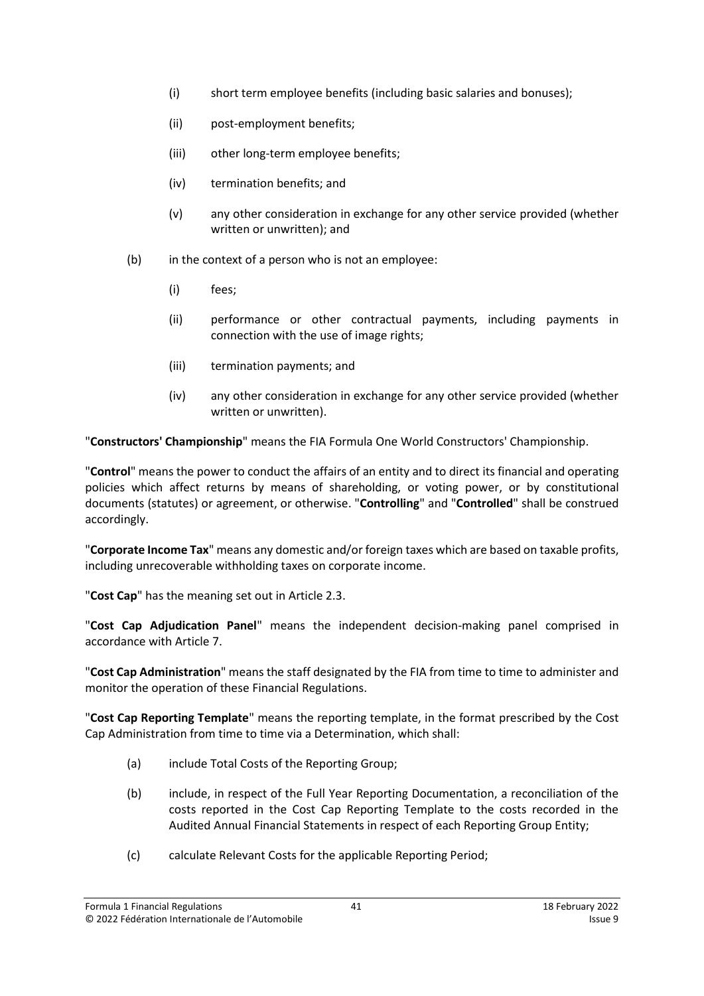- (i) short term employee benefits (including basic salaries and bonuses);
- (ii) post-employment benefits;
- (iii) other long-term employee benefits;
- (iv) termination benefits; and
- (v) any other consideration in exchange for any other service provided (whether written or unwritten); and
- (b) in the context of a person who is not an employee:
	- (i) fees;
	- (ii) performance or other contractual payments, including payments in connection with the use of image rights;
	- (iii) termination payments; and
	- (iv) any other consideration in exchange for any other service provided (whether written or unwritten).

"**Constructors' Championship**" means the FIA Formula One World Constructors' Championship.

"**Control**" means the power to conduct the affairs of an entity and to direct its financial and operating policies which affect returns by means of shareholding, or voting power, or by constitutional documents (statutes) or agreement, or otherwise. "**Controlling**" and "**Controlled**" shall be construed accordingly.

"**Corporate Income Tax**" means any domestic and/or foreign taxes which are based on taxable profits, including unrecoverable withholding taxes on corporate income.

"**Cost Cap**" has the meaning set out in Article [2.3.](#page-2-3)

"**Cost Cap Adjudication Panel**" means the independent decision-making panel comprised in accordance with Articl[e 7.](#page-19-0)

"**Cost Cap Administration**" means the staff designated by the FIA from time to time to administer and monitor the operation of these Financial Regulations.

"**Cost Cap Reporting Template**" means the reporting template, in the format prescribed by the Cost Cap Administration from time to time via a Determination, which shall:

- (a) include Total Costs of the Reporting Group;
- (b) include, in respect of the Full Year Reporting Documentation, a reconciliation of the costs reported in the Cost Cap Reporting Template to the costs recorded in the Audited Annual Financial Statements in respect of each Reporting Group Entity;
- (c) calculate Relevant Costs for the applicable Reporting Period;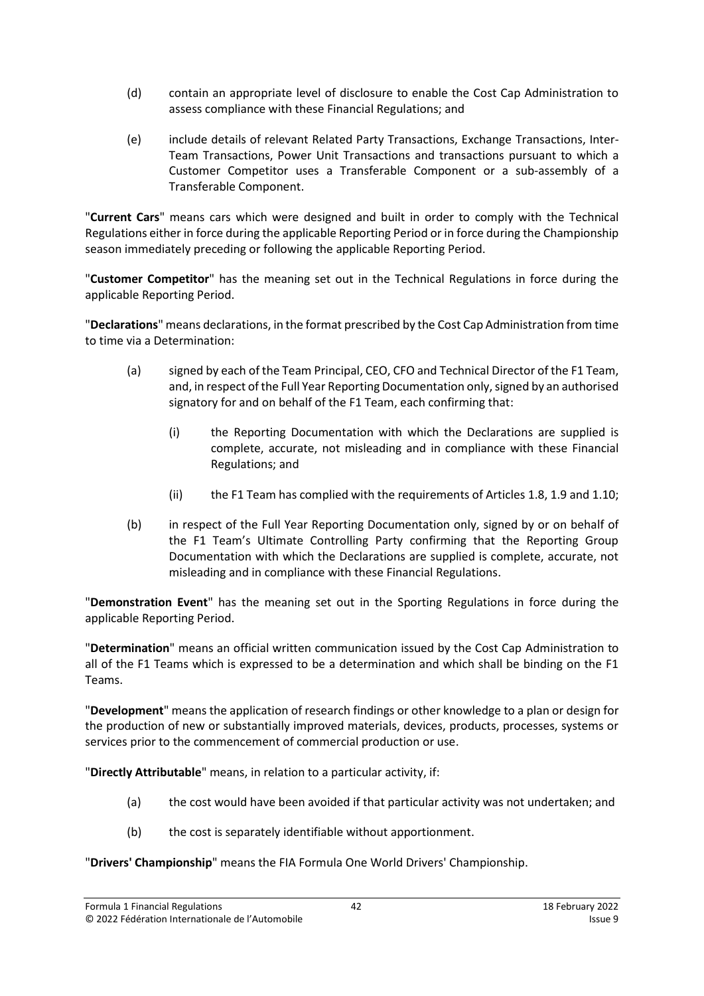- (d) contain an appropriate level of disclosure to enable the Cost Cap Administration to assess compliance with these Financial Regulations; and
- (e) include details of relevant Related Party Transactions, Exchange Transactions, Inter-Team Transactions, Power Unit Transactions and transactions pursuant to which a Customer Competitor uses a Transferable Component or a sub-assembly of a Transferable Component.

"**Current Cars**" means cars which were designed and built in order to comply with the Technical Regulations either in force during the applicable Reporting Period or in force during the Championship season immediately preceding or following the applicable Reporting Period.

"**Customer Competitor**" has the meaning set out in the Technical Regulations in force during the applicable Reporting Period.

"**Declarations**" means declarations, in the format prescribed by the Cost Cap Administration from time to time via a Determination:

- (a) signed by each of the Team Principal, CEO, CFO and Technical Director of the F1 Team, and, in respect of the Full Year Reporting Documentation only, signed by an authorised signatory for and on behalf of the F1 Team, each confirming that:
	- (i) the Reporting Documentation with which the Declarations are supplied is complete, accurate, not misleading and in compliance with these Financial Regulations; and
	- (ii) the F1 Team has complied with the requirements of Article[s 1.8,](#page-1-1) [1.9](#page-2-1) and [1.10;](#page-2-2)
- (b) in respect of the Full Year Reporting Documentation only, signed by or on behalf of the F1 Team's Ultimate Controlling Party confirming that the Reporting Group Documentation with which the Declarations are supplied is complete, accurate, not misleading and in compliance with these Financial Regulations.

"**Demonstration Event**" has the meaning set out in the Sporting Regulations in force during the applicable Reporting Period.

"**Determination**" means an official written communication issued by the Cost Cap Administration to all of the F1 Teams which is expressed to be a determination and which shall be binding on the F1 Teams.

"**Development**" means the application of research findings or other knowledge to a plan or design for the production of new or substantially improved materials, devices, products, processes, systems or services prior to the commencement of commercial production or use.

"**Directly Attributable**" means, in relation to a particular activity, if:

- (a) the cost would have been avoided if that particular activity was not undertaken; and
- (b) the cost is separately identifiable without apportionment.

"**Drivers' Championship**" means the FIA Formula One World Drivers' Championship.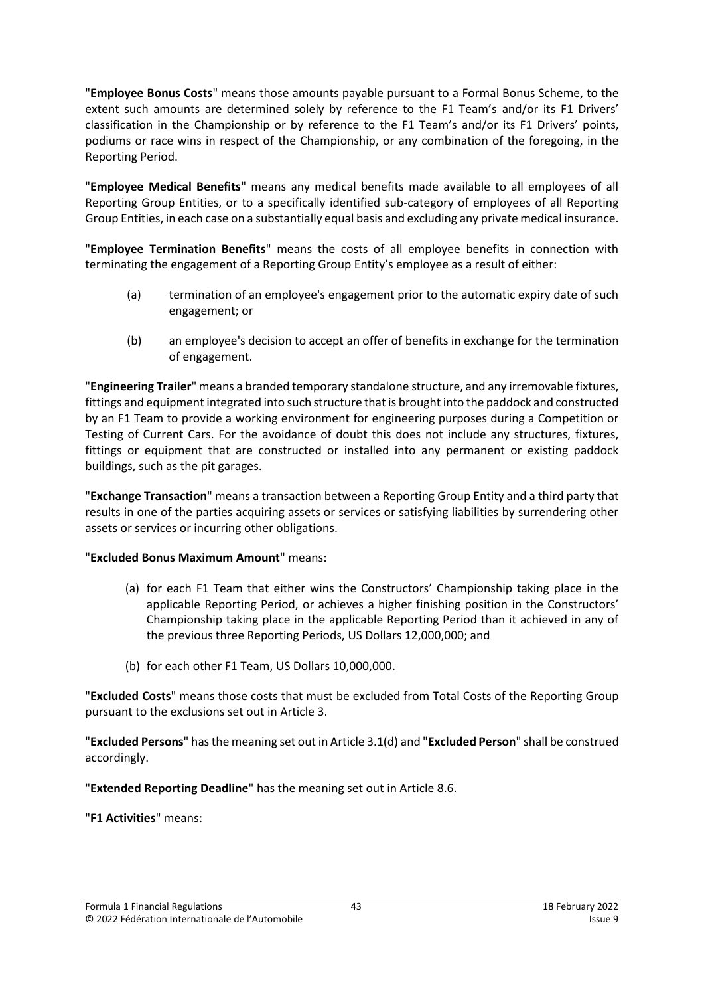"**Employee Bonus Costs**" means those amounts payable pursuant to a Formal Bonus Scheme, to the extent such amounts are determined solely by reference to the F1 Team's and/or its F1 Drivers' classification in the Championship or by reference to the F1 Team's and/or its F1 Drivers' points, podiums or race wins in respect of the Championship, or any combination of the foregoing, in the Reporting Period.

"**Employee Medical Benefits**" means any medical benefits made available to all employees of all Reporting Group Entities, or to a specifically identified sub-category of employees of all Reporting Group Entities, in each case on a substantially equal basis and excluding any private medical insurance.

"**Employee Termination Benefits**" means the costs of all employee benefits in connection with terminating the engagement of a Reporting Group Entity's employee as a result of either:

- (a) termination of an employee's engagement prior to the automatic expiry date of such engagement; or
- (b) an employee's decision to accept an offer of benefits in exchange for the termination of engagement.

"**Engineering Trailer**" means a branded temporary standalone structure, and any irremovable fixtures, fittings and equipment integrated into such structure that is brought into the paddock and constructed by an F1 Team to provide a working environment for engineering purposes during a Competition or Testing of Current Cars. For the avoidance of doubt this does not include any structures, fixtures, fittings or equipment that are constructed or installed into any permanent or existing paddock buildings, such as the pit garages.

"**Exchange Transaction**" means a transaction between a Reporting Group Entity and a third party that results in one of the parties acquiring assets or services or satisfying liabilities by surrendering other assets or services or incurring other obligations.

# "**Excluded Bonus Maximum Amount**" means:

- (a) for each F1 Team that either wins the Constructors' Championship taking place in the applicable Reporting Period, or achieves a higher finishing position in the Constructors' Championship taking place in the applicable Reporting Period than it achieved in any of the previous three Reporting Periods, US Dollars 12,000,000; and
- (b) for each other F1 Team, US Dollars 10,000,000.

"**Excluded Costs**" means those costs that must be excluded from Total Costs of the Reporting Group pursuant to the exclusions set out in Articl[e 3.](#page-5-0)

"**Excluded Persons**" hasthe meaning set out in Article [3.1\(d\)](#page-5-4) and "**Excluded Person**" shall be construed accordingly.

"**Extended Reporting Deadline**" has the meaning set out in Articl[e 8.6.](#page-24-2)

"**F1 Activities**" means: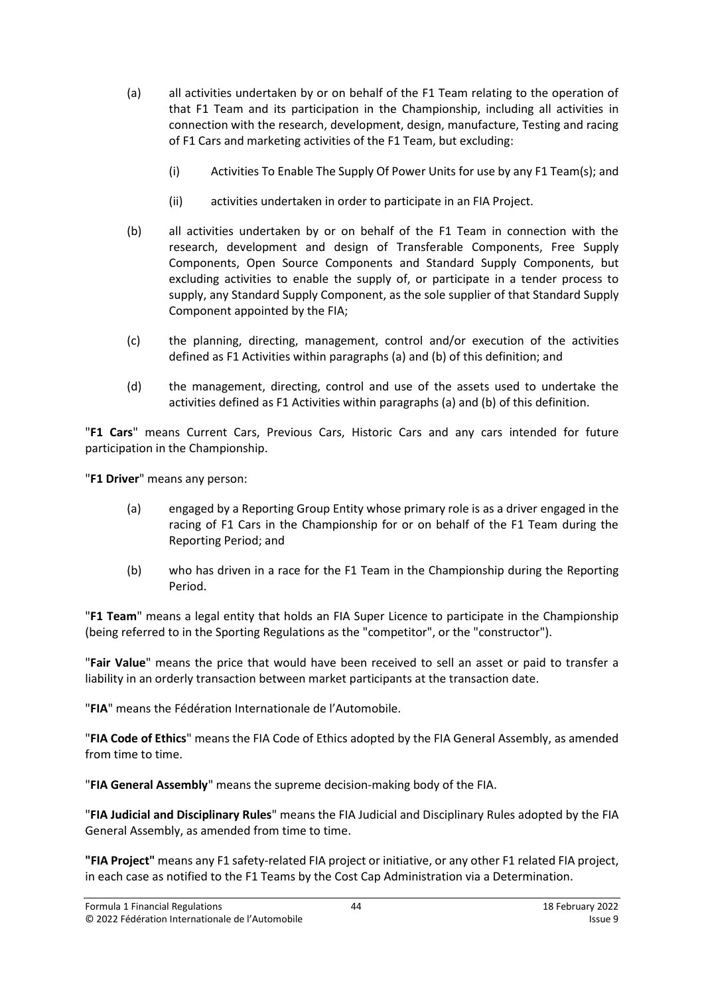- (a) all activities undertaken by or on behalf of the F1 Team relating to the operation of that F1 Team and its participation in the Championship, including all activities in connection with the research, development, design, manufacture, Testing and racing of F1 Cars and marketing activities of the F1 Team, but excluding:
	- (i) Activities To Enable The Supply Of Power Units for use by any F1 Team(s); and
	- (ii) activities undertaken in order to participate in an FIA Project.
- (b) all activities undertaken by or on behalf of the F1 Team in connection with the research, development and design of Transferable Components, Free Supply Components, Open Source Components and Standard Supply Components, but excluding activities to enable the supply of, or participate in a tender process to supply, any Standard Supply Component, as the sole supplier of that Standard Supply Component appointed by the FIA;
- (c) the planning, directing, management, control and/or execution of the activities defined as F1 Activities within paragraphs (a) and (b) of this definition; and
- (d) the management, directing, control and use of the assets used to undertake the activities defined as F1 Activities within paragraphs (a) and (b) of this definition.

"**F1 Cars**" means Current Cars, Previous Cars, Historic Cars and any cars intended for future participation in the Championship.

"**F1 Driver**" means any person:

- (a) engaged by a Reporting Group Entity whose primary role is as a driver engaged in the racing of F1 Cars in the Championship for or on behalf of the F1 Team during the Reporting Period; and
- (b) who has driven in a race for the F1 Team in the Championship during the Reporting Period.

"**F1 Team**" means a legal entity that holds an FIA Super Licence to participate in the Championship (being referred to in the Sporting Regulations as the "competitor", or the "constructor").

"**Fair Value**" means the price that would have been received to sell an asset or paid to transfer a liability in an orderly transaction between market participants at the transaction date.

"**FIA**" means the Fédération Internationale de l'Automobile.

"**FIA Code of Ethics**" means the FIA Code of Ethics adopted by the FIA General Assembly, as amended from time to time.

"**FIA General Assembly**" means the supreme decision-making body of the FIA.

"**FIA Judicial and Disciplinary Rules**" means the FIA Judicial and Disciplinary Rules adopted by the FIA General Assembly, as amended from time to time.

**"FIA Project"** means any F1 safety-related FIA project or initiative, or any other F1 related FIA project, in each case as notified to the F1 Teams by the Cost Cap Administration via a Determination.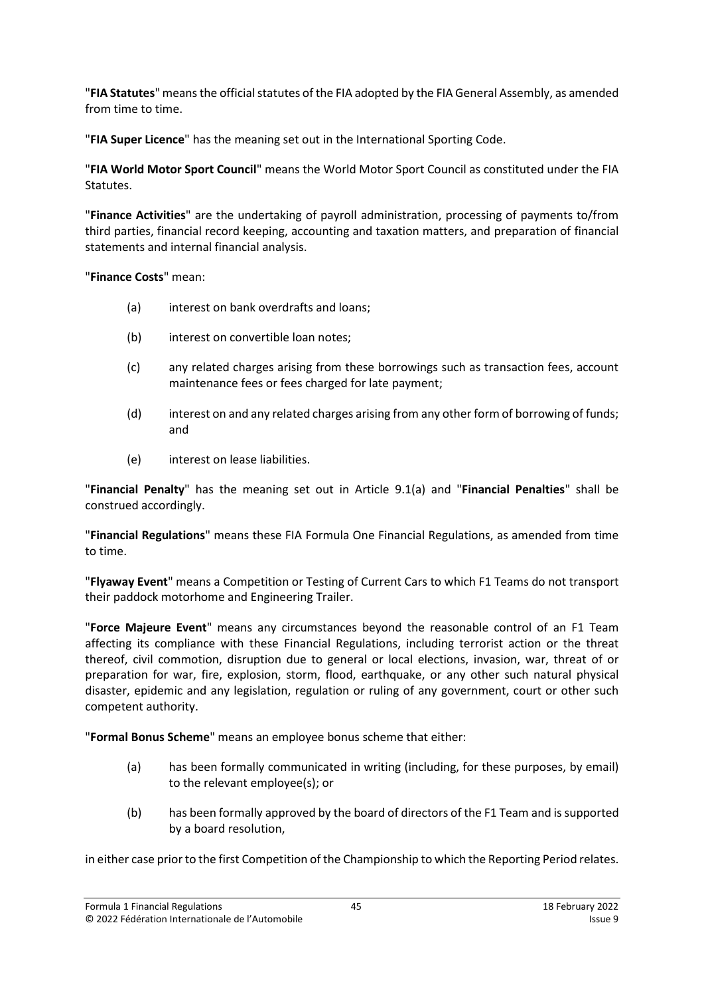"**FIA Statutes**" means the official statutes of the FIA adopted by the FIA General Assembly, as amended from time to time.

"**FIA Super Licence**" has the meaning set out in the International Sporting Code.

"**FIA World Motor Sport Council**" means the World Motor Sport Council as constituted under the FIA Statutes.

"**Finance Activities**" are the undertaking of payroll administration, processing of payments to/from third parties, financial record keeping, accounting and taxation matters, and preparation of financial statements and internal financial analysis.

"**Finance Costs**" mean:

- (a) interest on bank overdrafts and loans;
- (b) interest on convertible loan notes;
- (c) any related charges arising from these borrowings such as transaction fees, account maintenance fees or fees charged for late payment;
- (d) interest on and any related charges arising from any other form of borrowing of funds; and
- (e) interest on lease liabilities.

"**Financial Penalty**" has the meaning set out in Article [9.1\(a\)](#page-26-6) and "**Financial Penalties**" shall be construed accordingly.

"**Financial Regulations**" means these FIA Formula One Financial Regulations, as amended from time to time.

"**Flyaway Event**" means a Competition or Testing of Current Cars to which F1 Teams do not transport their paddock motorhome and Engineering Trailer.

"**Force Majeure Event**" means any circumstances beyond the reasonable control of an F1 Team affecting its compliance with these Financial Regulations, including terrorist action or the threat thereof, civil commotion, disruption due to general or local elections, invasion, war, threat of or preparation for war, fire, explosion, storm, flood, earthquake, or any other such natural physical disaster, epidemic and any legislation, regulation or ruling of any government, court or other such competent authority.

"**Formal Bonus Scheme**" means an employee bonus scheme that either:

- (a) has been formally communicated in writing (including, for these purposes, by email) to the relevant employee(s); or
- (b) has been formally approved by the board of directors of the F1 Team and is supported by a board resolution,

in either case prior to the first Competition of the Championship to which the Reporting Period relates.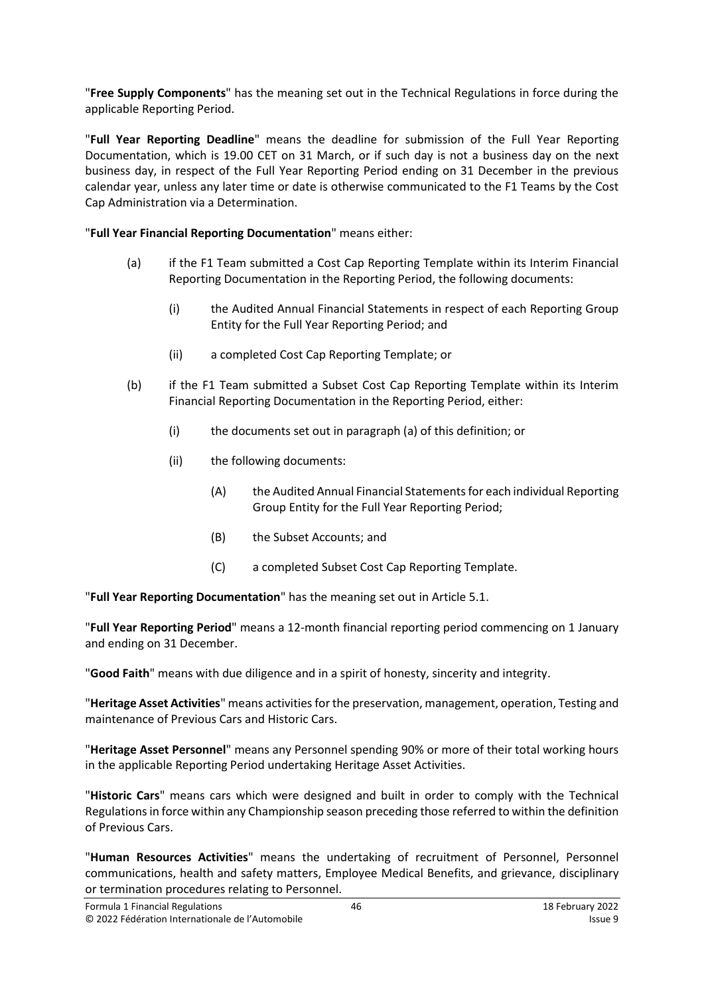"**Free Supply Components**" has the meaning set out in the Technical Regulations in force during the applicable Reporting Period.

"**Full Year Reporting Deadline**" means the deadline for submission of the Full Year Reporting Documentation, which is 19.00 CET on 31 March, or if such day is not a business day on the next business day, in respect of the Full Year Reporting Period ending on 31 December in the previous calendar year, unless any later time or date is otherwise communicated to the F1 Teams by the Cost Cap Administration via a Determination.

# "**Full Year Financial Reporting Documentation**" means either:

- (a) if the F1 Team submitted a Cost Cap Reporting Template within its Interim Financial Reporting Documentation in the Reporting Period, the following documents:
	- (i) the Audited Annual Financial Statements in respect of each Reporting Group Entity for the Full Year Reporting Period; and
	- (ii) a completed Cost Cap Reporting Template; or
- (b) if the F1 Team submitted a Subset Cost Cap Reporting Template within its Interim Financial Reporting Documentation in the Reporting Period, either:
	- (i) the documents set out in paragraph (a) of this definition; or
	- (ii) the following documents:
		- (A) the Audited Annual Financial Statements for each individual Reporting Group Entity for the Full Year Reporting Period;
		- (B) the Subset Accounts; and
		- (C) a completed Subset Cost Cap Reporting Template.

"**Full Year Reporting Documentation**" has the meaning set out in Articl[e 5.1.](#page-13-3)

"**Full Year Reporting Period**" means a 12-month financial reporting period commencing on 1 January and ending on 31 December.

"**Good Faith**" means with due diligence and in a spirit of honesty, sincerity and integrity.

"**Heritage Asset Activities**" means activities forthe preservation, management, operation, Testing and maintenance of Previous Cars and Historic Cars.

"**Heritage Asset Personnel**" means any Personnel spending 90% or more of their total working hours in the applicable Reporting Period undertaking Heritage Asset Activities.

"**Historic Cars**" means cars which were designed and built in order to comply with the Technical Regulations in force within any Championship season preceding those referred to within the definition of Previous Cars.

"**Human Resources Activities**" means the undertaking of recruitment of Personnel, Personnel communications, health and safety matters, Employee Medical Benefits, and grievance, disciplinary or termination procedures relating to Personnel.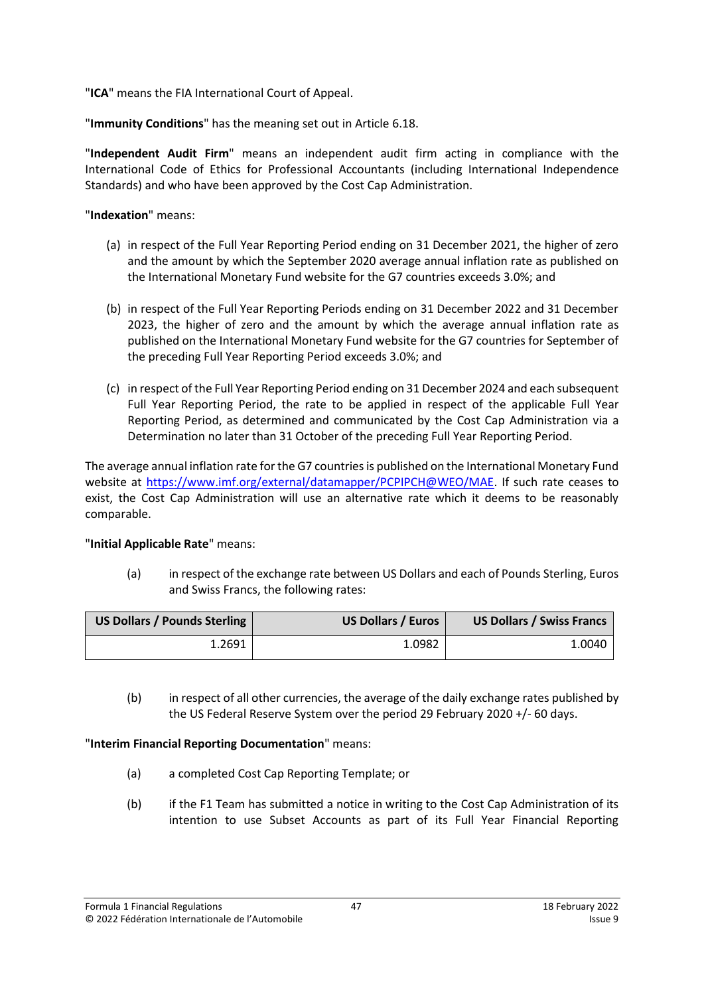"**ICA**" means the FIA International Court of Appeal.

"**Immunity Conditions**" has the meaning set out in Articl[e 6.18.](#page-16-0)

"**Independent Audit Firm**" means an independent audit firm acting in compliance with the International Code of Ethics for Professional Accountants (including International Independence Standards) and who have been approved by the Cost Cap Administration.

"**Indexation**" means:

- (a) in respect of the Full Year Reporting Period ending on 31 December 2021, the higher of zero and the amount by which the September 2020 average annual inflation rate as published on the International Monetary Fund website for the G7 countries exceeds 3.0%; and
- (b) in respect of the Full Year Reporting Periods ending on 31 December 2022 and 31 December 2023, the higher of zero and the amount by which the average annual inflation rate as published on the International Monetary Fund website for the G7 countries for September of the preceding Full Year Reporting Period exceeds 3.0%; and
- (c) in respect of the Full Year Reporting Period ending on 31 December 2024 and each subsequent Full Year Reporting Period, the rate to be applied in respect of the applicable Full Year Reporting Period, as determined and communicated by the Cost Cap Administration via a Determination no later than 31 October of the preceding Full Year Reporting Period.

The average annual inflation rate for the G7 countries is published on the International Monetary Fund website at [https://www.imf.org/external/datamapper/PCPIPCH@WEO/MAE.](https://www.imf.org/external/datamapper/PCPIPCH@WEO/MAE) If such rate ceases to exist, the Cost Cap Administration will use an alternative rate which it deems to be reasonably comparable.

# "**Initial Applicable Rate**" means:

(a) in respect of the exchange rate between US Dollars and each of Pounds Sterling, Euros and Swiss Francs, the following rates:

| <b>US Dollars / Pounds Sterling</b> | <b>US Dollars / Euros</b> | <b>US Dollars / Swiss Francs</b> |
|-------------------------------------|---------------------------|----------------------------------|
| 1.2691                              | 1.0982                    | 1.0040                           |

(b) in respect of all other currencies, the average of the daily exchange rates published by the US Federal Reserve System over the period 29 February 2020 +/- 60 days.

# "**Interim Financial Reporting Documentation**" means:

- (a) a completed Cost Cap Reporting Template; or
- (b) if the F1 Team has submitted a notice in writing to the Cost Cap Administration of its intention to use Subset Accounts as part of its Full Year Financial Reporting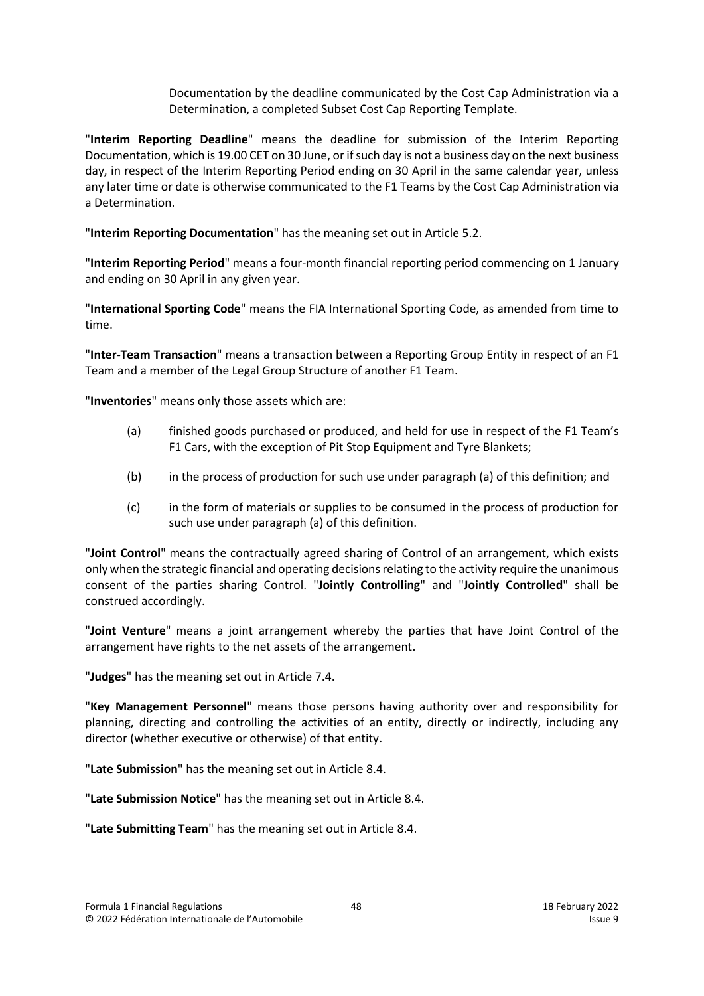Documentation by the deadline communicated by the Cost Cap Administration via a Determination, a completed Subset Cost Cap Reporting Template.

"**Interim Reporting Deadline**" means the deadline for submission of the Interim Reporting Documentation, which is 19.00 CET on 30 June, or if such day is not a business day on the next business day, in respect of the Interim Reporting Period ending on 30 April in the same calendar year, unless any later time or date is otherwise communicated to the F1 Teams by the Cost Cap Administration via a Determination.

"**Interim Reporting Documentation**" has the meaning set out in Article [5.2.](#page-13-2)

"**Interim Reporting Period**" means a four-month financial reporting period commencing on 1 January and ending on 30 April in any given year.

"**International Sporting Code**" means the FIA International Sporting Code, as amended from time to time.

"**Inter-Team Transaction**" means a transaction between a Reporting Group Entity in respect of an F1 Team and a member of the Legal Group Structure of another F1 Team.

"**Inventories**" means only those assets which are:

- (a) finished goods purchased or produced, and held for use in respect of the F1 Team's F1 Cars, with the exception of Pit Stop Equipment and Tyre Blankets;
- (b) in the process of production for such use under paragraph (a) of this definition; and
- (c) in the form of materials or supplies to be consumed in the process of production for such use under paragraph (a) of this definition.

"**Joint Control**" means the contractually agreed sharing of Control of an arrangement, which exists only when the strategic financial and operating decisions relating to the activity require the unanimous consent of the parties sharing Control. "**Jointly Controlling**" and "**Jointly Controlled**" shall be construed accordingly.

"**Joint Venture**" means a joint arrangement whereby the parties that have Joint Control of the arrangement have rights to the net assets of the arrangement.

"**Judges**" has the meaning set out in Article [7.4.](#page-19-2)

"**Key Management Personnel**" means those persons having authority over and responsibility for planning, directing and controlling the activities of an entity, directly or indirectly, including any director (whether executive or otherwise) of that entity.

"**Late Submission**" has the meaning set out in Article [8.4.](#page-23-0)

"**Late Submission Notice**" has the meaning set out in Article [8.4.](#page-23-0)

"**Late Submitting Team**" has the meaning set out in Article [8.4.](#page-23-0)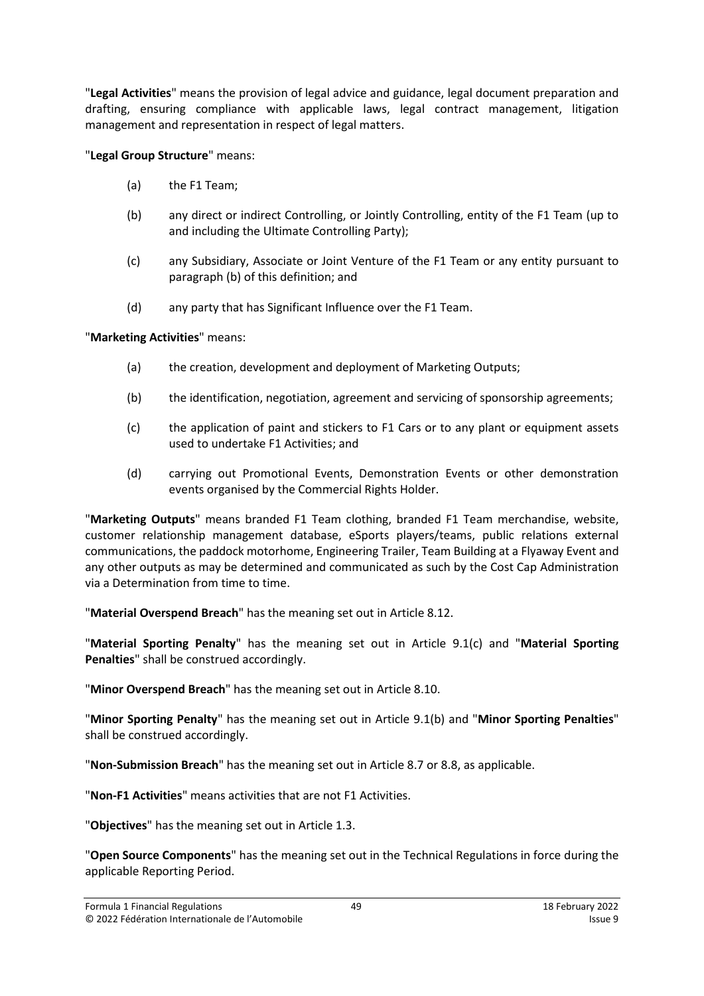"**Legal Activities**" means the provision of legal advice and guidance, legal document preparation and drafting, ensuring compliance with applicable laws, legal contract management, litigation management and representation in respect of legal matters.

# "**Legal Group Structure**" means:

- (a) the F1 Team;
- (b) any direct or indirect Controlling, or Jointly Controlling, entity of the F1 Team (up to and including the Ultimate Controlling Party);
- (c) any Subsidiary, Associate or Joint Venture of the F1 Team or any entity pursuant to paragraph (b) of this definition; and
- (d) any party that has Significant Influence over the F1 Team.

### "**Marketing Activities**" means:

- (a) the creation, development and deployment of Marketing Outputs;
- (b) the identification, negotiation, agreement and servicing of sponsorship agreements;
- (c) the application of paint and stickers to F1 Cars or to any plant or equipment assets used to undertake F1 Activities; and
- (d) carrying out Promotional Events, Demonstration Events or other demonstration events organised by the Commercial Rights Holder.

"**Marketing Outputs**" means branded F1 Team clothing, branded F1 Team merchandise, website, customer relationship management database, eSports players/teams, public relations external communications, the paddock motorhome, Engineering Trailer, Team Building at a Flyaway Event and any other outputs as may be determined and communicated as such by the Cost Cap Administration via a Determination from time to time.

"**Material Overspend Breach**" has the meaning set out in Article [8.12.](#page-25-1)

"**Material Sporting Penalty**" has the meaning set out in Article [9.1\(c\)](#page-26-4) and "**Material Sporting Penalties**" shall be construed accordingly.

"**Minor Overspend Breach**" has the meaning set out in Article [8.10.](#page-24-3)

"**Minor Sporting Penalty**" has the meaning set out in Article [9.1\(b\)](#page-26-7) and "**Minor Sporting Penalties**" shall be construed accordingly.

"**Non-Submission Breach**" has the meaning set out in Article [8.7](#page-24-0) or [8.8,](#page-24-4) as applicable.

"**Non-F1 Activities**" means activities that are not F1 Activities.

"**Objectives**" has the meaning set out in Article [1.3.](#page-1-2)

"**Open Source Components**" has the meaning set out in the Technical Regulations in force during the applicable Reporting Period.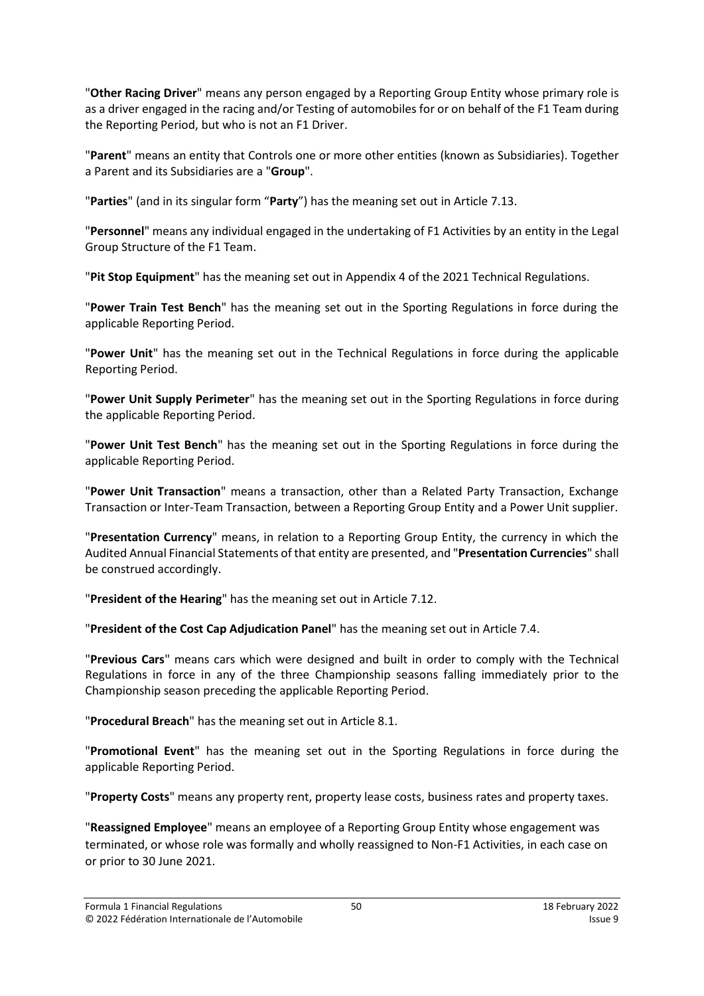"**Other Racing Driver**" means any person engaged by a Reporting Group Entity whose primary role is as a driver engaged in the racing and/or Testing of automobiles for or on behalf of the F1 Team during the Reporting Period, but who is not an F1 Driver.

"**Parent**" means an entity that Controls one or more other entities (known as Subsidiaries). Together a Parent and its Subsidiaries are a "**Group**".

"**Parties**" (and in its singular form "**Party**") has the meaning set out in Article [7.13.](#page-20-1)

"**Personnel**" means any individual engaged in the undertaking of F1 Activities by an entity in the Legal Group Structure of the F1 Team.

"**Pit Stop Equipment**" has the meaning set out in Appendix 4 of the 2021 Technical Regulations.

"**Power Train Test Bench**" has the meaning set out in the Sporting Regulations in force during the applicable Reporting Period.

"**Power Unit**" has the meaning set out in the Technical Regulations in force during the applicable Reporting Period.

"**Power Unit Supply Perimeter**" has the meaning set out in the Sporting Regulations in force during the applicable Reporting Period.

"**Power Unit Test Bench**" has the meaning set out in the Sporting Regulations in force during the applicable Reporting Period.

"**Power Unit Transaction**" means a transaction, other than a Related Party Transaction, Exchange Transaction or Inter-Team Transaction, between a Reporting Group Entity and a Power Unit supplier.

"**Presentation Currency**" means, in relation to a Reporting Group Entity, the currency in which the Audited Annual Financial Statements of that entity are presented, and "**Presentation Currencies**" shall be construed accordingly.

"**President of the Hearing**" has the meaning set out in Article [7.12.](#page-20-2)

"**President of the Cost Cap Adjudication Panel**" has the meaning set out in Article [7.4.](#page-19-2)

"**Previous Cars**" means cars which were designed and built in order to comply with the Technical Regulations in force in any of the three Championship seasons falling immediately prior to the Championship season preceding the applicable Reporting Period.

"**Procedural Breach**" has the meaning set out in Article [8.1.](#page-23-1)

"**Promotional Event**" has the meaning set out in the Sporting Regulations in force during the applicable Reporting Period.

"**Property Costs**" means any property rent, property lease costs, business rates and property taxes.

"**Reassigned Employee**" means an employee of a Reporting Group Entity whose engagement was terminated, or whose role was formally and wholly reassigned to Non-F1 Activities, in each case on or prior to 30 June 2021.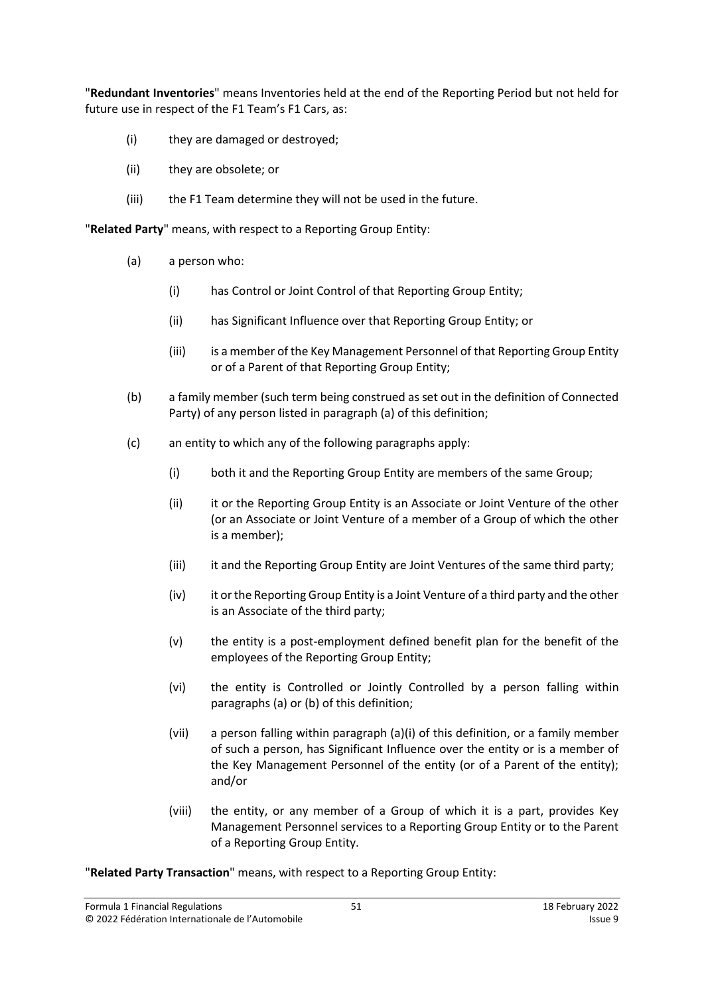"**Redundant Inventories**" means Inventories held at the end of the Reporting Period but not held for future use in respect of the F1 Team's F1 Cars, as:

- (i) they are damaged or destroyed;
- (ii) they are obsolete; or
- (iii) the F1 Team determine they will not be used in the future.

"**Related Party**" means, with respect to a Reporting Group Entity:

- (a) a person who:
	- (i) has Control or Joint Control of that Reporting Group Entity;
	- (ii) has Significant Influence over that Reporting Group Entity; or
	- (iii) is a member of the Key Management Personnel of that Reporting Group Entity or of a Parent of that Reporting Group Entity;
- (b) a family member (such term being construed as set out in the definition of Connected Party) of any person listed in paragraph (a) of this definition;
- (c) an entity to which any of the following paragraphs apply:
	- (i) both it and the Reporting Group Entity are members of the same Group;
	- (ii) it or the Reporting Group Entity is an Associate or Joint Venture of the other (or an Associate or Joint Venture of a member of a Group of which the other is a member);
	- (iii) it and the Reporting Group Entity are Joint Ventures of the same third party;
	- (iv) it or the Reporting Group Entity is a Joint Venture of a third party and the other is an Associate of the third party;
	- (v) the entity is a post-employment defined benefit plan for the benefit of the employees of the Reporting Group Entity;
	- (vi) the entity is Controlled or Jointly Controlled by a person falling within paragraphs (a) or (b) of this definition;
	- (vii) a person falling within paragraph (a)(i) of this definition, or a family member of such a person, has Significant Influence over the entity or is a member of the Key Management Personnel of the entity (or of a Parent of the entity); and/or
	- (viii) the entity, or any member of a Group of which it is a part, provides Key Management Personnel services to a Reporting Group Entity or to the Parent of a Reporting Group Entity.

"**Related Party Transaction**" means, with respect to a Reporting Group Entity: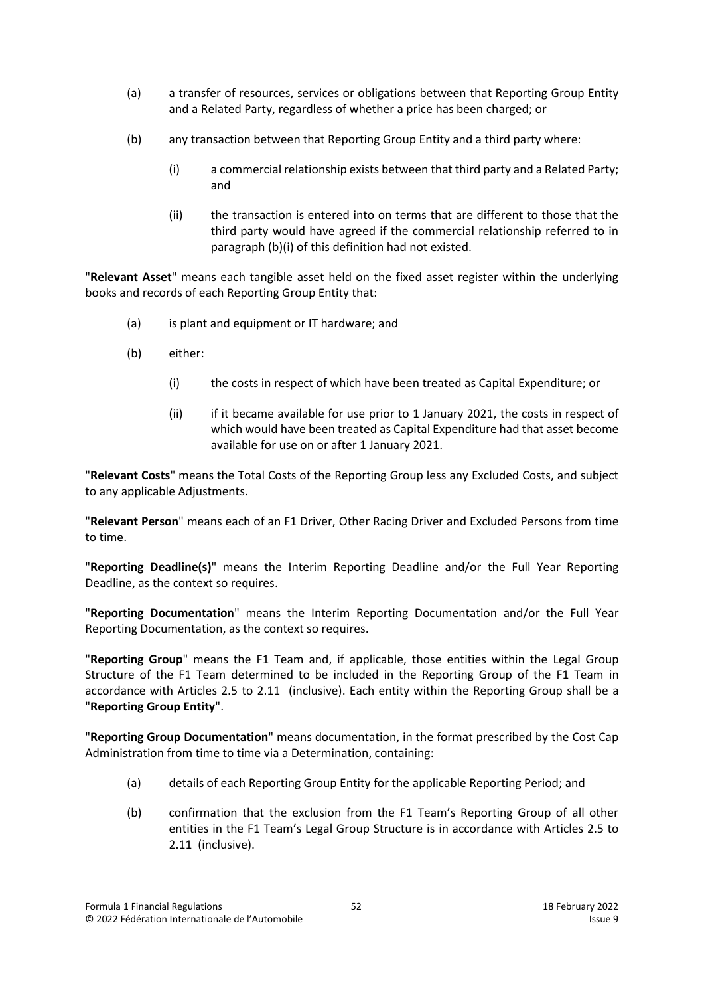- (a) a transfer of resources, services or obligations between that Reporting Group Entity and a Related Party, regardless of whether a price has been charged; or
- (b) any transaction between that Reporting Group Entity and a third party where:
	- (i) a commercial relationship exists between that third party and a Related Party; and
	- (ii) the transaction is entered into on terms that are different to those that the third party would have agreed if the commercial relationship referred to in paragraph (b)(i) of this definition had not existed.

"**Relevant Asset**" means each tangible asset held on the fixed asset register within the underlying books and records of each Reporting Group Entity that:

- (a) is plant and equipment or IT hardware; and
- (b) either:
	- (i) the costs in respect of which have been treated as Capital Expenditure; or
	- (ii) if it became available for use prior to 1 January 2021, the costs in respect of which would have been treated as Capital Expenditure had that asset become available for use on or after 1 January 2021.

"**Relevant Costs**" means the Total Costs of the Reporting Group less any Excluded Costs, and subject to any applicable Adjustments.

"**Relevant Person**" means each of an F1 Driver, Other Racing Driver and Excluded Persons from time to time.

"**Reporting Deadline(s)**" means the Interim Reporting Deadline and/or the Full Year Reporting Deadline, as the context so requires.

"**Reporting Documentation**" means the Interim Reporting Documentation and/or the Full Year Reporting Documentation, as the context so requires.

"**Reporting Group**" means the F1 Team and, if applicable, those entities within the Legal Group Structure of the F1 Team determined to be included in the Reporting Group of the F1 Team in accordance with Articles [2.5](#page-4-1) to [2.11](#page-5-5) (inclusive). Each entity within the Reporting Group shall be a "**Reporting Group Entity**".

"**Reporting Group Documentation**" means documentation, in the format prescribed by the Cost Cap Administration from time to time via a Determination, containing:

- (a) details of each Reporting Group Entity for the applicable Reporting Period; and
- (b) confirmation that the exclusion from the F1 Team's Reporting Group of all other entities in the F1 Team's Legal Group Structure is in accordance with Articles [2.5](#page-4-1) to [2.11](#page-5-5) (inclusive).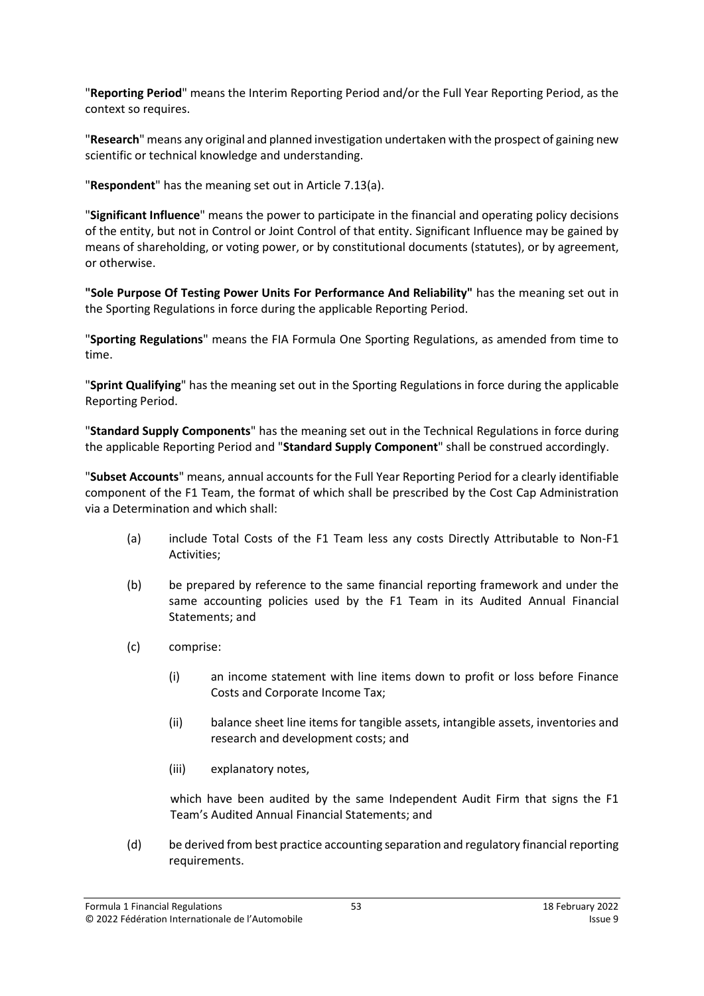"**Reporting Period**" means the Interim Reporting Period and/or the Full Year Reporting Period, as the context so requires.

"**Research**" means any original and planned investigation undertaken with the prospect of gaining new scientific or technical knowledge and understanding.

"**Respondent**" has the meaning set out in Article [7.13\(a\).](#page-20-3)

"**Significant Influence**" means the power to participate in the financial and operating policy decisions of the entity, but not in Control or Joint Control of that entity. Significant Influence may be gained by means of shareholding, or voting power, or by constitutional documents (statutes), or by agreement, or otherwise.

**"Sole Purpose Of Testing Power Units For Performance And Reliability"** has the meaning set out in the Sporting Regulations in force during the applicable Reporting Period.

"**Sporting Regulations**" means the FIA Formula One Sporting Regulations, as amended from time to time.

"**Sprint Qualifying**" has the meaning set out in the Sporting Regulations in force during the applicable Reporting Period.

"**Standard Supply Components**" has the meaning set out in the Technical Regulations in force during the applicable Reporting Period and "**Standard Supply Component**" shall be construed accordingly.

"**Subset Accounts**" means, annual accounts for the Full Year Reporting Period for a clearly identifiable component of the F1 Team, the format of which shall be prescribed by the Cost Cap Administration via a Determination and which shall:

- (a) include Total Costs of the F1 Team less any costs Directly Attributable to Non-F1 Activities;
- (b) be prepared by reference to the same financial reporting framework and under the same accounting policies used by the F1 Team in its Audited Annual Financial Statements; and
- (c) comprise:
	- (i) an income statement with line items down to profit or loss before Finance Costs and Corporate Income Tax;
	- (ii) balance sheet line items for tangible assets, intangible assets, inventories and research and development costs; and
	- (iii) explanatory notes,

which have been audited by the same Independent Audit Firm that signs the F1 Team's Audited Annual Financial Statements; and

(d) be derived from best practice accounting separation and regulatory financial reporting requirements.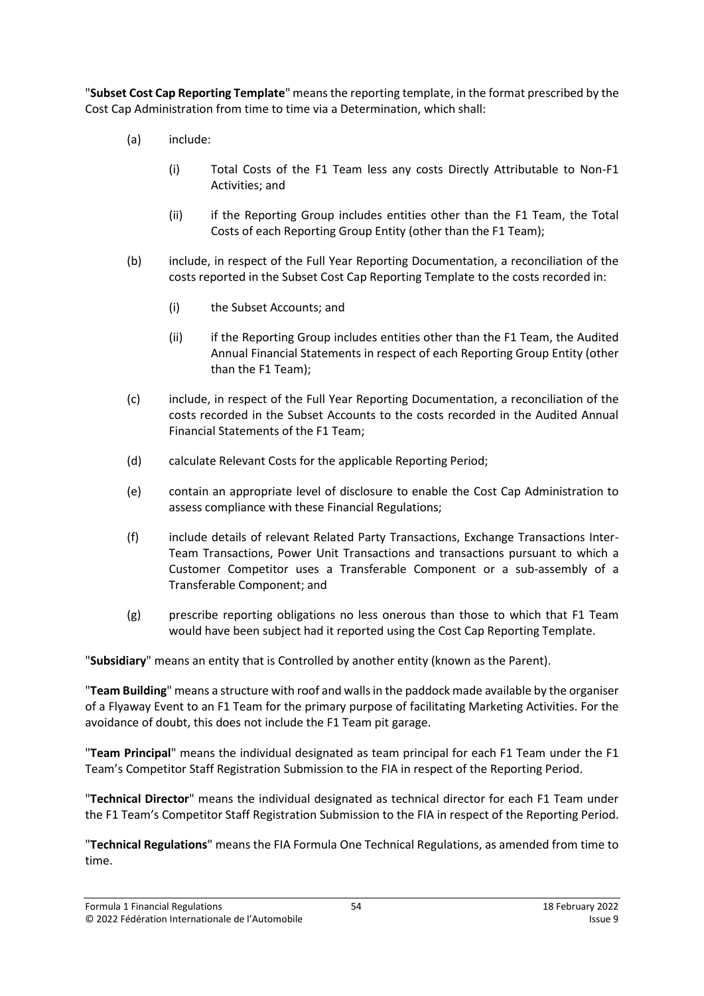"**Subset Cost Cap Reporting Template**" means the reporting template, in the format prescribed by the Cost Cap Administration from time to time via a Determination, which shall:

- (a) include:
	- (i) Total Costs of the F1 Team less any costs Directly Attributable to Non-F1 Activities; and
	- (ii) if the Reporting Group includes entities other than the F1 Team, the Total Costs of each Reporting Group Entity (other than the F1 Team);
- (b) include, in respect of the Full Year Reporting Documentation, a reconciliation of the costs reported in the Subset Cost Cap Reporting Template to the costs recorded in:
	- (i) the Subset Accounts; and
	- (ii) if the Reporting Group includes entities other than the F1 Team, the Audited Annual Financial Statements in respect of each Reporting Group Entity (other than the F1 Team);
- (c) include, in respect of the Full Year Reporting Documentation, a reconciliation of the costs recorded in the Subset Accounts to the costs recorded in the Audited Annual Financial Statements of the F1 Team;
- (d) calculate Relevant Costs for the applicable Reporting Period;
- (e) contain an appropriate level of disclosure to enable the Cost Cap Administration to assess compliance with these Financial Regulations;
- (f) include details of relevant Related Party Transactions, Exchange Transactions Inter-Team Transactions, Power Unit Transactions and transactions pursuant to which a Customer Competitor uses a Transferable Component or a sub-assembly of a Transferable Component; and
- (g) prescribe reporting obligations no less onerous than those to which that F1 Team would have been subject had it reported using the Cost Cap Reporting Template.

"**Subsidiary**" means an entity that is Controlled by another entity (known as the Parent).

"**Team Building**" means a structure with roof and walls in the paddock made available by the organiser of a Flyaway Event to an F1 Team for the primary purpose of facilitating Marketing Activities. For the avoidance of doubt, this does not include the F1 Team pit garage.

"**Team Principal**" means the individual designated as team principal for each F1 Team under the F1 Team's Competitor Staff Registration Submission to the FIA in respect of the Reporting Period.

"**Technical Director**" means the individual designated as technical director for each F1 Team under the F1 Team's Competitor Staff Registration Submission to the FIA in respect of the Reporting Period.

"**Technical Regulations**" means the FIA Formula One Technical Regulations, as amended from time to time.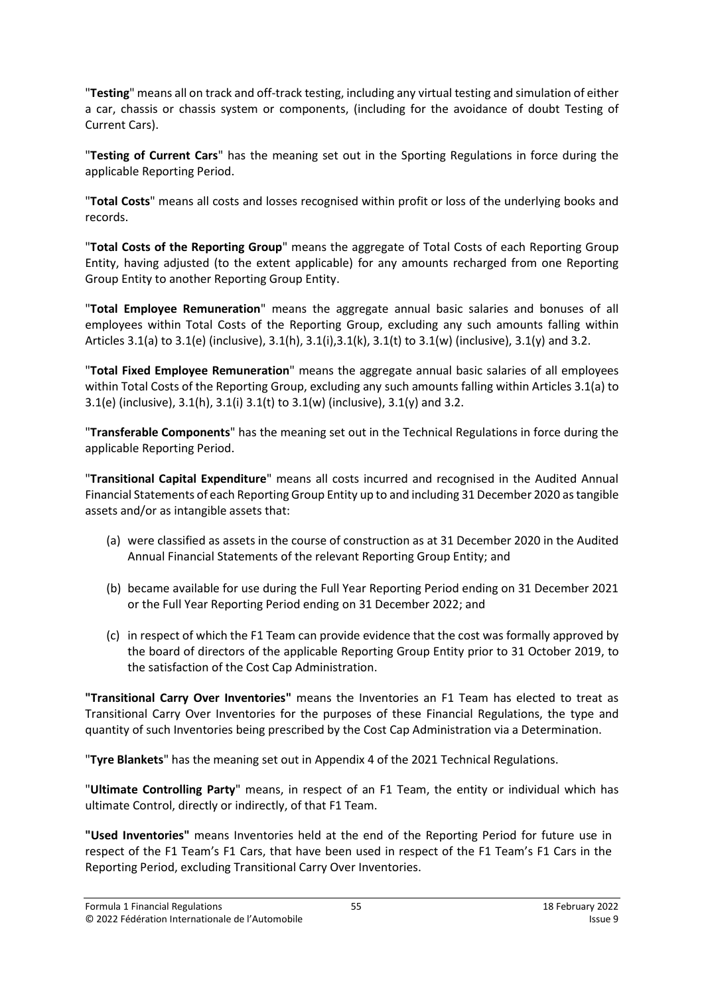"**Testing**" means all on track and off-track testing, including any virtual testing and simulation of either a car, chassis or chassis system or components, (including for the avoidance of doubt Testing of Current Cars).

"**Testing of Current Cars**" has the meaning set out in the Sporting Regulations in force during the applicable Reporting Period.

"**Total Costs**" means all costs and losses recognised within profit or loss of the underlying books and records.

"**Total Costs of the Reporting Group**" means the aggregate of Total Costs of each Reporting Group Entity, having adjusted (to the extent applicable) for any amounts recharged from one Reporting Group Entity to another Reporting Group Entity.

"**Total Employee Remuneration**" means the aggregate annual basic salaries and bonuses of all employees within Total Costs of the Reporting Group, excluding any such amounts falling within Articles [3.1\(a\)](#page-5-6) to [3.1\(e\)](#page-5-7) (inclusive),  $3.1(h)$ ,  $3.1(i)$ ,  $3.1(k)$ ,  $3.1(k)$  to  $3.1(w)$  (inclusive),  $3.1(y)$  and  $3.2$ .

"**Total Fixed Employee Remuneration**" means the aggregate annual basic salaries of all employees within Total Costs of the Reporting Group, excluding any such amounts falling within Article[s 3.1\(a\)](#page-5-6) to [3.1\(e\)](#page-5-7) (inclusive), [3.1\(h\),](#page-5-8) [3.1\(i\)](#page-6-0) [3.1\(t\)](#page-7-1) to [3.1\(w\)](#page-7-2) (inclusive), [3.1\(y\)](#page-7-3) an[d 3.2.](#page-8-1)

"**Transferable Components**" has the meaning set out in the Technical Regulations in force during the applicable Reporting Period.

"**Transitional Capital Expenditure**" means all costs incurred and recognised in the Audited Annual Financial Statements of each Reporting Group Entity up to and including 31 December 2020 as tangible assets and/or as intangible assets that:

- (a) were classified as assets in the course of construction as at 31 December 2020 in the Audited Annual Financial Statements of the relevant Reporting Group Entity; and
- (b) became available for use during the Full Year Reporting Period ending on 31 December 2021 or the Full Year Reporting Period ending on 31 December 2022; and
- (c) in respect of which the F1 Team can provide evidence that the cost was formally approved by the board of directors of the applicable Reporting Group Entity prior to 31 October 2019, to the satisfaction of the Cost Cap Administration.

**"Transitional Carry Over Inventories"** means the Inventories an F1 Team has elected to treat as Transitional Carry Over Inventories for the purposes of these Financial Regulations, the type and quantity of such Inventories being prescribed by the Cost Cap Administration via a Determination.

"**Tyre Blankets**" has the meaning set out in Appendix 4 of the 2021 Technical Regulations.

"**Ultimate Controlling Party**" means, in respect of an F1 Team, the entity or individual which has ultimate Control, directly or indirectly, of that F1 Team.

**"Used Inventories"** means Inventories held at the end of the Reporting Period for future use in respect of the F1 Team's F1 Cars, that have been used in respect of the F1 Team's F1 Cars in the Reporting Period, excluding Transitional Carry Over Inventories.